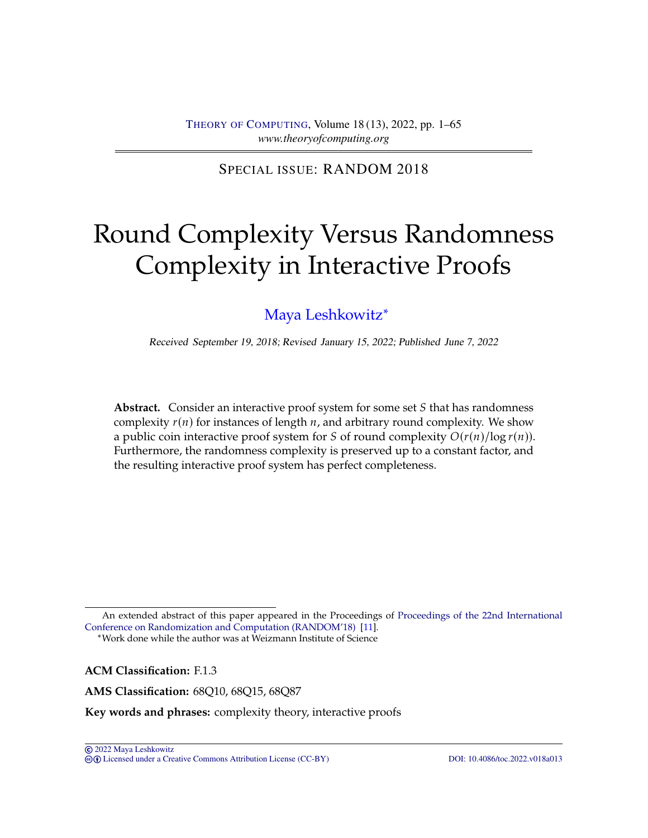SPECIAL ISSUE: RANDOM 2018

# <span id="page-0-0"></span>Round Complexity Versus Randomness Complexity in Interactive Proofs

# [Maya Leshkowitz](#page-63-0)∗

Received September 19, 2018; Revised January 15, 2022; Published June 7, 2022

**Abstract.** Consider an interactive proof system for some set S that has randomness complexity  $r(n)$  for instances of length  $n$ , and arbitrary round complexity. We show a public coin interactive proof system for S of round complexity  $O(r(n)/\log r(n))$ . Furthermore, the randomness complexity is preserved up to a constant factor, and the resulting interactive proof system has perfect completeness.

∗Work done while the author was at Weizmann Institute of Science

**ACM Classification:** F.1.3

**AMS Classification:** 68Q10, 68Q15, 68Q87

**Key words and phrases:** complexity theory, interactive proofs

An extended abstract of this paper appeared in the Proceedings of [Proceedings of the 22nd International](https://doi.org/10.4230/LIPIcs.APPROX-RANDOM.2018.49) [Conference on Randomization and Computation \(RANDOM'18\)](https://doi.org/10.4230/LIPIcs.APPROX-RANDOM.2018.49) [\[11\]](#page-63-1).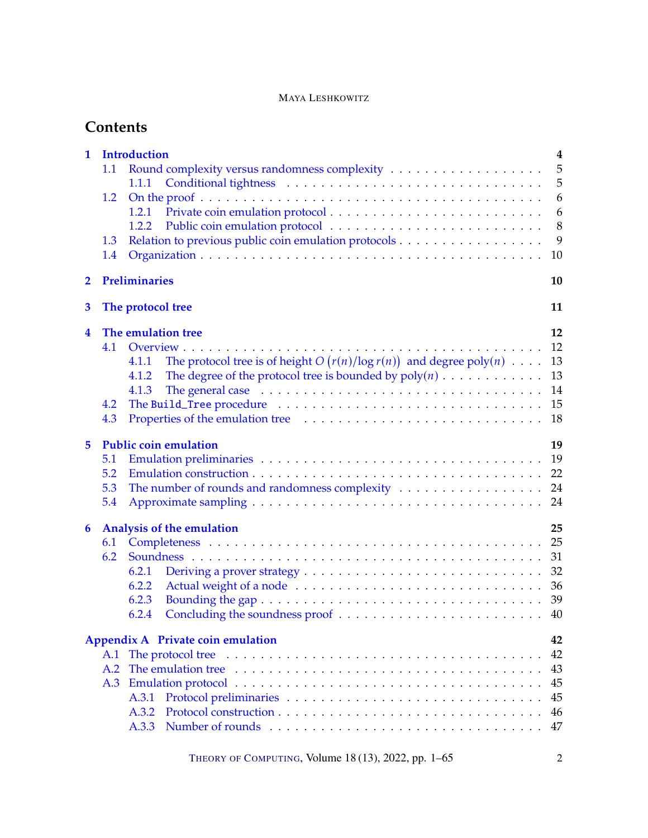| $\mathbf 1$  | <b>Introduction</b><br>$\overline{\mathbf{4}}$<br>5<br>1.1<br>5<br>1.1.1<br>6<br>1.2<br>6<br>1.2.1<br>8<br>1.2.2<br>9<br>Relation to previous public coin emulation protocols<br>1.3<br>10<br>1.4                                                                                                                                                                                                                                                                                   |  |  |  |  |
|--------------|-------------------------------------------------------------------------------------------------------------------------------------------------------------------------------------------------------------------------------------------------------------------------------------------------------------------------------------------------------------------------------------------------------------------------------------------------------------------------------------|--|--|--|--|
| $\mathbf{2}$ | <b>Preliminaries</b><br>10                                                                                                                                                                                                                                                                                                                                                                                                                                                          |  |  |  |  |
| 3            | The protocol tree                                                                                                                                                                                                                                                                                                                                                                                                                                                                   |  |  |  |  |
| 4            | The emulation tree<br>12<br>12<br>4.1<br>The protocol tree is of height $O(r(n)/\log r(n))$ and degree $poly(n)$<br>13<br>4.1.1<br>The degree of the protocol tree is bounded by $poly(n)$<br>13<br>4.1.2<br>The general case $\ldots \ldots \ldots \ldots \ldots \ldots \ldots \ldots \ldots \ldots \ldots$<br>14<br>4.1.3<br>15<br>4.2<br>18<br>4.3                                                                                                                               |  |  |  |  |
| 5            | <b>Public coin emulation</b><br>19<br>5.1<br>22<br>5.2<br>The number of rounds and randomness complexity<br>5.3<br>24<br>5.4<br>24                                                                                                                                                                                                                                                                                                                                                  |  |  |  |  |
| 6            | <b>Analysis of the emulation</b><br>25<br>25<br>6.1<br>31<br>6.2<br>32<br>6.2.1<br>6.2.2<br>36<br>6.2.3<br>6.2.4                                                                                                                                                                                                                                                                                                                                                                    |  |  |  |  |
|              | Appendix A Private coin emulation<br>42<br>42<br>The protocol tree $\dots \dots \dots \dots \dots \dots \dots \dots \dots \dots \dots \dots \dots \dots \dots \dots$<br>A.1<br>The emulation tree entries in the contract of the emulation tree entries in the contract of the emily of the emily of the emily of the emily of the emily of the emily of the emily of the emily of the emily of the emily of<br>43<br>A.2<br>45<br>A.3<br>45<br>A.3.1<br>A.3.2<br>46<br>A.3.3<br>47 |  |  |  |  |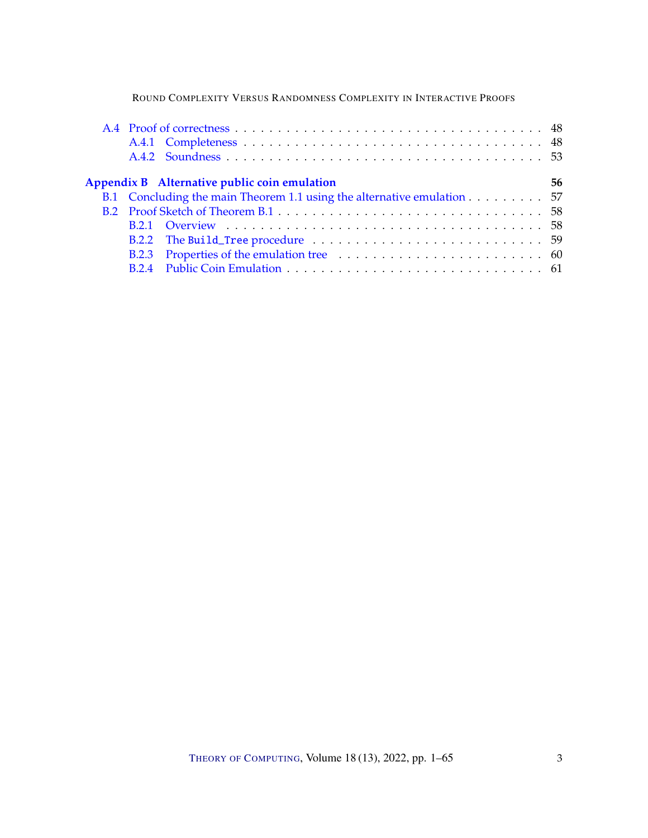|  | Appendix B Alternative public coin emulation | 56                                                                     |  |
|--|----------------------------------------------|------------------------------------------------------------------------|--|
|  |                                              | B.1 Concluding the main Theorem 1.1 using the alternative emulation 57 |  |
|  |                                              |                                                                        |  |
|  |                                              |                                                                        |  |
|  |                                              |                                                                        |  |
|  |                                              |                                                                        |  |
|  |                                              |                                                                        |  |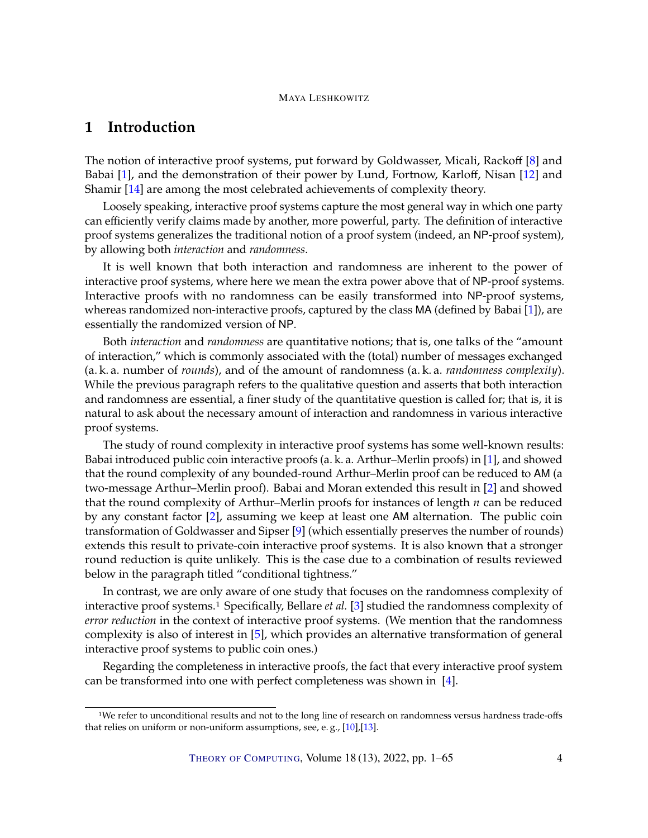# <span id="page-3-1"></span><span id="page-3-0"></span>**1 Introduction**

The notion of interactive proof systems, put forward by Goldwasser, Micali, Rackoff [\[8\]](#page-63-2) and Babai [\[1\]](#page-62-0), and the demonstration of their power by Lund, Fortnow, Karloff, Nisan [\[12\]](#page-63-3) and Shamir [\[14\]](#page-63-4) are among the most celebrated achievements of complexity theory.

Loosely speaking, interactive proof systems capture the most general way in which one party can efficiently verify claims made by another, more powerful, party. The definition of interactive proof systems generalizes the traditional notion of a proof system (indeed, an NP-proof system), by allowing both *interaction* and *randomness*.

It is well known that both interaction and randomness are inherent to the power of interactive proof systems, where here we mean the extra power above that of NP-proof systems. Interactive proofs with no randomness can be easily transformed into NP-proof systems, whereas randomized non-interactive proofs, captured by the class MA (defined by Babai [\[1\]](#page-62-0)), are essentially the randomized version of NP.

Both *interaction* and *randomness* are quantitative notions; that is, one talks of the "amount of interaction," which is commonly associated with the (total) number of messages exchanged (a. k. a. number of *rounds*), and of the amount of randomness (a. k. a. *randomness complexity*). While the previous paragraph refers to the qualitative question and asserts that both interaction and randomness are essential, a finer study of the quantitative question is called for; that is, it is natural to ask about the necessary amount of interaction and randomness in various interactive proof systems.

The study of round complexity in interactive proof systems has some well-known results: Babai introduced public coin interactive proofs (a. k. a. Arthur–Merlin proofs) in [\[1\]](#page-62-0), and showed that the round complexity of any bounded-round Arthur–Merlin proof can be reduced to AM (a two-message Arthur–Merlin proof). Babai and Moran extended this result in [\[2\]](#page-62-1) and showed that the round complexity of Arthur–Merlin proofs for instances of length  $n$  can be reduced by any constant factor [\[2\]](#page-62-1), assuming we keep at least one AM alternation. The public coin transformation of Goldwasser and Sipser [\[9\]](#page-63-5) (which essentially preserves the number of rounds) extends this result to private-coin interactive proof systems. It is also known that a stronger round reduction is quite unlikely. This is the case due to a combination of results reviewed below in the paragraph titled "conditional tightness."

In contrast, we are only aware of one study that focuses on the randomness complexity of interactive proof systems.1 Specifically, Bellare *et al.* [\[3\]](#page-62-2) studied the randomness complexity of *error reduction* in the context of interactive proof systems. (We mention that the randomness complexity is also of interest in [\[5\]](#page-62-3), which provides an alternative transformation of general interactive proof systems to public coin ones.)

Regarding the completeness in interactive proofs, the fact that every interactive proof system can be transformed into one with perfect completeness was shown in [\[4\]](#page-62-4).

<sup>1</sup>We refer to unconditional results and not to the long line of research on randomness versus hardness trade-offs that relies on uniform or non-uniform assumptions, see, e.g., [\[10\]](#page-63-6),[\[13\]](#page-63-7).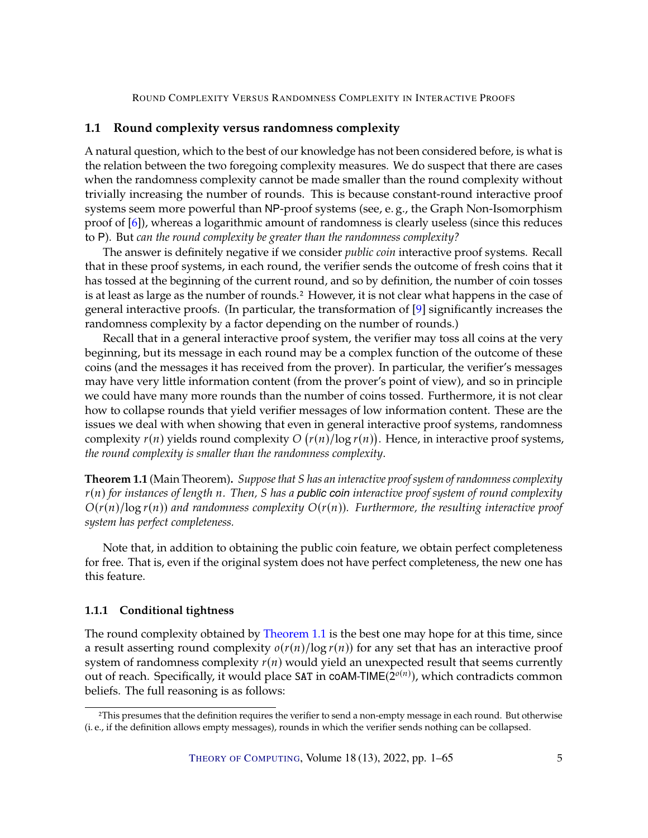# <span id="page-4-3"></span><span id="page-4-0"></span>**1.1 Round complexity versus randomness complexity**

A natural question, which to the best of our knowledge has not been considered before, is what is the relation between the two foregoing complexity measures. We do suspect that there are cases when the randomness complexity cannot be made smaller than the round complexity without trivially increasing the number of rounds. This is because constant-round interactive proof systems seem more powerful than NP-proof systems (see, e. g., the Graph Non-Isomorphism proof of [\[6\]](#page-62-5)), whereas a logarithmic amount of randomness is clearly useless (since this reduces to P). But *can the round complexity be greater than the randomness complexity?*

The answer is definitely negative if we consider *public coin* interactive proof systems. Recall that in these proof systems, in each round, the verifier sends the outcome of fresh coins that it has tossed at the beginning of the current round, and so by definition, the number of coin tosses is at least as large as the number of rounds.<sup>2</sup> However, it is not clear what happens in the case of general interactive proofs. (In particular, the transformation of [\[9\]](#page-63-5) significantly increases the randomness complexity by a factor depending on the number of rounds.)

Recall that in a general interactive proof system, the verifier may toss all coins at the very beginning, but its message in each round may be a complex function of the outcome of these coins (and the messages it has received from the prover). In particular, the verifier's messages may have very little information content (from the prover's point of view), and so in principle we could have many more rounds than the number of coins tossed. Furthermore, it is not clear how to collapse rounds that yield verifier messages of low information content. These are the issues we deal with when showing that even in general interactive proof systems, randomness complexity  $r(n)$  yields round complexity  $O(r(n)/\log r(n))$ . Hence, in interactive proof systems, *the round complexity is smaller than the randomness complexity*.

<span id="page-4-2"></span>**Theorem 1.1** (Main Theorem). *Suppose that S has an interactive proof system of randomness complexity* 𝑟(𝑛) *for instances of length* 𝑛*. Then,* 𝑆 *has a public coin interactive proof system of round complexity*  $O(r(n)/\log r(n))$  and randomness complexity  $O(r(n))$ . Furthermore, the resulting interactive proof *system has perfect completeness.*

Note that, in addition to obtaining the public coin feature, we obtain perfect completeness for free. That is, even if the original system does not have perfect completeness, the new one has this feature.

#### <span id="page-4-1"></span>**1.1.1 Conditional tightness**

The round complexity obtained by [Theorem](#page-4-2) [1.1](#page-4-2) is the best one may hope for at this time, since a result asserting round complexity  $o(r(n)/\log r(n))$  for any set that has an interactive proof system of randomness complexity  $r(n)$  would yield an unexpected result that seems currently out of reach. Specifically, it would place SAT in coAM-TIME( $2^{o(n)}$ ), which contradicts common beliefs. The full reasoning is as follows:

<sup>2</sup>This presumes that the definition requires the verifier to send a non-empty message in each round. But otherwise (i. e., if the definition allows empty messages), rounds in which the verifier sends nothing can be collapsed.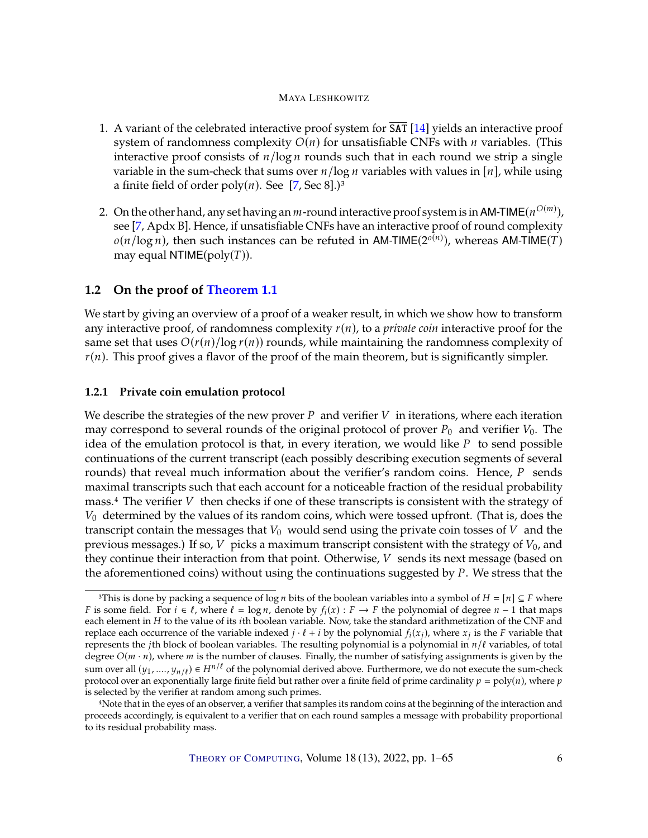- <span id="page-5-2"></span>1. A variant of the celebrated interactive proof system for  $\overline{SAT}$  [\[14\]](#page-63-4) yields an interactive proof system of randomness complexity  $O(n)$  for unsatisfiable CNFs with  $n$  variables. (This interactive proof consists of  $n/log n$  rounds such that in each round we strip a single variable in the sum-check that sums over  $n/log n$  variables with values in [ $n$ ], while using a finite field of order  $poly(n)$ . See [\[7,](#page-62-6) Sec 8].)<sup>3</sup>
- 2. On the other hand, any set having an *m*-round interactive proof system is in AM-TIME( $n^{O(m)}$ ), see  $[7 \text{ And } xB]$ . Hence, if unsatisfiable CNEs have an interactive proof of round complexity see [\[7,](#page-62-6) Apdx B]. Hence, if unsatisfiable CNFs have an interactive proof of round complexity  $o(n/\log n)$ , then such instances can be refuted in AM-TIME( $2^{o(n)}$ ), whereas AM-TIME( $T$ )<br>may equal NTIME( $\text{poly}(T)$ ) may equal NTIME( $poly(T)$ ).

# <span id="page-5-0"></span>**1.2 On the proof of [Theorem](#page-4-2) [1.1](#page-4-2)**

We start by giving an overview of a proof of a weaker result, in which we show how to transform any interactive proof, of randomness complexity  $r(n)$ , to a *private coin* interactive proof for the same set that uses  $O(r(n)/\log r(n))$  rounds, while maintaining the randomness complexity of  $r(n)$ . This proof gives a flavor of the proof of the main theorem, but is significantly simpler.

# <span id="page-5-1"></span>**1.2.1 Private coin emulation protocol**

We describe the strategies of the new prover P and verifier  $V$  in iterations, where each iteration may correspond to several rounds of the original protocol of prover  $P_0$  and verifier  $V_0$ . The idea of the emulation protocol is that, in every iteration, we would like  $P$  to send possible continuations of the current transcript (each possibly describing execution segments of several rounds) that reveal much information about the verifier's random coins. Hence,  $P$  sends maximal transcripts such that each account for a noticeable fraction of the residual probability mass. $4$  The verifier  $V$  then checks if one of these transcripts is consistent with the strategy of  $V_0$  determined by the values of its random coins, which were tossed upfront. (That is, does the transcript contain the messages that  $V_0$  would send using the private coin tosses of  $V$  and the previous messages.) If so,  $V$  picks a maximum transcript consistent with the strategy of  $V_0$ , and they continue their interaction from that point. Otherwise,  $V$  sends its next message (based on the aforementioned coins) without using the continuations suggested by  $P$ . We stress that the

<sup>&</sup>lt;sup>3</sup>This is done by packing a sequence of log *n* bits of the boolean variables into a symbol of  $H = [n] \subseteq F$  where *F* is some field. For  $i \in \ell$ , where  $\ell = \log n$ , denote by  $f_i(x) : F \to F$  the polynomial of degree  $n - 1$  that maps each element in *H* to the value of its *i*th boolean variable. Now take the standard arithmetization of the each element in  $H$  to the value of its  $i$ th boolean variable. Now, take the standard arithmetization of the CNF and replace each occurrence of the variable indexed  $j \cdot \ell + i$  by the polynomial  $f_i(x_j)$ , where  $x_j$  is the F variable that represents the *i*th block of boolean variables. The resulting polynomial is a polynomial in  $n/\ell$  var represents the *j*th block of boolean variables. The resulting polynomial is a polynomial in  $n/\ell$  variables, of total degree  $O(m \cdot n)$ , where  $m$  is the number of clauses. Finally, the number of satisfying assignments is given by the sum over all  $(y_1, ..., y_{n/\ell}) \in H^{n/\ell}$  of the polynomial derived above. Furthermore, we do not execute the sum-check<br>protocol over an exponentially large finite field but rather over a finite field of prime cardinality  $n = \text{$ protocol over an exponentially large finite field but rather over a finite field of prime cardinality  $p = \text{poly}(n)$ , where  $p$ is selected by the verifier at random among such primes.

<sup>4</sup>Note that in the eyes of an observer, a verifier that samples its random coins at the beginning of the interaction and proceeds accordingly, is equivalent to a verifier that on each round samples a message with probability proportional to its residual probability mass.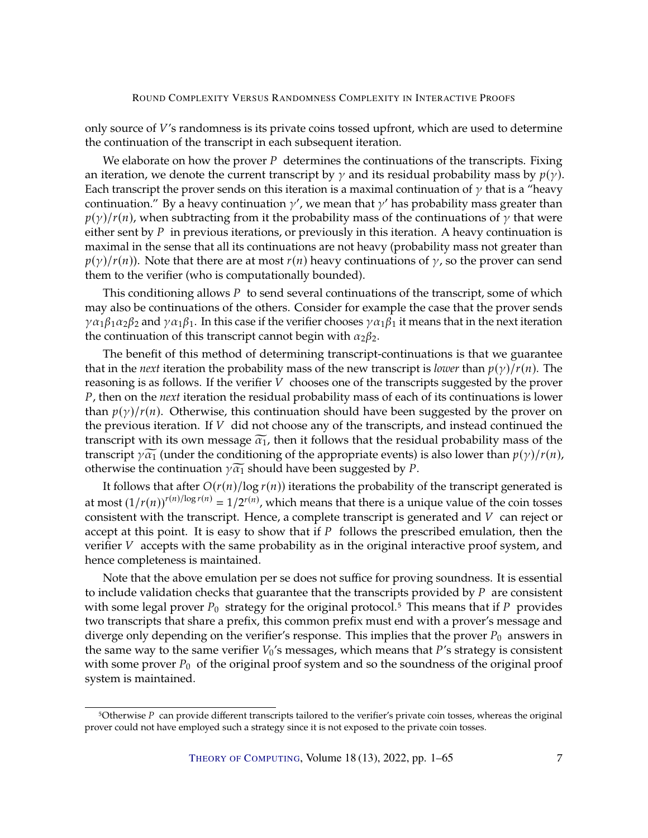only source of  $V'$ s randomness is its private coins tossed upfront, which are used to determine the continuation of the transcript in each subsequent iteration.

We elaborate on how the prover  $P$  determines the continuations of the transcripts. Fixing an iteration, we denote the current transcript by  $\gamma$  and its residual probability mass by  $p(\gamma)$ . Each transcript the prover sends on this iteration is a maximal continuation of  $\gamma$  that is a "heavy continuation." By a heavy continuation  $\gamma'$ , we mean that  $\gamma'$  has probability mass greater than  $p(\gamma)/r(n)$ , when subtracting from it the probability mass of the continuations of  $\gamma$  that were either sent by  $P$  in previous iterations, or previously in this iteration. A heavy continuation is maximal in the sense that all its continuations are not heavy (probability mass not greater than  $p(y)/r(n)$ ). Note that there are at most  $r(n)$  heavy continuations of  $\gamma$ , so the prover can send them to the verifier (who is computationally bounded).

This conditioning allows  $P$  to send several continuations of the transcript, some of which may also be continuations of the others. Consider for example the case that the prover sends  $\gamma\alpha_1\beta_1\alpha_2\beta_2$  and  $\gamma\alpha_1\beta_1$ . In this case if the verifier chooses  $\gamma\alpha_1\beta_1$  it means that in the next iteration the continuation of this transcript cannot begin with  $\alpha_2\beta_2$ .

The benefit of this method of determining transcript-continuations is that we guarantee that in the *next* iteration the probability mass of the new transcript is *lower* than  $p(\gamma)/r(n)$ . The reasoning is as follows. If the verifier  $V$  chooses one of the transcripts suggested by the prover 𝑃, then on the *next* iteration the residual probability mass of each of its continuations is lower than  $p(y)/r(n)$ . Otherwise, this continuation should have been suggested by the prover on the previous iteration. If  $V$  did not choose any of the transcripts, and instead continued the transcript with its own message  $\widetilde{\alpha_1}$ , then it follows that the residual probability mass of the transcript  $\gamma \widetilde{\alpha_1}$  (under the conditioning of the appropriate events) is also lower than  $p(\gamma)/r(n)$ , otherwise the continuation  $\gamma \widetilde{\alpha_1}$  should have been suggested by P.

It follows that after  $O(r(n)/\log r(n))$  iterations the probability of the transcript generated is at most  $(1/r(n))^{r(n)/\log r(n)} = 1/2^{r(n)}$ , which means that there is a unique value of the coin tosses<br>consistent with the transcript. Hence, a complete transcript is generated and V, can reject on consistent with the transcript. Hence, a complete transcript is generated and  $V$  can reject or accept at this point. It is easy to show that if  $P$  follows the prescribed emulation, then the verifier  $V$  accepts with the same probability as in the original interactive proof system, and hence completeness is maintained.

Note that the above emulation per se does not suffice for proving soundness. It is essential to include validation checks that guarantee that the transcripts provided by  $P$  are consistent with some legal prover  $P_0$  strategy for the original protocol.<sup>5</sup> This means that if P provides two transcripts that share a prefix, this common prefix must end with a prover's message and diverge only depending on the verifier's response. This implies that the prover  $P_0$  answers in the same way to the same verifier  $V_0$ 's messages, which means that  $P$ 's strategy is consistent with some prover  $P_0$  of the original proof system and so the soundness of the original proof system is maintained.

 $5$ Otherwise  $P$  can provide different transcripts tailored to the verifier's private coin tosses, whereas the original prover could not have employed such a strategy since it is not exposed to the private coin tosses.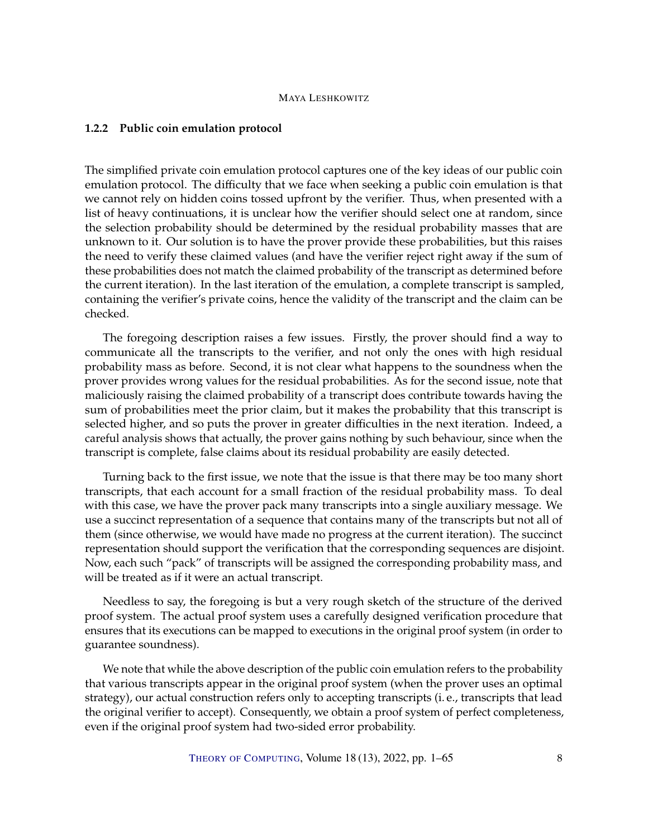#### <span id="page-7-0"></span>**1.2.2 Public coin emulation protocol**

The simplified private coin emulation protocol captures one of the key ideas of our public coin emulation protocol. The difficulty that we face when seeking a public coin emulation is that we cannot rely on hidden coins tossed upfront by the verifier. Thus, when presented with a list of heavy continuations, it is unclear how the verifier should select one at random, since the selection probability should be determined by the residual probability masses that are unknown to it. Our solution is to have the prover provide these probabilities, but this raises the need to verify these claimed values (and have the verifier reject right away if the sum of these probabilities does not match the claimed probability of the transcript as determined before the current iteration). In the last iteration of the emulation, a complete transcript is sampled, containing the verifier's private coins, hence the validity of the transcript and the claim can be checked.

The foregoing description raises a few issues. Firstly, the prover should find a way to communicate all the transcripts to the verifier, and not only the ones with high residual probability mass as before. Second, it is not clear what happens to the soundness when the prover provides wrong values for the residual probabilities. As for the second issue, note that maliciously raising the claimed probability of a transcript does contribute towards having the sum of probabilities meet the prior claim, but it makes the probability that this transcript is selected higher, and so puts the prover in greater difficulties in the next iteration. Indeed, a careful analysis shows that actually, the prover gains nothing by such behaviour, since when the transcript is complete, false claims about its residual probability are easily detected.

Turning back to the first issue, we note that the issue is that there may be too many short transcripts, that each account for a small fraction of the residual probability mass. To deal with this case, we have the prover pack many transcripts into a single auxiliary message. We use a succinct representation of a sequence that contains many of the transcripts but not all of them (since otherwise, we would have made no progress at the current iteration). The succinct representation should support the verification that the corresponding sequences are disjoint. Now, each such "pack" of transcripts will be assigned the corresponding probability mass, and will be treated as if it were an actual transcript.

Needless to say, the foregoing is but a very rough sketch of the structure of the derived proof system. The actual proof system uses a carefully designed verification procedure that ensures that its executions can be mapped to executions in the original proof system (in order to guarantee soundness).

We note that while the above description of the public coin emulation refers to the probability that various transcripts appear in the original proof system (when the prover uses an optimal strategy), our actual construction refers only to accepting transcripts (i. e., transcripts that lead the original verifier to accept). Consequently, we obtain a proof system of perfect completeness, even if the original proof system had two-sided error probability.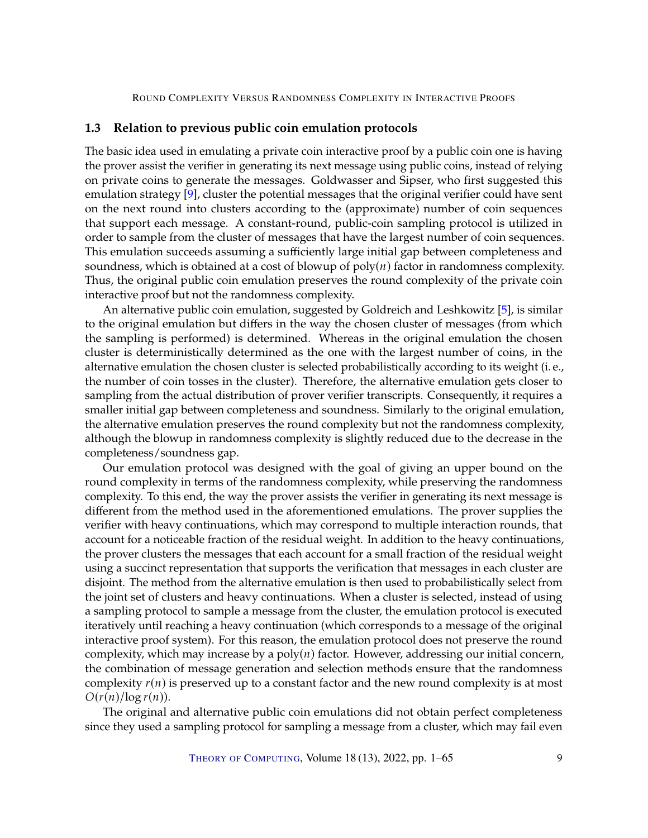### <span id="page-8-1"></span><span id="page-8-0"></span>**1.3 Relation to previous public coin emulation protocols**

The basic idea used in emulating a private coin interactive proof by a public coin one is having the prover assist the verifier in generating its next message using public coins, instead of relying on private coins to generate the messages. Goldwasser and Sipser, who first suggested this emulation strategy [\[9\]](#page-63-5), cluster the potential messages that the original verifier could have sent on the next round into clusters according to the (approximate) number of coin sequences that support each message. A constant-round, public-coin sampling protocol is utilized in order to sample from the cluster of messages that have the largest number of coin sequences. This emulation succeeds assuming a sufficiently large initial gap between completeness and soundness, which is obtained at a cost of blowup of  $poly(n)$  factor in randomness complexity. Thus, the original public coin emulation preserves the round complexity of the private coin interactive proof but not the randomness complexity.

An alternative public coin emulation, suggested by Goldreich and Leshkowitz [\[5\]](#page-62-3), is similar to the original emulation but differs in the way the chosen cluster of messages (from which the sampling is performed) is determined. Whereas in the original emulation the chosen cluster is deterministically determined as the one with the largest number of coins, in the alternative emulation the chosen cluster is selected probabilistically according to its weight (i. e., the number of coin tosses in the cluster). Therefore, the alternative emulation gets closer to sampling from the actual distribution of prover verifier transcripts. Consequently, it requires a smaller initial gap between completeness and soundness. Similarly to the original emulation, the alternative emulation preserves the round complexity but not the randomness complexity, although the blowup in randomness complexity is slightly reduced due to the decrease in the completeness/soundness gap.

Our emulation protocol was designed with the goal of giving an upper bound on the round complexity in terms of the randomness complexity, while preserving the randomness complexity. To this end, the way the prover assists the verifier in generating its next message is different from the method used in the aforementioned emulations. The prover supplies the verifier with heavy continuations, which may correspond to multiple interaction rounds, that account for a noticeable fraction of the residual weight. In addition to the heavy continuations, the prover clusters the messages that each account for a small fraction of the residual weight using a succinct representation that supports the verification that messages in each cluster are disjoint. The method from the alternative emulation is then used to probabilistically select from the joint set of clusters and heavy continuations. When a cluster is selected, instead of using a sampling protocol to sample a message from the cluster, the emulation protocol is executed iteratively until reaching a heavy continuation (which corresponds to a message of the original interactive proof system). For this reason, the emulation protocol does not preserve the round complexity, which may increase by a  $poly(n)$  factor. However, addressing our initial concern, the combination of message generation and selection methods ensure that the randomness complexity  $r(n)$  is preserved up to a constant factor and the new round complexity is at most  $O(r(n)/\log r(n))$ .

The original and alternative public coin emulations did not obtain perfect completeness since they used a sampling protocol for sampling a message from a cluster, which may fail even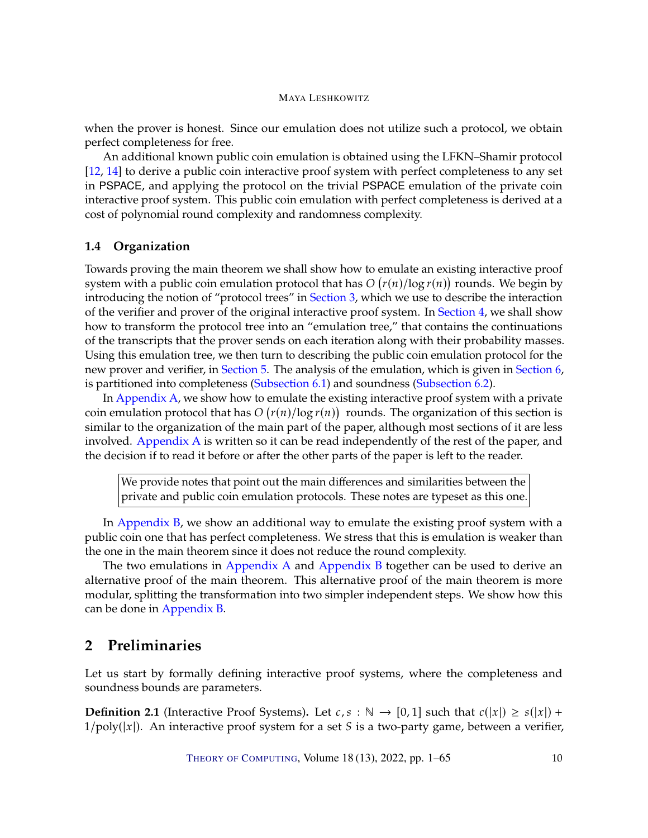<span id="page-9-2"></span>when the prover is honest. Since our emulation does not utilize such a protocol, we obtain perfect completeness for free.

An additional known public coin emulation is obtained using the LFKN–Shamir protocol [\[12,](#page-63-3) [14\]](#page-63-4) to derive a public coin interactive proof system with perfect completeness to any set in PSPACE, and applying the protocol on the trivial PSPACE emulation of the private coin interactive proof system. This public coin emulation with perfect completeness is derived at a cost of polynomial round complexity and randomness complexity.

# <span id="page-9-0"></span>**1.4 Organization**

Towards proving the main theorem we shall show how to emulate an existing interactive proof system with a public coin emulation protocol that has  $O(r(n)/\log r(n))$  rounds. We begin by<br>introducing the potion of "protocol trees" in Section 3, which we use to describe the interaction introducing the notion of "protocol trees" in [Section](#page-10-0) [3,](#page-10-0) which we use to describe the interaction of the verifier and prover of the original interactive proof system. In [Section](#page-11-0) [4,](#page-11-0) we shall show how to transform the protocol tree into an "emulation tree," that contains the continuations of the transcripts that the prover sends on each iteration along with their probability masses. Using this emulation tree, we then turn to describing the public coin emulation protocol for the new prover and verifier, in [Section](#page-18-0) [5.](#page-18-0) The analysis of the emulation, which is given in [Section](#page-24-0) [6,](#page-24-0) is partitioned into completeness [\(Subsection](#page-24-1) [6.1\)](#page-24-1) and soundness [\(Subsection](#page-30-0) [6.2\)](#page-30-0).

In [Appendix](#page-41-0) [A,](#page-41-0) we show how to emulate the existing interactive proof system with a private coin emulation protocol that has  $O(r(n)/\log r(n))$  rounds. The organization of this section is<br>similar to the organization of the main part of the paper, although most sections of it are loss similar to the organization of the main part of the paper, although most sections of it are less involved. [Appendix](#page-41-0) [A](#page-41-0) is written so it can be read independently of the rest of the paper, and the decision if to read it before or after the other parts of the paper is left to the reader.

We provide notes that point out the main differences and similarities between the private and public coin emulation protocols. These notes are typeset as this one.

In [Appendix](#page-55-0) [B,](#page-55-0) we show an additional way to emulate the existing proof system with a public coin one that has perfect completeness. We stress that this is emulation is weaker than the one in the main theorem since it does not reduce the round complexity.

The two emulations in [Appendix](#page-55-0) [A](#page-41-0) and Appendix [B](#page-55-0) together can be used to derive an alternative proof of the main theorem. This alternative proof of the main theorem is more modular, splitting the transformation into two simpler independent steps. We show how this can be done in [Appendix](#page-55-0) [B.](#page-55-0)

# <span id="page-9-1"></span>**2 Preliminaries**

Let us start by formally defining interactive proof systems, where the completeness and soundness bounds are parameters.

**Definition 2.1** (Interactive Proof Systems). Let  $c, s : \mathbb{N} \to [0,1]$  such that  $c(|x|) \geq s(|x|) +$  $1/poly(|x|)$ . An interactive proof system for a set *S* is a two-party game, between a verifier,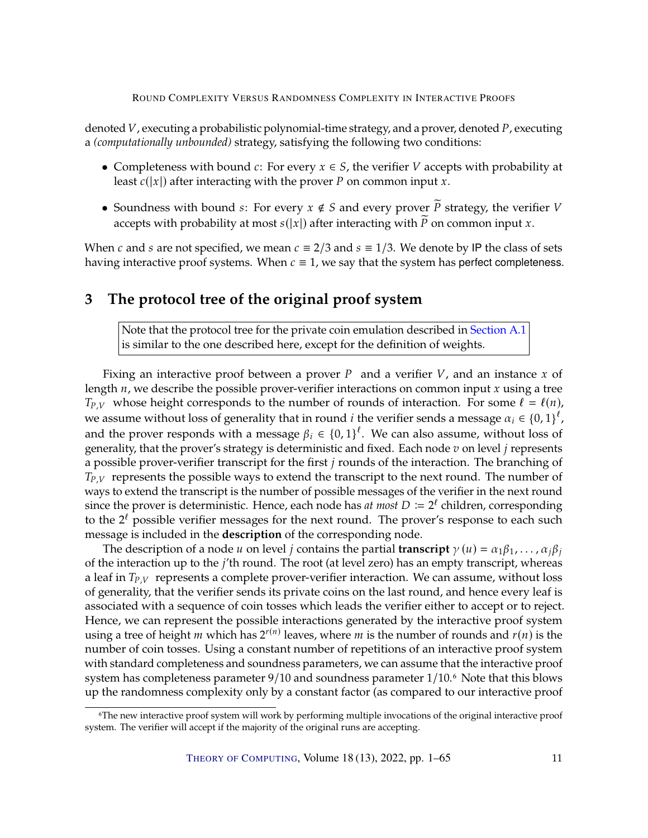denoted  $V$ , executing a probabilistic polynomial-time strategy, and a prover, denoted  $P$ , executing a *(computationally unbounded)* strategy, satisfying the following two conditions:

- Completeness with bound  $c$ : For every  $x \in S$ , the verifier  $V$  accepts with probability at least  $c(|x|)$  after interacting with the prover P on common input x.
- Soundness with bound *s*: For every  $x \notin S$  and every prover  $\widetilde{P}$  strategy, the verifier V accepts with probability at most  $s(|x|)$  after interacting with  $\tilde{P}$  on common input x.

When c and s are not specified, we mean  $c \equiv 2/3$  and  $s \equiv 1/3$ . We denote by IP the class of sets having interactive proof systems. When  $c \equiv 1$ , we say that the system has perfect completeness.

# <span id="page-10-0"></span>**3 The protocol tree of the original proof system**

Note that the protocol tree for the private coin emulation described in [Section](#page-41-1) [A.1](#page-41-1) is similar to the one described here, except for the definition of weights.

Fixing an interactive proof between a prover  $P$  and a verifier  $V$ , and an instance  $x$  of length  $n$ , we describe the possible prover-verifier interactions on common input  $x$  using a tree  $T_{P,V}$  whose height corresponds to the number of rounds of interaction. For some  $\ell = \ell(n)$ , we assume without loss of generality that in round *i* the verifier sends a message  $\alpha_i \in \{0,1\}^{\ell}$ , and the prover recognise with a message  $\beta_i \in \{0,1\}^{\ell}$ . We can also assume, without loss of and the prover responds with a message  $\beta_i \in \{0,1\}^{\ell}$ . We can also assume, without loss of concretive that the prover's strategy is deterministic and fixed. Each node z on level i represents generality, that the prover's strategy is deterministic and fixed. Each node  $v$  on level  $j$  represents a possible prover-verifier transcript for the first  $j$  rounds of the interaction. The branching of  $T_{P,V}$  represents the possible ways to extend the transcript to the next round. The number of ways to extend the transcript is the number of possible messages of the verifier in the next round since the prover is deterministic. Hence, each node has *at most*  $D := 2^{\ell}$  children, corresponding to the  $2^{\ell}$  possible verifier messages for the poxt round. The prover's response to each such to the  $2^{\ell}$  possible verifier messages for the next round. The prover's response to each such message is included in the **description** of the corresponding node.

The description of a node u on level *j* contains the partial **transcript**  $\gamma(u) = \alpha_1 \beta_1, \dots, \alpha_i \beta_i$ of the interaction up to the  $j'$ th round. The root (at level zero) has an empty transcript, whereas a leaf in  $T_{P,V}$  represents a complete prover-verifier interaction. We can assume, without loss of generality, that the verifier sends its private coins on the last round, and hence every leaf is associated with a sequence of coin tosses which leads the verifier either to accept or to reject. Hence, we can represent the possible interactions generated by the interactive proof system using a tree of height  $m$  which has  $2^{r(n)}$  leaves, where  $m$  is the number of rounds and  $r(n)$  is the number of coin togeog. Heing a constant number of ropotitions of an interactive proof system number of coin tosses. Using a constant number of repetitions of an interactive proof system with standard completeness and soundness parameters, we can assume that the interactive proof system has completeness parameter  $9/10$  and soundness parameter  $1/10$ .<sup>6</sup> Note that this blows up the randomness complexity only by a constant factor (as compared to our interactive proof

<sup>6</sup>The new interactive proof system will work by performing multiple invocations of the original interactive proof system. The verifier will accept if the majority of the original runs are accepting.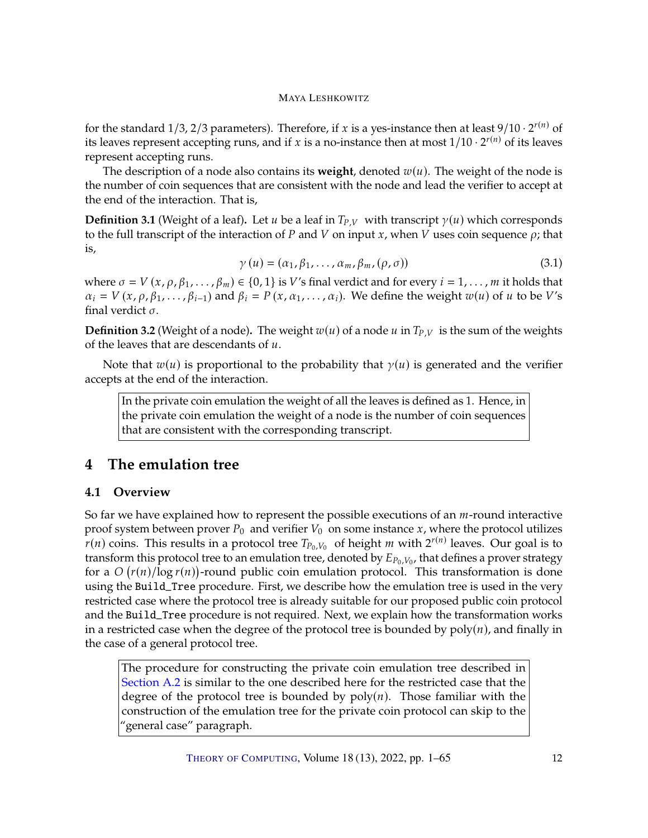for the standard 1/3, 2/3 parameters). Therefore, if x is a yes-instance then at least  $9/10 \cdot 2^{r(n)}$  of its leaves its leaves represent accepting runs, and if x is a no-instance then at most  $1/10 \cdot 2^{r(n)}$  of its leaves represent accepting runs.

The description of a node also contains its **weight**, denoted  $w(u)$ . The weight of the node is the number of coin sequences that are consistent with the node and lead the verifier to accept at the end of the interaction. That is,

**Definition 3.1** (Weight of a leaf). Let  $u$  be a leaf in  $T_{P,V}$  with transcript  $\gamma(u)$  which corresponds to the full transcript of the interaction of P and V on input x, when V uses coin sequence  $\rho$ ; that is,

$$
\gamma(u) = (\alpha_1, \beta_1, \dots, \alpha_m, \beta_m, (\rho, \sigma))
$$
\n(3.1)

where  $\sigma = V(x, \rho, \beta_1, \ldots, \beta_m) \in \{0, 1\}$  is V's final verdict and for every  $i = 1, \ldots, m$  it holds that  $\alpha_i = V(x, \rho, \beta_1, \dots, \beta_{i-1})$  and  $\beta_i = P(x, \alpha_1, \dots, \alpha_i)$ . We define the weight  $w(u)$  of  $u$  to be  $V$ 's final verdict  $\sigma$ .

**Definition 3.2** (Weight of a node). The weight  $w(u)$  of a node  $u$  in  $T_{P,V}$  is the sum of the weights of the leaves that are descendants of  $u$ .

Note that  $w(u)$  is proportional to the probability that  $\gamma(u)$  is generated and the verifier accepts at the end of the interaction.

In the private coin emulation the weight of all the leaves is defined as 1. Hence, in the private coin emulation the weight of a node is the number of coin sequences that are consistent with the corresponding transcript.

# <span id="page-11-0"></span>**4 The emulation tree**

# <span id="page-11-1"></span>**4.1 Overview**

So far we have explained how to represent the possible executions of an  $m$ -round interactive proof system between prover  $P_0$  and verifier  $V_0$  on some instance  $x$ , where the protocol utilizes  $r(n)$  coins. This results in a protocol tree  $T_{P_0,V_0}$  of height  $m$  with  $2^{r(n)}$  leaves. Our goal is to transform this protocol tree to an emulation tree, denoted by  $F_{\text{D}_1,V_1}$  that defines a prover strategy transform this protocol tree to an emulation tree, denoted by  $E_{P_0, V_0}$ , that defines a prover strategy<br>for a  $O\left(\frac{r(n)}{\log r(n)}\right)$ -round public coin emulation protocol. This transformation is done for a  $O(r(n)/\log r(n))$ -round public coin emulation protocol. This transformation is done<br>using the Build Tree procedure. First we describe how the emulation tree is used in the very using the Build\_Tree procedure. First, we describe how the emulation tree is used in the very restricted case where the protocol tree is already suitable for our proposed public coin protocol and the Build\_Tree procedure is not required. Next, we explain how the transformation works in a restricted case when the degree of the protocol tree is bounded by  $poly(n)$ , and finally in the case of a general protocol tree.

The procedure for constructing the private coin emulation tree described in [Section](#page-42-0) [A.2](#page-42-0) is similar to the one described here for the restricted case that the degree of the protocol tree is bounded by  $poly(n)$ . Those familiar with the construction of the emulation tree for the private coin protocol can skip to the "general case" paragraph.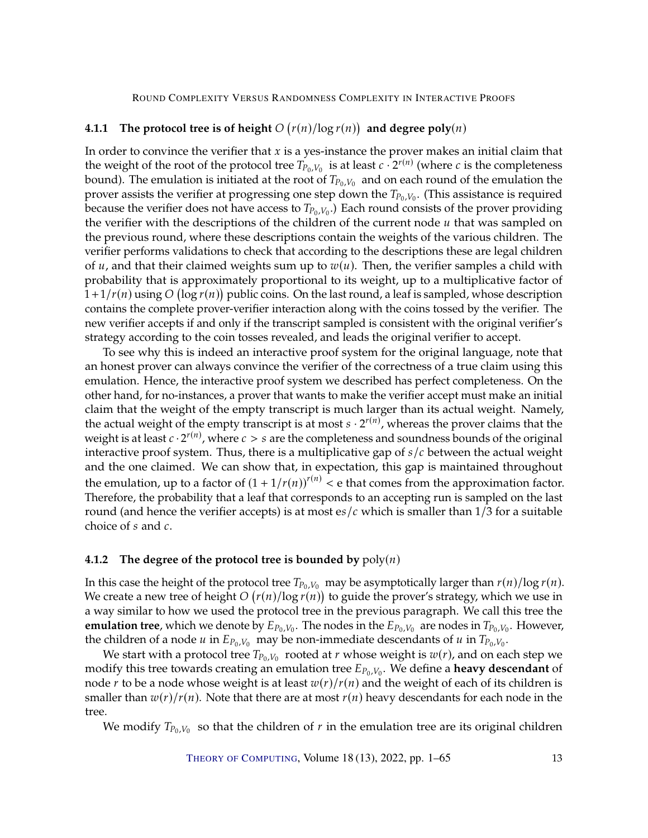# <span id="page-12-0"></span>**4.1.1** The protocol tree is of height  $O(r(n)/\log r(n))$  and degree  $poly(n)$

In order to convince the verifier that  $x$  is a yes-instance the prover makes an initial claim that the weight of the root of the protocol tree  $T_{P_0,V_0}$  is at least  $c \cdot 2^{r(n)}$  (where  $c$  is the completeness bound). The emulation is initiated at the root of  $T_{\text{R}}$  is and on each round of the emulation the bound). The emulation is initiated at the root of  $T_{P_0,V_0}$  and on each round of the emulation the prover assists the verifier at progressing one step down the  $T_{\text{R}}$ ,  $V_{\text{R}}$ . (This assistance is required prover assists the verifier at progressing one step down the  $T_{P_0,V_0}$ . (This assistance is required<br>because the verifier does not have access to  $T_{\text{max}}$ ). Each round consists of the prover providing because the verifier does not have access to  $T_{P_0,V_0}$ .) Each round consists of the prover providing the verifier with the descriptions of the children of the current pode *u* that was sampled on the verifier with the descriptions of the children of the current node  $u$  that was sampled on the previous round, where these descriptions contain the weights of the various children. The verifier performs validations to check that according to the descriptions these are legal children of *u*, and that their claimed weights sum up to  $w(u)$ . Then, the verifier samples a child with probability that is approximately proportional to its weight, up to a multiplicative factor of  $\frac{1+1}{r(n)}$  using  $O(\log r(n))$  public coins. On the last round, a leaf is sampled, whose description contains the complete prove-verifier interaction along with the coins tossed by the verifier. The contains the complete prover-verifier interaction along with the coins tossed by the verifier. The new verifier accepts if and only if the transcript sampled is consistent with the original verifier's strategy according to the coin tosses revealed, and leads the original verifier to accept.

To see why this is indeed an interactive proof system for the original language, note that an honest prover can always convince the verifier of the correctness of a true claim using this emulation. Hence, the interactive proof system we described has perfect completeness. On the other hand, for no-instances, a prover that wants to make the verifier accept must make an initial claim that the weight of the empty transcript is much larger than its actual weight. Namely, the actual weight of the empty transcript is at most  $s \cdot 2^{r(n)}$ , whereas the prover claims that the weight is at least  $c \cdot 2^{r(n)}$ , where  $c > s$  are the completeness and soundness bounds of the original<br>interactive proof system. Thus, there is a multiplicative gap of s /s between the actual weight interactive proof system. Thus, there is a multiplicative gap of  $s/c$  between the actual weight and the one claimed. We can show that, in expectation, this gap is maintained throughout the emulation, up to a factor of  $(1 + 1/r(n))^{r(n)} < e$  that comes from the approximation factor. Therefore, the probability that a leaf that corresponds to an accepting run is sampled on the last round (and hence the verifier accepts) is at most es/ $c$  which is smaller than 1/3 for a suitable choice of  $s$  and  $c$ .

### <span id="page-12-1"></span>**4.1.2** The degree of the protocol tree is bounded by  $poly(n)$

In this case the height of the protocol tree  $T_{P_0,V_0}$  may be asymptotically larger than  $r(n)/\log r(n)$ . We create a new tree of height  $O(r(n)/\log r(n))$  to guide the prover's strategy, which we use in<br>a way similar to how we used the protocol tree in the previous paragraph. We call this tree the a way similar to how we used the protocol tree in the previous paragraph. We call this tree the **emulation tree**, which we denote by  $E_{P_0,V_0}$ . The nodes in the  $E_{P_0,V_0}$  are nodes in  $T_{P_0,V_0}$ . However, the children of a node  $u$  in  $E_{P_0,V_0}$  may be non-immediate descendants of  $u$  in  $T_{P_0,V_0}$ .

We start with a protocol tree  $T_{P_0, V_0}$  rooted at  $r$  whose weight is  $w(r)$ , and on each step we<br>dify this tree towards creating an emulation tree  $F_{\text{D}, V}$ . We define a **beavy describent** of modify this tree towards creating an emulation tree  $E_{P_0,V_0}$ . We define a **heavy descendant** of pode *x* to be a node whose weight is at least  $w(x)/x(y)$  and the weight of each of its children is node r to be a node whose weight is at least  $w(r)/r(n)$  and the weight of each of its children is smaller than  $w(r)/r(n)$ . Note that there are at most  $r(n)$  heavy descendants for each node in the tree.

We modify  $T_{P_0,V_0}$  so that the children of  $r$  in the emulation tree are its original children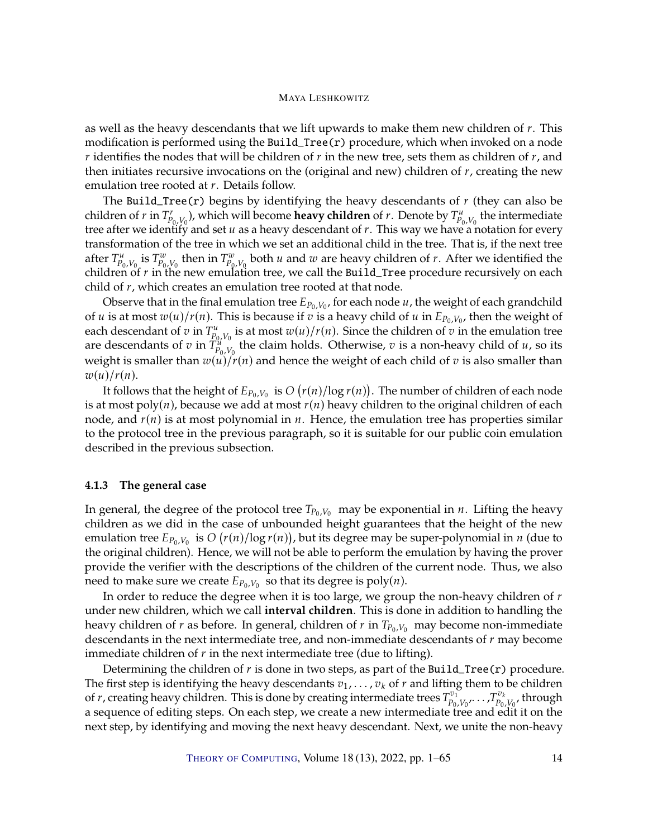as well as the heavy descendants that we lift upwards to make them new children of  $r$ . This modification is performed using the Build\_Tree(r) procedure, which when invoked on a node  $r$  identifies the nodes that will be children of  $r$  in the new tree, sets them as children of  $r$ , and then initiates recursive invocations on the (original and new) children of  $r$ , creating the new emulation tree rooted at  $r$ . Details follow.

The Build\_Tree(r) begins by identifying the heavy descendants of  $r$  (they can also be children of  $r$  in  $T_{P_0, V_0}^r$ , which will become **heavy children** of  $r$ . Denote by  $T_{P_0, V_0}^u$  the intermediate tree after we identify and set  $u$  as a heavy descendant of  $r$ . This way we have a notation for every transformation of the tree in which we set an additional child in the tree. That is, if the next tree transformation of the tree in which we set an additional child in the tree. That is, if the next tree after  $T_{P_0,V_0}^u$  is  $T_{P_0,V_0}^w$  then in  $T_{P_0,V_0}^w$  both  $u$  and  $w$  are heavy children of  $r$ . After we identified the children of  $r$  in the new emulation tree, we call the Build Tree procedure recursively on eac children of  $r$  in the new emulation tree, we call the Build\_Tree procedure recursively on each child of  $r$ , which croates an emulation tree rooted at that pode child of  $r$ , which creates an emulation tree rooted at that node.

Observe that in the final emulation tree  $E_{P_0, V_0}$ , for each node  $u$ , the weight of each grandchild<br>Lis at most  $\pi(u)/\pi(u)$ . This is because if  $\pi$  is a because hild of  $u$  in  $E_{\text{max}}$ , then the weight of of *u* is at most  $w(u)/r(n)$ . This is because if *v* is a heavy child of *u* in  $E_{P_0,V_0}$ , then the weight of orch descondant of *z* in  $T^u$  is at most  $zu(u)/r(u)$ . Since the children of *z* in the emulation tree each descendant of  $v$  in  $T_{P_0,V_0}^u$  is at most  $w(u)/r(u)$ . Since the children of  $v$  in the emulation tree<br>are descendants of  $v$  in  $T^u$  the claim holds. Otherwise,  $v$  is a non-heavy child of  $u$  so its are descendants of  $v$  in  $T_{p_0, V_0}^{W^0}$  the claim holds. Otherwise,  $v$  is a non-heavy child of  $u$ , so its weight is smaller than  $w(u)/r(n)$  and hence the weight of each child of  $v$  is also smaller than  $w(u)/r(n)$  and hence the weight of each child of  $v$  is also smaller than  $w(u)/r(n)$ .

It follows that the height of  $E_{P_0,V_0}$  is  $O(r(n)/\log r(n))$ . The number of children of each node<br>t most poly(n), because we add at most  $r(n)$  beavy children to the original children of each is at most  $poly(n)$ , because we add at most  $r(n)$  heavy children to the original children of each node, and  $r(n)$  is at most polynomial in  $n$ . Hence, the emulation tree has properties similar to the protocol tree in the previous paragraph, so it is suitable for our public coin emulation described in the previous subsection.

#### <span id="page-13-0"></span>**4.1.3 The general case**

In general, the degree of the protocol tree  $T_{P_0,V_0}$  may be exponential in *n*. Lifting the heavy children as we did in the case of unbounded height guarantees that the height of the new emulation tree  $E_{P_0,V_0}$  is  $O(r(n)/\log r(n))$ , but its degree may be super-polynomial in *n* (due to the original children). Hence we will not be able to perform the emulation by having the prover the original children). Hence, we will not be able to perform the emulation by having the prover provide the verifier with the descriptions of the children of the current node. Thus, we also need to make sure we create  $E_{P_0,V_0}$  so that its degree is poly(*n*).

In order to reduce the degree when it is too large, we group the non-heavy children of  $r$ under new children, which we call **interval children**. This is done in addition to handling the heavy children of  $r$  as before. In general, children of  $r$  in  $T_{P_0,V_0}$  may become non-immediate descendants in the next intermediate tree, and non-immediate descendants of  $r$  may become immediate children of  $r$  in the next intermediate tree (due to lifting).

Determining the children of  $r$  is done in two steps, as part of the Build\_Tree(r) procedure.<br>The first step is identifying the heavy descendants  $v_1, \ldots, v_k$  of  $r$  and lifting them to be children The first step is identifying the heavy descendants  $v_1, \ldots, v_k$  of  $r$  and lifting them to be children of  $r$ , creating heavy children. This is done by creating intermediate trees  $T^{v_1}$   $T^{v_k}$  through of *r*, creating heavy children. This is done by creating intermediate trees  $T_{p_0}^{v_1}$  $\begin{array}{r} \mathbf{v}_1 \ \mathbf{v}_0 \ \mathbf{v}_0 \ \mathbf{v}_1 \ \mathbf{v}_2 \ \mathbf{v}_2 \ \mathbf{v}_3 \ \mathbf{v}_4 \ \mathbf{v}_5 \ \mathbf{v}_6 \ \mathbf{v}_7 \ \mathbf{v}_8 \ \mathbf{v}_9 \ \mathbf{v}_9 \ \mathbf{v}_1 \ \mathbf{v}_1 \ \mathbf{v}_2 \ \mathbf{v}_3 \ \mathbf{v}_4 \ \mathbf{v}_5 \ \mathbf{v}_7 \ \mathbf{v}_8 \ \mathbf{v}_9 \ \mathbf{v}_9 \ \mathbf{v}_9 \ \mathbf{v}_9 \ \mathbf{v$ , through a sequence of editing steps. On each step, we create a new intermediate tree and edit it on the next step, by identifying and moving the next heavy descendant. Next, we unite the non-heavy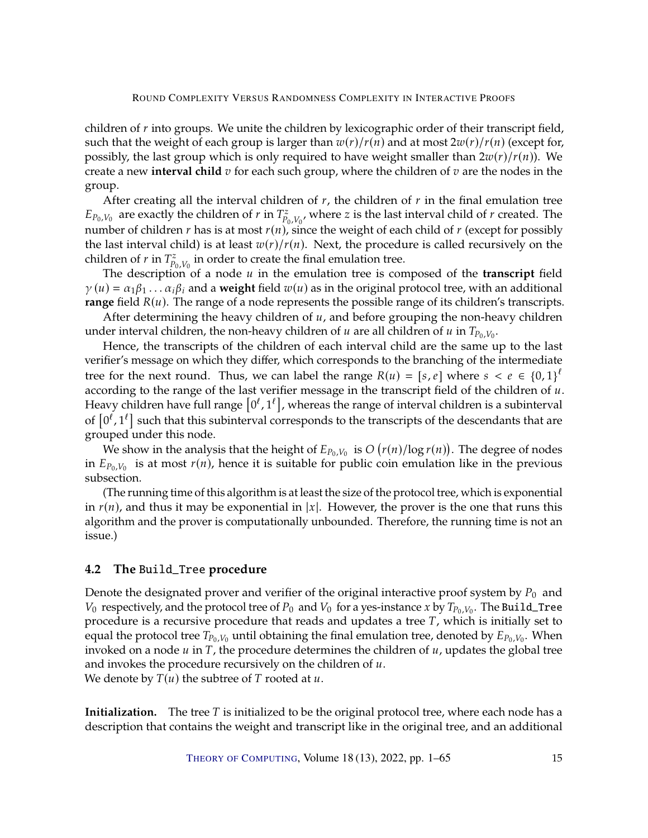children of  $r$  into groups. We unite the children by lexicographic order of their transcript field, such that the weight of each group is larger than  $w(r)/r(n)$  and at most  $2w(r)/r(n)$  (except for, possibly, the last group which is only required to have weight smaller than  $2w(r)/r(n)$ ). We create a new **interval child**  $v$  for each such group, where the children of  $v$  are the nodes in the group.

After creating all the interval children of  $r$ , the children of  $r$  in the final emulation tree  $E_{P_0,V_0}$  are exactly the children of r in  $T_{P_0,V_0}^z$ , where z is the last interval child of r created. The number of children r has is at most  $r(n)$ , since the weight of each child of r (except for possibly the last interval child) is at least  $x(x)/x(n)$ . Noxt, the procedure is called recursively on the the last interval child) is at least  $w(r)/r(n)$ . Next, the procedure is called recursively on the children of *r* in  $T_{p_0, V_0}^z$  in order to create the final emulation tree.<br>The description of a node *u* in the emulation tree is con-

The description of a node u in the emulation tree is composed of the **transcript** field<br> $y_0 = \alpha_1 \beta_2$ ,  $\alpha_2 \beta_3$  and a **weight** field  $y_1(y)$  as in the original protocol tree, with an additional  $\gamma(u) = \alpha_1 \beta_1 \dots \alpha_i \beta_i$  and a weight field  $w(u)$  as in the original protocol tree, with an additional **range** field  $R(u)$ . The range of a node represents the possible range of its children's transcripts.

After determining the heavy children of  $u$ , and before grouping the non-heavy children under interval children, the non-heavy children of  $u$  are all children of  $u$  in  $T_{P_0,V_0}$ .<br>Hence, the transcripts of the children of each interval child are the same  $u$ 

Hence, the transcripts of the children of each interval child are the same up to the last verifier's message on which they differ, which corresponds to the branching of the intermediate tree for the next round. Thus, we can label the range  $R(u) = [s, e]$  where  $s < e \in \{0, 1\}^{\ell}$ <br>according to the range of the last verifier message in the transcript field of the children of  $u$ according to the range of the last verifier message in the transcript field of the children of  $u$ . Heavy children have full range  $[0^l, 1^l]$ , whereas the range of interval children is a subinterval<br>of  $[0^l, 1^l]$  quality that this qubinterval corresponds to the transmitte of the descendants that are of  $[0^l, 1^l]$  such that this subinterval corresponds to the transcripts of the descendants that are<br>grouped under this pode grouped under this node.

We show in the analysis that the height of  $E_{P_0,V_0}$  is  $O(r(n)/\log r(n))$ . The degree of nodes<br> $E_{P_0,V_0}$  is at most  $r(n)$  bence it is suitable for public coin emulation like in the previous in  $E_{P_0,V_0}$  is at most  $r(n)$ , hence it is suitable for public coin emulation like in the previous subsection.

(The running time of this algorithm is at least the size of the protocol tree, which is exponential in  $r(n)$ , and thus it may be exponential in |x|. However, the prover is the one that runs this algorithm and the prover is computationally unbounded. Therefore, the running time is not an issue.)

# <span id="page-14-0"></span>**4.2 The** Build\_Tree **procedure**

Denote the designated prover and verifier of the original interactive proof system by  $P_0$  and  $V_0$  respectively, and the protocol tree of  $P_0$  and  $V_0$  for a yes-instance x by  $T_{P_0,V_0}$ . The Build\_Tree procedure is a recursive procedure that reads and updates a tree  $T$ , which is initially set to equal the protocol tree  $T_{P_0,V_0}$  until obtaining the final emulation tree, denoted by  $E_{P_0,V_0}$ . When invoked on a node  $u$  in  $T$  the procedure determines the children of  $u$  undates the global tree invoked on a node  $u$  in  $T$ , the procedure determines the children of  $u$ , updates the global tree and invokes the procedure recursively on the children of  $u$ . We denote by  $T(u)$  the subtree of T rooted at  $u$ .

**Initialization.** The tree T is initialized to be the original protocol tree, where each node has a description that contains the weight and transcript like in the original tree, and an additional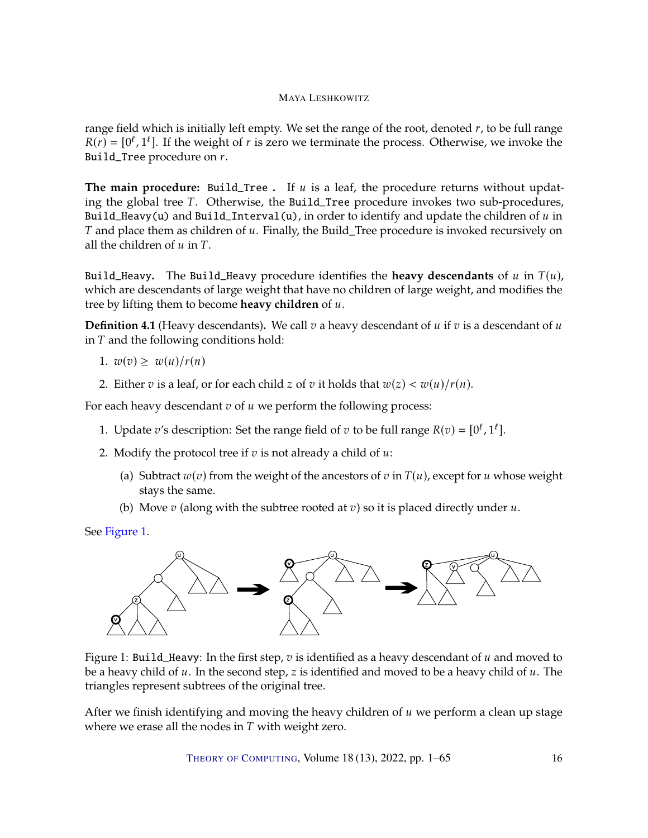range field which is initially left empty. We set the range of the root, denoted  $r$ , to be full range  $R(r) = [0^{\ell}, 1^{\ell}]$ . If the weight of *r* is zero we terminate the process. Otherwise, we invoke the Build\_Tree procedure on  $r$ .

**The main procedure:** Build\_Tree . If  $u$  is a leaf, the procedure returns without updating the global tree T. Otherwise, the Build\_Tree procedure invokes two sub-procedures, Build\_Heavy(u) and Build\_Interval(u), in order to identify and update the children of  $u$  in  $T$  and place them as children of  $u$ . Finally, the Build\_Tree procedure is invoked recursively on all the children of  $u$  in  $T$ .

Build\_Heavy. The Build\_Heavy procedure identifies the **heavy descendants** of  $u$  in  $T(u)$ , which are descendants of large weight that have no children of large weight, and modifies the tree by lifting them to become **heavy children** of  $u$ .

<span id="page-15-1"></span>**Definition 4.1** (Heavy descendants). We call  $v$  a heavy descendant of  $u$  if  $v$  is a descendant of  $u$ in  $T$  and the following conditions hold:

$$
1. \ w(v) \geq \ w(u)/r(n)
$$

2. Either  $v$  is a leaf, or for each child  $z$  of  $v$  it holds that  $w(z) < w(u)/r(n)$ .

For each heavy descendant  $v$  of  $u$  we perform the following process:

- 1. Update v's description: Set the range field of v to be full range  $R(v) = [0^{\ell}, 1^{\ell}]$ .
- 2. Modify the protocol tree if  $v$  is not already a child of  $u$ :
	- (a) Subtract  $w(v)$  from the weight of the ancestors of v in  $T(u)$ , except for u whose weight stays the same.
	- (b) Move  $v$  (along with the subtree rooted at  $v$ ) so it is placed directly under  $u$ .

```
See Figure 1.
```


<span id="page-15-0"></span>Figure 1: Build\_Heavy: In the first step,  $v$  is identified as a heavy descendant of  $u$  and moved to be a heavy child of  $u$ . In the second step,  $z$  is identified and moved to be a heavy child of  $u$ . The triangles represent subtrees of the original tree.

After we finish identifying and moving the heavy children of  $u$  we perform a clean up stage where we erase all the nodes in  $T$  with weight zero.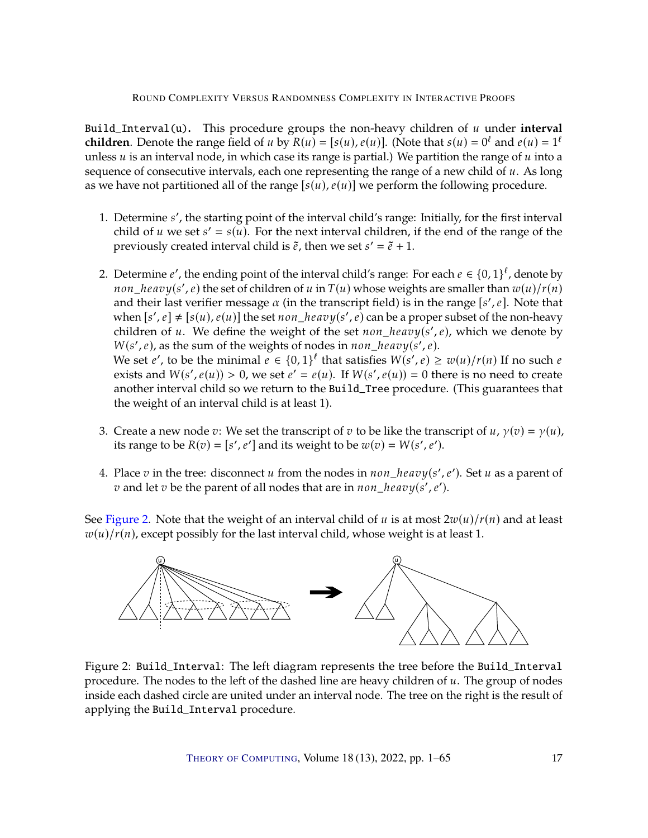Build\_Interval(u). This procedure groups the non-heavy children of  $u$  under interval **children**. Denote the range field of u by  $R(u) = [s(u), e(u)]$ . (Note that  $s(u) = 0^{\ell}$  and  $e(u) = 1^{\ell}$ ) unless  $u$  is an interval node, in which case its range is partial.) We partition the range of  $u$  into a sequence of consecutive intervals, each one representing the range of a new child of  $u$ . As long as we have not partitioned all of the range  $[s(u), e(u)]$  we perform the following procedure.

- 1. Determine *s'*, the starting point of the interval child's range: Initially, for the first interval child of  $u$  we set  $s' = s(u)$ . For the payt interval children, if the end of the range of the child of u we set  $s' = s(u)$ . For the next interval children, if the end of the range of the previously created interval child is  $\tilde{e}$  then we set  $s' = \tilde{e} + 1$ . previously created interval child is  $\tilde{e}$ , then we set  $s' = \tilde{e} + 1$ .
- 2. Determine e', the ending point of the interval child's range: For each  $e \in \{0,1\}^{\ell}$ , denote by non\_heavy(s', e) the set of children of u in  $T(u)$  whose weights are smaller than  $w(u)/r(u)$ <br>and their last verifier message  $\alpha$  (in the transcript field) is in the range [s', e]. Note that and their last verifier message  $\alpha$  (in the transcript field) is in the range  $[s', e]$ . Note that when  $[s', e] \neq [s(u), e(u)]$  the set *non\_heavy*(s', e) can be a proper subset of the non-heavy<br>children of u. Wo define the woight of the set non-heavy(s', e), which we denote by children of u. We define the weight of the set  $non\_heavy(s', e)$ , which we denote by  $W(s', e)$ , as the sum of the weights of podes in non-heavy(s',e).  $W(s', e)$ , as the sum of the weights of nodes in non\_heavy(s',e).<br>We set e', to be the minimal  $e \in \{0, 1\}^{\ell}$  that satisfies  $W(s', e)$ We set *e'*, to be the minimal  $e \in \{0,1\}^{\ell}$  that satisfies  $W(s', e) \geq w(u)/r(n)$  If no such  $e$  exists and  $W(s', e(u)) > 0$  we set  $e' = e(u)$ . If  $W(s', e(u)) = 0$  there is no need to create exists and  $W(s', e(u)) > 0$ , we set  $e' = e(u)$ . If  $W(s', e(u)) = 0$  there is no need to create another interval child so we return to the Build\_Tree procedure. (This guarantees that the weight of an interval child is at least 1).
- 3. Create a new node  $v:$  We set the transcript of  $v$  to be like the transcript of  $u$ ,  $\gamma(v) = \gamma(u)$ , its range to be  $R(v) = [s', e']$  and its weight to be  $w(v) = W(s', e')$ .
- 4. Place  $v$  in the tree: disconnect  $u$  from the nodes in  $non\_heavy(s', e')$ . Set  $u$  as a parent of  $v$  and let  $v$  be the parent of all podes that are in  $non\_heavy(s', e')$ . v and let v be the parent of all nodes that are in  $non\_heavy(s', e').$

See [Figure](#page-16-0) [2.](#page-16-0) Note that the weight of an interval child of u is at most  $2w(u)/r(n)$  and at least  $w(u)/r(n)$ , except possibly for the last interval child, whose weight is at least 1.



<span id="page-16-0"></span>Figure 2: Build\_Interval: The left diagram represents the tree before the Build\_Interval procedure. The nodes to the left of the dashed line are heavy children of  $u$ . The group of nodes inside each dashed circle are united under an interval node. The tree on the right is the result of applying the Build\_Interval procedure.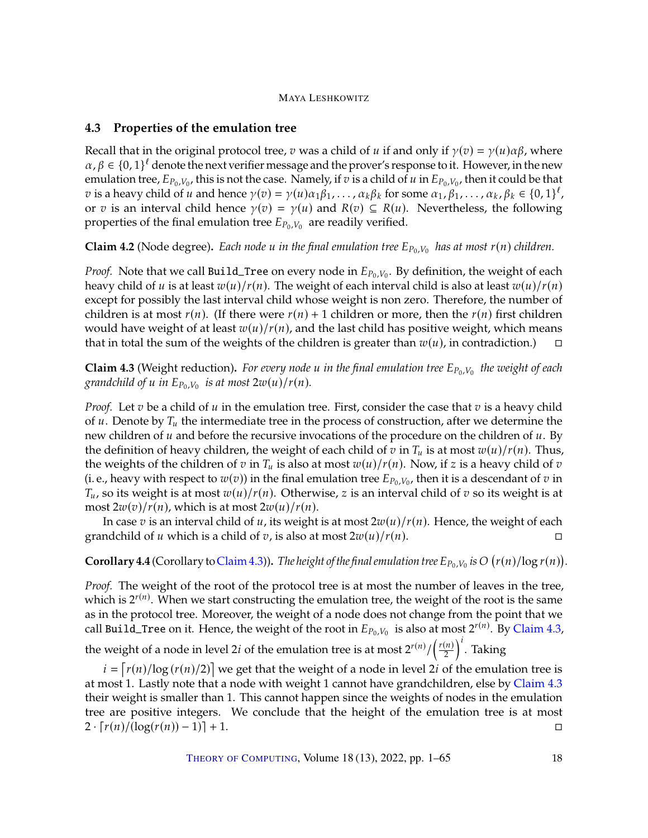# <span id="page-17-0"></span>**4.3 Properties of the emulation tree**

Recall that in the original protocol tree,  $v$  was a child of  $u$  if and only if  $\gamma(v) = \gamma(u)\alpha\beta$ , where  $\alpha, \beta \in \{0, 1\}^{\ell}$  denote the next verifier message and the prover's response to it. However, in the new appliciant root  $F_{\alpha}$ ,  $\mu$  this is not the case. Namely if  $\pi$  is a child of  $\mu$  in  $F_{\alpha}$ ,  $\mu$  then it co emulation tree,  $E_{P_0,V_0}$ , this is not the case. Namely, if  $v$  is a child of  $u$  in  $E_{P_0,V_0}$ , then it could be that  $v_0$  is a boxy child of  $u$  and bonce  $v(v) = v(u)v_0e$ ,  $g_1$  for some  $g_1$ ,  $g_2$ ,  $g_3$ ,  $g_4$ ,  $g_$ v is a heavy child of u and hence  $\gamma(v) = \gamma(u)\alpha_1\beta_1, \dots, \alpha_k\beta_k$  for some  $\alpha_1, \beta_1, \dots, \alpha_k, \beta_k \in \{0, 1\}^{\ell}$ ,  $\alpha_k$ ,  $\beta_k \in \{0, 1\}^{\ell}$ or *v* is an interval child hence  $\gamma(v) = \gamma(u)$  and  $R(v) \subseteq R(u)$ . Nevertheless, the following properties of the final emulation tree  $E_{P_0,V_0}$  are readily verified.

**Claim 4.2** (Node degree). Each node u in the final emulation tree  $E_{P_0,V_0}$  has at most  $r(n)$  children.

*Proof.* Note that we call Build\_Tree on every node in  $E_{P_0,V_0}$ . By definition, the weight of each heavy child of u is at least  $w(u)/r(u)$ . The weight of each interval child is also at least  $w(u)/r(u)$ heavy child of u is at least  $w(u)/r(u)$ . The weight of each interval child is also at least  $w(u)/r(u)$ except for possibly the last interval child whose weight is non zero. Therefore, the number of children is at most  $r(n)$ . (If there were  $r(n) + 1$  children or more, then the  $r(n)$  first children would have weight of at least  $w(u)/r(n)$ , and the last child has positive weight, which means that in total the sum of the weights of the children is greater than  $w(u)$ , in contradiction.) that in total the sum of the weights of the children is greater than  $w(u)$ , in contradiction.)

<span id="page-17-1"></span>**Claim 4.3** (Weight reduction). *For every node*  $u$  *in the final emulation tree*  $E_{P_0,V_0}$  *the weight of each* organization of each  $\frac{1}{P_0}$  and  $\frac{1}{P_0}$  and  $\frac{1}{P_0}$  and  $\frac{1}{P_0}$  and  $\frac{1}{P_0}$  and  $\frac{$ grandchild of  $u$  in  $E_{P_0, V_0}$  is at most  $2w(u)/r(n)$ .

*Proof.* Let  $v$  be a child of  $u$  in the emulation tree. First, consider the case that  $v$  is a heavy child of  $u$ . Denote by  $T_u$  the intermediate tree in the process of construction, after we determine the new children of  $u$  and before the recursive invocations of the procedure on the children of  $u$ . By the definition of heavy children, the weight of each child of  $v$  in  $T_u$  is at most  $w(u)/r(u)$ . Thus, the weights of the children of  $v$  in  $T_u$  is also at most  $w(u)/r(u)$ . Now, if  $z$  is a heavy child of  $v$ (i. e., heavy with respect to  $w(v)$ ) in the final emulation tree  $E_{P_0,V_0}$ , then it is a descendant of  $v$  in  $T_{\text{eff}}$  so its woight is at most  $w(u)/r(u)$ . Otherwise,  $\bar{z}$  is an interval child of  $\bar{z}$  so its woight  $T_u$ , so its weight is at most  $w(u)/r(u)$ . Otherwise, z is an interval child of v so its weight is at most  $2w(v)/r(n)$ , which is at most  $2w(u)/r(n)$ .

In case  $v$  is an interval child of  $u$ , its weight is at most  $2w(u)/r(n)$ . Hence, the weight of each ndchild of  $u$  which is a child of  $v$ , is also at most  $2w(u)/r(n)$ . grandchild of u which is a child of v, is also at most  $2w(u)/r(n)$ .

<span id="page-17-2"></span>**Corollary 4.4** (Corollary to [Claim](#page-17-1) [4.3\)](#page-17-1)). The height of the final emulation tree  $E_{P_0,V_0}$  is  $O(r(n)/\log r(n))$ .

*Proof.* The weight of the root of the protocol tree is at most the number of leaves in the tree, which is  $2^{r(n)}$ . When we start constructing the emulation tree, the weight of the root is the same as in the protocol tree. Moreover, the weight of a node does not change from the point that we call Build\_Tree on it. Hence, the weight of the root in  $E_{P_0,V_0}$  is also at most  $2^{r(n)}$ . By [Claim](#page-17-1) [4.3,](#page-17-1)

the weight of a node in level 2*i* of the emulation tree is at most  $2^{r(n)}/(\frac{r(n)}{2})^t$ . Taking

 $i = [r(n)/\log(r(n)/2)]$  we get that the weight of a node in level 2*i* of the emulation tree is<br>cost 1. Lastly note that a node with weight 1 cannot have grandchildren, else by Claim 4.3 at most 1. Lastly note that a node with weight 1 cannot have grandchildren, else by [Claim](#page-17-1) [4.3](#page-17-1) their weight is smaller than 1. This cannot happen since the weights of nodes in the emulation tree are positive integers. We conclude that the height of the emulation tree is at most  $2 \cdot [r(n)/(\log(r(n)) - 1)] + 1.$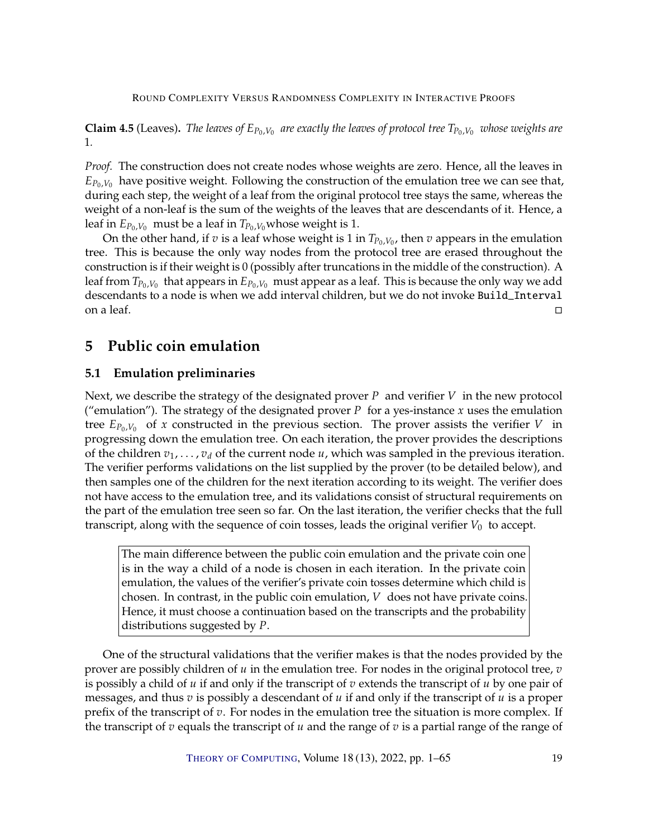<span id="page-18-2"></span>**Claim 4.5** (Leaves). *The leaves of*  $E_{P_0,V_0}$  are exactly the leaves of protocol tree  $T_{P_0,V_0}$  whose weights are 1*.*

*Proof.* The construction does not create nodes whose weights are zero. Hence, all the leaves in  $E_{P_0,V_0}$  have positive weight. Following the construction of the emulation tree we can see that, during each step, the weight of a leaf from the original protocol tree stays the same, whereas the weight of a non-leaf is the sum of the weights of the leaves that are descendants of it. Hence, a leaf in  $E_{P_0,V_0}$  must be a leaf in  $T_{P_0,V_0}$  whose weight is 1.

On the other hand, if  $v$  is a leaf whose weight is 1 in  $T_{P_0,V_0}$ , then  $v$  appears in the emulation This is because the only way podes from the protocol tree are erased throughout the tree. This is because the only way nodes from the protocol tree are erased throughout the construction is if their weight is 0 (possibly after truncations in the middle of the construction). A leaf from  $T_{P_0,V_0}$  that appears in  $E_{P_0,V_0}$  must appear as a leaf. This is because the only way we add<br>descendants to a node is when we add interval children, but we do not invoke Build, Interval descendants to a node is when we add interval children, but we do not invoke Build\_Interval on a leaf.

# <span id="page-18-0"></span>**5 Public coin emulation**

# <span id="page-18-1"></span>**5.1 Emulation preliminaries**

Next, we describe the strategy of the designated prover P and verifier  $V$  in the new protocol ("emulation"). The strategy of the designated prover P for a yes-instance x uses the emulation tree  $E_{P_0,V_0}$  of x constructed in the previous section. The prover assists the verifier V in progressing down the emulation tree. On each iteration, the prover provides the descriptions of the children  $v_1, \ldots, v_d$  of the current node  $u$ , which was sampled in the previous iteration. The verifier performs validations on the list supplied by the prover (to be detailed below), and then samples one of the children for the next iteration according to its weight. The verifier does not have access to the emulation tree, and its validations consist of structural requirements on the part of the emulation tree seen so far. On the last iteration, the verifier checks that the full transcript, along with the sequence of coin tosses, leads the original verifier  $V_0$  to accept.

The main difference between the public coin emulation and the private coin one is in the way a child of a node is chosen in each iteration. In the private coin emulation, the values of the verifier's private coin tosses determine which child is chosen. In contrast, in the public coin emulation,  $V$  does not have private coins. Hence, it must choose a continuation based on the transcripts and the probability distributions suggested by P.

One of the structural validations that the verifier makes is that the nodes provided by the prover are possibly children of  $u$  in the emulation tree. For nodes in the original protocol tree,  $v$ is possibly a child of  $u$  if and only if the transcript of  $v$  extends the transcript of  $u$  by one pair of messages, and thus  $v$  is possibly a descendant of  $u$  if and only if the transcript of  $u$  is a proper prefix of the transcript of  $v$ . For nodes in the emulation tree the situation is more complex. If the transcript of  $v$  equals the transcript of  $u$  and the range of  $v$  is a partial range of the range of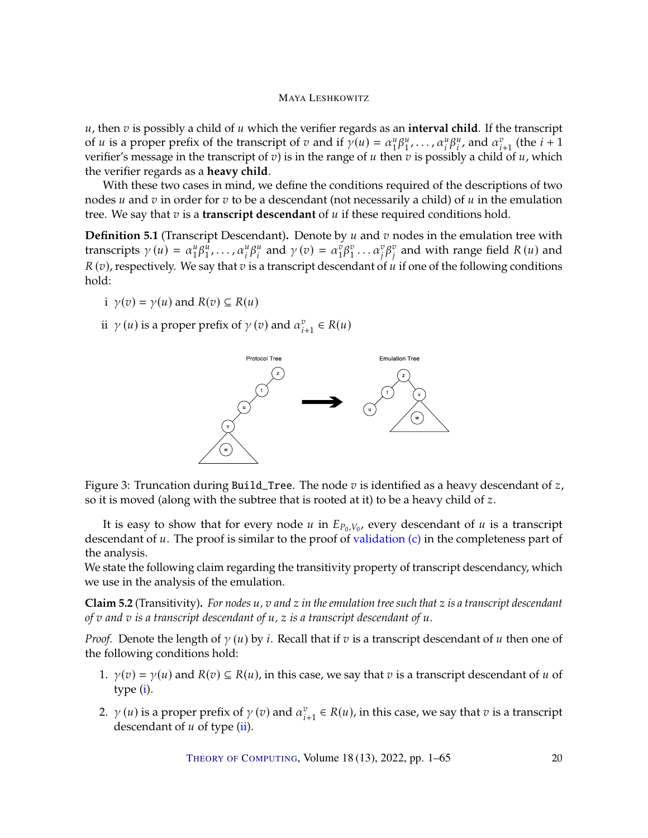$u$ , then  $v$  is possibly a child of  $u$  which the verifier regards as an **interval child**. If the transcript of *u* is a proper prefix of the transcript of *v* and if  $\gamma(u) = \alpha_1^u \beta_1^u, \dots, \alpha_i^u \beta_i^u$ , and  $\alpha_{i+1}^v$  (the  $i+1$ ) or *u* is a proper preix of the transcript of *v* and if  $\gamma(u) = \alpha_1 p_1, \dots, \alpha_i p_i$ , and  $\alpha_{i+1}$  (the  $i + 1$  verifier's message in the transcript of *v*) is in the range of *u* then *v* is possibly a child of *u*, which th the verifier regards as a **heavy child**.

With these two cases in mind, we define the conditions required of the descriptions of two nodes  $u$  and  $v$  in order for  $v$  to be a descendant (not necessarily a child) of  $u$  in the emulation tree. We say that  $v$  is a **transcript descendant** of  $u$  if these required conditions hold.

<span id="page-19-3"></span>**Definition 5.1** (Transcript Descendant). Denote by u and v nodes in the emulation tree with transcripts  $\gamma(u) = \alpha_1^u \beta_1^{\tilde{u}}, \dots, \alpha_i^u \beta_i^{\tilde{u}}$  and  $\gamma(v) = \alpha_1^{\tilde{v}} \beta_1^{\tilde{v}} \dots \alpha_j^{\tilde{v}} \beta_j^{\tilde{v}}$  and with range field  $R(u)$  and  $R(v)$  and  $R(v)$  and  $R(v)$  and  $R(v)$  and  $R(v)$  and  $R(v)$  and  $R(v)$  and  $R(v)$  and  $R(v)$ , respectively. We say that  $v$  is a transcript descendant of  $\hat{u}$  if one of the following conditions hold: hold:

- <span id="page-19-0"></span>i  $\gamma(v) = \gamma(u)$  and  $R(v) \subseteq R(u)$
- <span id="page-19-1"></span>ii  $\gamma(u)$  is a proper prefix of  $\gamma(v)$  and  $\alpha_{i+1}^v \in R(u)$



<span id="page-19-2"></span>Figure 3: Truncation during Build\_Tree. The node  $v$  is identified as a heavy descendant of  $z$ , so it is moved (along with the subtree that is rooted at it) to be a heavy child of z.

It is easy to show that for every node  $u$  in  $E_{P_0,V_0}$ , every descendant of  $u$  is a transcript<br>condant of  $u$ . The proof is similar to the proof of validation (c) in the completences part of descendant of  $u$ . The proof is similar to the proof of [validation](#page-26-0)  $(c)$  in the completeness part of the analysis.

We state the following claim regarding the transitivity property of transcript descendancy, which we use in the analysis of the emulation.

<span id="page-19-4"></span>**Claim 5.2** (Transitivity)**.** *For nodes* 𝑢*,* 𝑣 *and* 𝑧 *in the emulation tree such that* 𝑧 *is a transcript descendant of*  $v$  and  $v$  *is a transcript descendant of*  $u$ *,*  $z$  *<i>is a transcript descendant of*  $u$ *.* 

*Proof.* Denote the length of  $\gamma(u)$  by *i*. Recall that if  $v$  is a transcript descendant of  $u$  then one of the following conditions hold:

- 1.  $\gamma(v) = \gamma(u)$  and  $R(v) \subseteq R(u)$ , in this case, we say that v is a transcript descendant of u of type [\(i\)](#page-19-0).
- 2.  $\gamma(u)$  is a proper prefix of  $\gamma(v)$  and  $\alpha_{i+1}^v \in R(u)$ , in this case, we say that  $v$  is a transcript descendant of  $u$  of type (ii) descendant of  $u$  of type [\(ii\)](#page-19-1).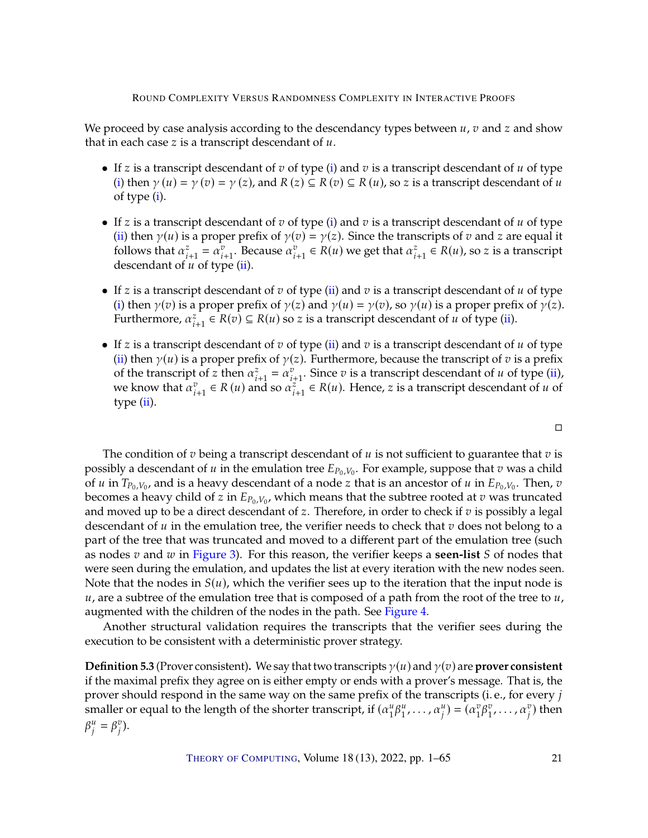We proceed by case analysis according to the descendancy types between  $u, v$  and  $z$  and show that in each case  $z$  is a transcript descendant of  $u$ .

- If z is a transcript descendant of  $v$  of type [\(i\)](#page-19-0) and  $v$  is a transcript descendant of  $u$  of type [\(i\)](#page-19-0) then  $\gamma(u) = \gamma(v) = \gamma(z)$ , and  $R(z) \subseteq R(v) \subseteq R(u)$ , so z is a transcript descendant of u of type [\(i\)](#page-19-0).
- If z is a transcript descendant of  $v$  of type [\(i\)](#page-19-0) and  $v$  is a transcript descendant of  $u$  of type [\(ii\)](#page-19-1) then  $\gamma(u)$  is a proper prefix of  $\gamma(v) = \gamma(z)$ . Since the transcripts of  $v$  and  $z$  are equal it follows that  $\alpha_{i+1}^z = \alpha_{i+1}^v$ . Because  $\alpha_{i+1}^v \in R(u)$  we get that  $\alpha_{i+1}^z \in R(u)$ , so *z* is a transcript descendant of *u* of type (ii) descendant of  $u$  of type [\(ii\)](#page-19-1).
- If  $z$  is a transcript descendant of  $v$  of type [\(ii\)](#page-19-1) and  $v$  is a transcript descendant of  $u$  of type [\(i\)](#page-19-0) then  $\gamma(v)$  is a proper prefix of  $\gamma(z)$  and  $\gamma(u) = \gamma(v)$ , so  $\gamma(u)$  is a proper prefix of  $\gamma(z)$ . Furthermore,  $\alpha_{i+1}^2 \in R(v) \subseteq R(u)$  so *z* is a transcript descendant of *u* of type [\(ii\)](#page-19-1).
- If  $z$  is a transcript descendant of  $v$  of type [\(ii\)](#page-19-1) and  $v$  is a transcript descendant of  $u$  of type [\(ii\)](#page-19-1) then  $\gamma(u)$  is a proper prefix of  $\gamma(z)$ . Furthermore, because the transcript of  $v$  is a prefix of the transcript of z then  $\alpha_{i+1}^z = \alpha_{i+1}^v$ . Since v is a transcript descendant of u of type [\(ii\)](#page-19-1), of the transcript of z then  $\alpha_{i+1}^i = \alpha_{i+1}^i$ . Since  $v$  is a transcript descendant of  $u$  of type  $(u)$ , we know that  $\alpha_{i+1}^v \in R(u)$  and so  $\alpha_{i+1}^z \in R(u)$ . Hence, z is a transcript descendant of  $u$  of type (ii) type  $(ii)$ .

The condition of  $v$  being a transcript descendant of  $u$  is not sufficient to guarantee that  $v$  is possibly a descendant of  $u$  in the emulation tree  $E_{P_0,V_0}$ . For example, suppose that  $v$  was a child<br>of  $u$  in  $T_0$ ,  $v_s$ , and is a beauve descendant of a node  $z$  that is an ancestor of  $u$  in  $F_0$ ,  $v_s$ . Then,  $v$ of  $u$  in  $T_{P_0,V_0}$ , and is a heavy descendant of a node  $z$  that is an ancestor of  $u$  in  $E_{P_0,V_0}$ . Then,  $v$ <br>becomes a heavy child of  $z$  in  $E_{\text{R}}$ ,  $u$ , which means that the subtree rooted at  $z$  was truncated becomes a heavy child of  $z$  in  $E_{P_0,V_0}$ , which means that the subtree rooted at  $v$  was truncated<br>and moved up to be a direct descendant of  $z$ . Therefore, in order to check if  $v$  is possibly a legal and moved up to be a direct descendant of  $z$ . Therefore, in order to check if  $v$  is possibly a legal descendant of  $u$  in the emulation tree, the verifier needs to check that  $v$  does not belong to a part of the tree that was truncated and moved to a different part of the emulation tree (such as nodes  $v$  and  $w$  in [Figure](#page-19-2) [3\)](#page-19-2). For this reason, the verifier keeps a **seen-list**  $S$  of nodes that were seen during the emulation, and updates the list at every iteration with the new nodes seen. Note that the nodes in  $S(u)$ , which the verifier sees up to the iteration that the input node is  $u$ , are a subtree of the emulation tree that is composed of a path from the root of the tree to  $u$ , augmented with the children of the nodes in the path. See [Figure](#page-21-1) [4.](#page-21-1)

Another structural validation requires the transcripts that the verifier sees during the execution to be consistent with a deterministic prover strategy.

<span id="page-20-0"></span>**Definition 5.3** (Prover consistent). We say that two transcripts  $\gamma(u)$  and  $\gamma(v)$  are **prover consistent** if the maximal prefix they agree on is either empty or ends with a prover's message. That is, the prover should respond in the same way on the same prefix of the transcripts (i.e., for every  $j$ smaller or equal to the length of the shorter transcript, if  $(\alpha_1^u \beta_1^u, \dots, \alpha_j^u) = (\alpha_1^v \beta_1^v, \dots, \alpha_j^v)$  then  $^{\prime}$  $^{\prime}$  $\beta_i^u = \beta_i^v$ ).  $^{\prime}$  $^{\prime}$ 

 $\Box$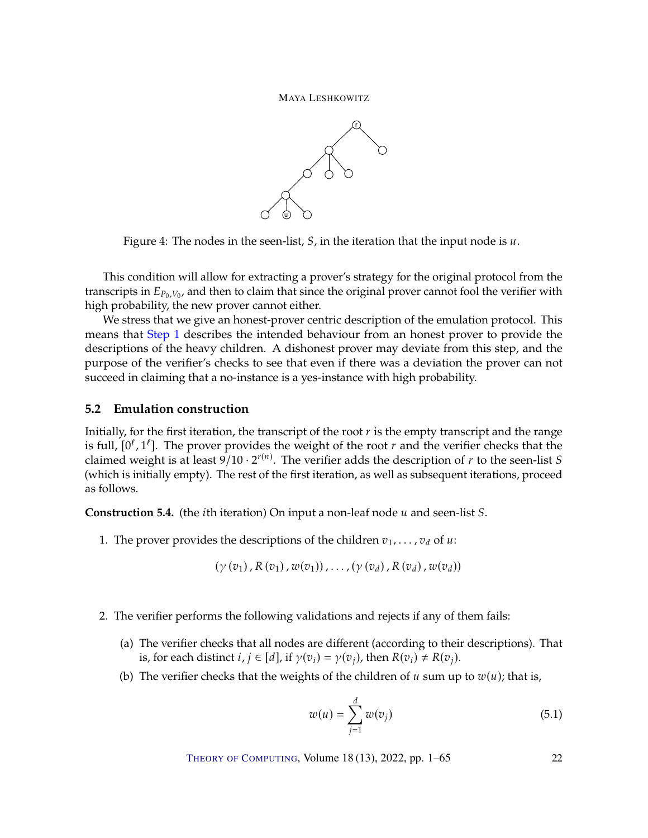

<span id="page-21-1"></span>Figure 4: The nodes in the seen-list,  $S$ , in the iteration that the input node is  $u$ .

This condition will allow for extracting a prover's strategy for the original protocol from the transcripts in  $E_{P_0,V_0}$ , and then to claim that since the original prover cannot fool the verifier with high probability the new prover cannot either high probability, the new prover cannot either.

We stress that we give an honest-prover centric description of the emulation protocol. This means that [Step](#page-21-2) [1](#page-21-2) describes the intended behaviour from an honest prover to provide the descriptions of the heavy children. A dishonest prover may deviate from this step, and the purpose of the verifier's checks to see that even if there was a deviation the prover can not succeed in claiming that a no-instance is a yes-instance with high probability.

# <span id="page-21-0"></span>**5.2 Emulation construction**

Initially, for the first iteration, the transcript of the root  $r$  is the empty transcript and the range is full,  $[0^l, 1^l]$ . The prover provides the weight of the root r and the verifier checks that the claimed weight is at least 9/10,  $2^{r(n)}$ . The verifier adds the description of r to the seen-list S claimed weight is at least  $9/10 \cdot 2^{r(n)}$ . The verifier adds the description of r to the seen-list S<br>(which is initially empty). The rest of the first iteration, as well as subsequent iterations, proceed (which is initially empty). The rest of the first iteration, as well as subsequent iterations, proceed as follows.

<span id="page-21-3"></span>**Construction 5.4.** (the *i*th iteration) On input a non-leaf node *u* and seen-list *S*.

<span id="page-21-2"></span>1. The prover provides the descriptions of the children  $v_1, \ldots, v_d$  of  $u$ :

$$
(\gamma(v_1), R(v_1), w(v_1)), \ldots, (\gamma(v_d), R(v_d), w(v_d))
$$

- <span id="page-21-6"></span><span id="page-21-5"></span><span id="page-21-4"></span>2. The verifier performs the following validations and rejects if any of them fails:
	- (a) The verifier checks that all nodes are different (according to their descriptions). That is, for each distinct  $i, j \in [d]$ , if  $\gamma(v_i) = \gamma(v_i)$ , then  $R(v_i) \neq R(v_i)$ .
	- (b) The verifier checks that the weights of the children of  $u$  sum up to  $w(u)$ ; that is,

$$
w(u) = \sum_{j=1}^{d} w(v_j)
$$
 (5.1)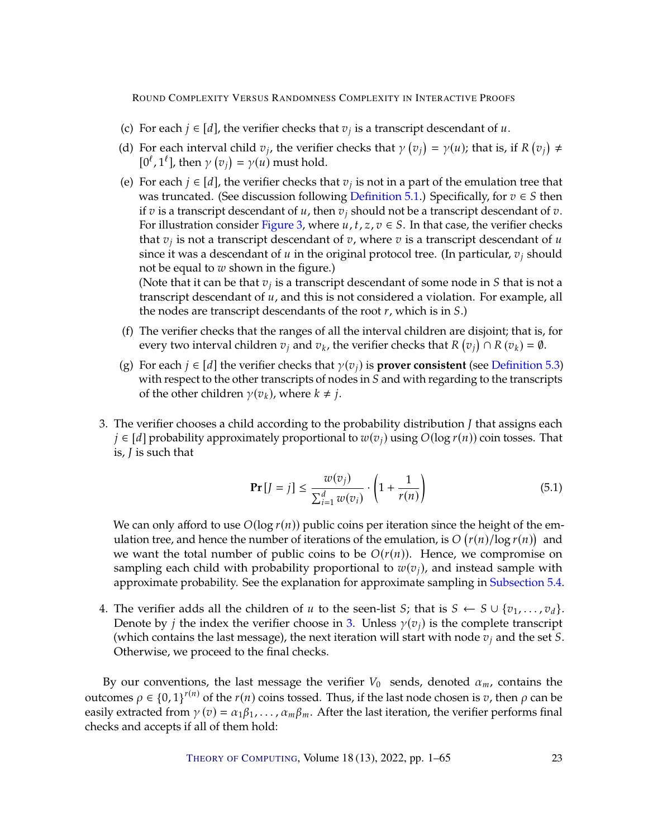- <span id="page-22-1"></span>(c) For each  $j \in [d]$ , the verifier checks that  $v_j$  is a transcript descendant of  $u$ .
- <span id="page-22-4"></span>(d) For each interval child  $v_j$ , the verifier checks that  $\gamma$  (<br> $\frac{f(t^{j-1} + h \cdot v_j)}{g(t^{j-1} + h \cdot v_j)} = \gamma(u)$  must hold  $\frac{1}{\sqrt{2}}$  $= \gamma(u)$ ; that is, if R  $($  $\frac{1}{\sqrt{2}}$  ≠  $[0^{\ell}, 1^{\ell}],$  then  $\gamma$  (  $\frac{1}{\sqrt{2}}$  $= \gamma(u)$  must hold.
- <span id="page-22-5"></span>(e) For each  $j \in [d]$ , the verifier checks that  $v_j$  is not in a part of the emulation tree that was truncated. (See discussion following Definition 5.1.) Specifically for  $z \in S$  then was truncated. (See discussion following [Definition](#page-19-3) [5.1.](#page-19-3)) Specifically, for  $v \in S$  then if v is a transcript descendant of u, then  $v_i$  should not be a transcript descendant of v. For illustration consider [Figure](#page-19-2) [3,](#page-19-2) where  $u, t, z, v \in S$ . In that case, the verifier checks that  $v_j$  is not a transcript descendant of  $v$ , where  $v$  is a transcript descendant of  $u$ <br>since it was a descendant of  $u$  in the original protocol tree. (In particular  $v_j$  should since it was a descendant of  $u$  in the original protocol tree. (In particular,  $v_j$  should not be equal to  $w$  shown in the figure.) (Note that it can be that  $v_j$  is a transcript descendant of some node in S that is not a<br>transcript descendant of u, and this is not considered a violation. For example, all

transcript descendant of  $u$ , and this is not considered a violation. For example, all the nodes are transcript descendants of the root  $r$ , which is in  $S$ .)

- <span id="page-22-2"></span>(f) The verifier checks that the ranges of all the interval children are disjoint; that is, for every two interval children  $v_j$  and  $v_k$ , the verifier checks that  $R$  (  $\frac{1}{\sqrt{2}}$  $\bigcap_{k=0}^{n} R(v_k) = \emptyset.$
- <span id="page-22-3"></span>(g) For each  $j \in [d]$  the verifier checks that  $\gamma(v_j)$  is **prover consistent** (see [Definition](#page-20-0) [5.3\)](#page-20-0) with respect to the other transcripts of nodes in  $S$  and with regarding to the transcripts of the other children  $\gamma(v_k)$ , where  $k \neq j$ .
- <span id="page-22-0"></span>3. The verifier chooses a child according to the probability distribution  $J$  that assigns each  $j \in [d]$  probability approximately proportional to  $w(v_j)$  using  $O(\log r(n))$  coin tosses. That is,  *is such that*

$$
\Pr\left[J=j\right] \le \frac{w(v_j)}{\sum_{i=1}^d w(v_i)} \cdot \left(1 + \frac{1}{r(n)}\right) \tag{5.1}
$$

We can only afford to use  $O(\log r(n))$  public coins per iteration since the height of the emulation tree, and hence the number of iterations of the emulation, is  $O(r(n)/\log r(n))$  and<br>we want the total number of public coins to be  $O(r(n))$ . Hence, we compromise on we want the total number of public coins to be  $O(r(n))$ . Hence, we compromise on sampling each child with probability proportional to  $w(v_i)$ , and instead sample with approximate probability. See the explanation for approximate sampling in [Subsection](#page-23-1) [5.4.](#page-23-1)

4. The verifier adds all the children of u to the seen-list *S*; that is  $S \leftarrow S \cup \{v_1, \ldots, v_d\}$ . Denote by *j* the index the verifier choose in [3.](#page-22-0) Unless  $\gamma(v_i)$  is the complete transcript (which contains the last message), the next iteration will start with node  $v_j$  and the set S. Otherwise, we proceed to the final checks.

By our conventions, the last message the verifier  $V_0$  sends, denoted  $\alpha_m$ , contains the outcomes  $ρ ∈ {0, 1}^{r(n)}$  of the  $r(n)$  coins tossed. Thus, if the last node chosen is *v*, then *ρ* can be easily extracted from  $\gamma(v) = \alpha_1 \beta_1, \dots, \alpha_m \beta_m$ . After the last iteration, the verifier performs final checks and accepts if all of them hold: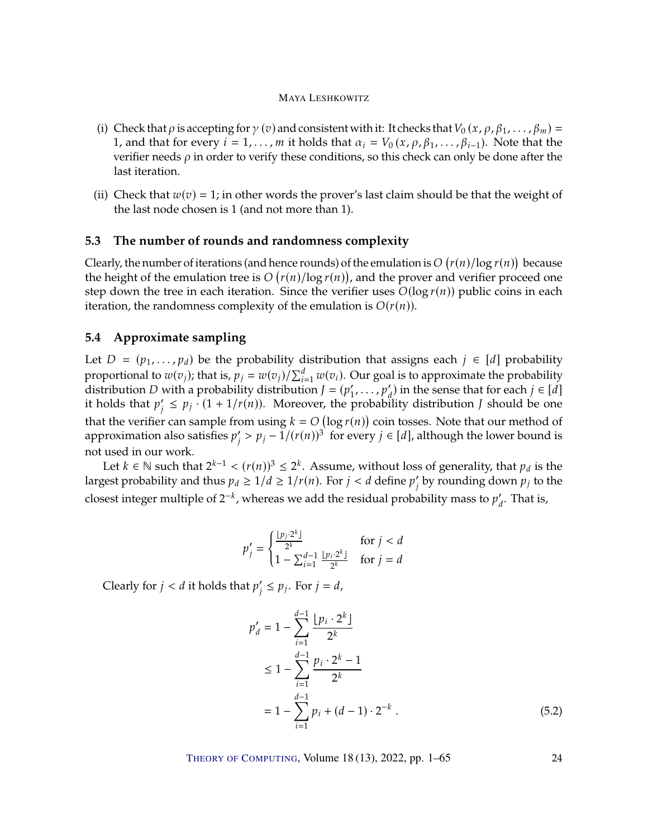- (i) Check that  $\rho$  is accepting for  $\gamma$  (v) and consistent with it: It checks that  $V_0(x, \rho, \beta_1, \ldots, \beta_m)$  = 1, and that for every  $i = 1, ..., m$  it holds that  $\alpha_i = V_0(x, \rho, \beta_1, ..., \beta_{i-1})$ . Note that the verifier needs  $\rho$  in order to verify these conditions, so this check can only be done after the last iteration.
- (ii) Check that  $w(v) = 1$ ; in other words the prover's last claim should be that the weight of the last node chosen is 1 (and not more than 1).

# <span id="page-23-0"></span>**5.3 The number of rounds and randomness complexity**

Clearly, the number of iterations (and hence rounds) of the emulation is  $O(r(n)/\log r(n))$  because<br>the height of the emulation tree is  $O(r(n)/\log r(n))$  and the prover and verifier proceed one the height of the emulation tree is  $O(r(n)/\log r(n))$ , and the prover and verifier proceed one<br>stop down the tree in each iteration. Since the verifier uses  $O(\log r(n))$  public coins in each step down the tree in each iteration. Since the verifier uses  $O(\log r(n))$  public coins in each iteration, the randomness complexity of the emulation is  $O(r(n))$ .

# <span id="page-23-1"></span>**5.4 Approximate sampling**

Let  $D = (p_1, \ldots, p_d)$  be the probability distribution that assigns each  $j \in [d]$  probability proportional to  $w(v_j)$ ; that is,  $p_j = w(v_j)/\sum_{i=1}^d w(v_i)$ . Our goal is to approximate the probability distribution  $I - (n' - n')$  in the sense that for each  $i \in [d]$ distribution *D* with a probability distribution  $J = (p'_1)$ 1 , . . . , 𝑝<sup>0</sup> ) in the sense that for each 𝑗 ∈ [𝑑] it holds that  $p'_j \leq p_j \cdot (1 + 1/r(n))$ . Moreover, the probability distribution *J* should be one that the verifier can sample from using  $k = O(\log r(n))$  coin tosses. Note that our method of<br>approximation also satisfies  $n' > n_1 - 1/(r(n))^3$  for every  $i \in [d]$  although the lower bound is approximation also satisfies  $p'_j > p_j - 1/(r(n))^3$  for every  $j \in [d]$ , although the lower bound is  $^{\prime}$ not used in our work.

Let  $k \in \mathbb{N}$  such that  $2^{k-1} < (r(n))^3 \le 2^k$ . Assume, without loss of generality, that  $p_d$  is the rest probability and thus  $n_1 > 1/d > 1/r(n)$ . For  $i < d$  define  $n'$  by rounding down  $n$ ; to the largest probability and thus  $p_d \ge 1/d \ge 1/r(n)$ . For  $j < d$  define  $p'_j$  by rounding down  $p_j$  to the closest integer multiple of  $2^{-k}$ , whereas we add the residual probability mass to  $p'_d$ . That is,

$$
p'_{j} = \begin{cases} \frac{\lfloor p_{j} \cdot 2^{k} \rfloor}{2^{k}} & \text{for } j < d \\ 1 - \sum_{i=1}^{d-1} \frac{\lfloor p_{i} \cdot 2^{k} \rfloor}{2^{k}} & \text{for } j = d \end{cases}
$$

Clearly for  $j < d$  it holds that  $p'_j$  $j' \leq p_j$ . For  $j = d$ ,

$$
p'_{d} = 1 - \sum_{i=1}^{d-1} \frac{[p_{i} \cdot 2^{k}]}{2^{k}}
$$
  
\n
$$
\leq 1 - \sum_{i=1}^{d-1} \frac{p_{i} \cdot 2^{k} - 1}{2^{k}}
$$
  
\n
$$
= 1 - \sum_{i=1}^{d-1} p_{i} + (d - 1) \cdot 2^{-k} .
$$
\n(5.2)

<span id="page-23-2"></span>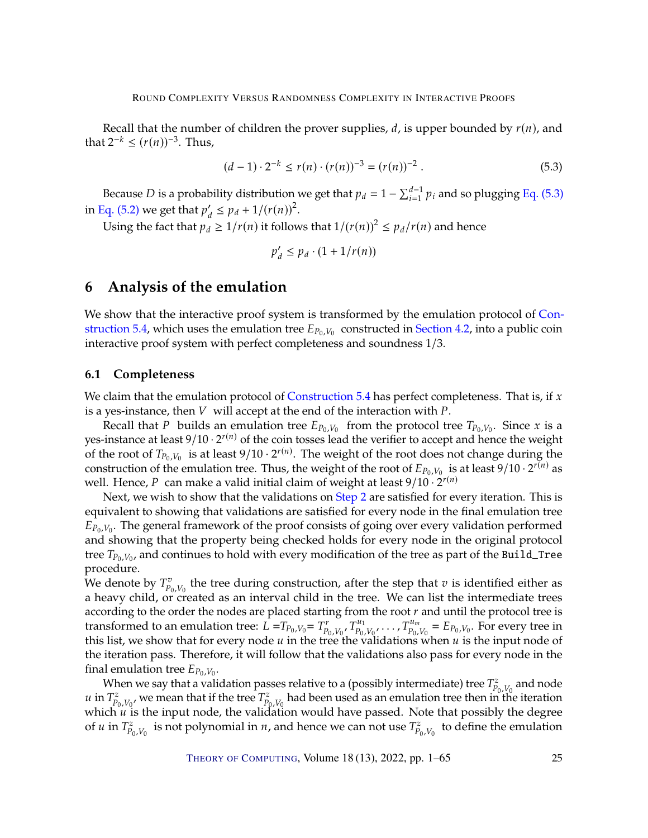Recall that the number of children the prover supplies, d, is upper bounded by  $r(n)$ , and that  $2^{-k} \le (r(n))^{-3}$ . Thus,

$$
(d-1) \cdot 2^{-k} \le r(n) \cdot (r(n))^{-3} = (r(n))^{-2} . \tag{5.3}
$$

Because *D* is a probability distribution we get that  $p_d = 1 - \sum_{i=1}^{d-1}$  $_{i=1}^{d-1}$   $p_i$  and so plugging Eq. [\(5.3\)](#page-24-2) in [Eq. \(5.2\)](#page-23-2) we get that  $p'_d \leq p_d + 1/(r(n))^2$ .

Using the fact that  $p_d \geq 1/r(n)$  it follows that  $1/(r(n))^2 \leq p_d/r(n)$  and hence

<span id="page-24-2"></span>
$$
p'_d \le p_d \cdot (1 + 1/r(n))
$$

# <span id="page-24-0"></span>**6 Analysis of the emulation**

We show that the interactive proof system is transformed by the emulation protocol of [Con](#page-21-3)[struction](#page-21-3) [5.4,](#page-21-3) which uses the emulation tree  $E_{P_0,V_0}$  constructed in [Section](#page-14-0) [4.2,](#page-14-0) into a public coin interactive proof system with perfect completeness and soundness  $1/3$ interactive proof system with perfect completeness and soundness 1/3.

### <span id="page-24-1"></span>**6.1 Completeness**

We claim that the emulation protocol of [Construction](#page-21-3) [5.4](#page-21-3) has perfect completeness. That is, if  $x$ is a yes-instance, then  $V$  will accept at the end of the interaction with  $P$ .

Recall that P builds an emulation tree  $E_{P_0,V_0}$  from the protocol tree  $T_{P_0,V_0}$ . Since x is a instance at loss  $\left(10, 2^{r(n)}\right)$  of the coin tosses load the verifier to accept and bence the words yes-instance at least  $9/10 \cdot 2^{r(n)}$  of the coin tosses lead the verifier to accept and hence the weight of the root of  $T_{P_0,V_0}$  is at least  $9/10 \cdot 2^{r(n)}$ . The weight of the root does not change during the construction of the emulation tree. Thus, the weight of the root of  $F_{\text{B}}$ ,  $V_{\text{B}}$  is at least  $9/10 \cdot 2^{r(n)}$  construction of the emulation tree. Thus, the weight of the root of  $E_{P_0,V_0}$  is at least  $9/10 \cdot 2^{r(n)}$  as well. Hence, P can make a valid initial claim of weight at least  $9/10 \cdot 2^{r(n)}$ <br>Next we wish to show that the validations on Step 2 are satisfied for ex-

Next, we wish to show that the validations on [Step](#page-21-4) [2](#page-21-4) are satisfied for every iteration. This is equivalent to showing that validations are satisfied for every node in the final emulation tree  $L_{p_0, V_0}$ . The general framework of the proof consists of going over every vandation performed<br>and showing that the property being checked holds for every node in the original protocol  $E_{P_0,V_0}$ . The general framework of the proof consists of going over every validation performed tree  $T_{P_0,V_0}$ , and continues to hold with every modification of the tree as part of the Build\_Tree procedure.

We denote by  $T_{P_0,V_0}^v$  the tree during construction, after the step that  $v$  is identified either as a heavy child or created as an interval child in the tree. We can list the intermediate trees a heavy child, or created as an interval child in the tree. We can list the intermediate trees according to the order the nodes are placed starting from the root  $r$  and until the protocol tree is transformed to an emulation tree:  $\bar{L} = T_{P_0, V_0} = T_{P_0, V_0}^r, T_{P_0, V_0}^{u_1}, \ldots, T_{P_0, V_0}^{u_m} = E_{P_0, V_0}$ . For every tree in this list we show that for every node u in the tree the validations when u is the input nod this list, we show that for every node  $u$  in the tree the validations when  $u$  is the input node of the intervalsed pass. Therefore, it will follow that the validations also pass for every node in the the iteration pass. Therefore, it will follow that the validations also pass for every node in the final emulation tree  $E_{P_0,V_0}$ .

When we say that a validation passes relative to a (possibly intermediate) tree  $T_{p_0,V_0}^z$  and node<br> $T^z$  we mean that if the tree  $T^z$  had been used as an emulation tree then in the iteration  $u$  in  $T_{P_0,V_0}^z$ , we mean that if the tree  $T_{P_0,V_0}^z$  had been used as an emulation tree then in the iteration which  $u$  is the input node, the validation would have passed. Note that possibly the degree which u is the input node, the validation would have passed. Note that possibly the degree<br>of u in  $T^z$  is not polynomial in u, and hence we can not use  $T^z$  to define the emulation of *u* in  $T_{p_0, V_0}^z$  is not polynomial in *n*, and hence we can not use  $T_{p_0, V_0}^z$ to define the emulation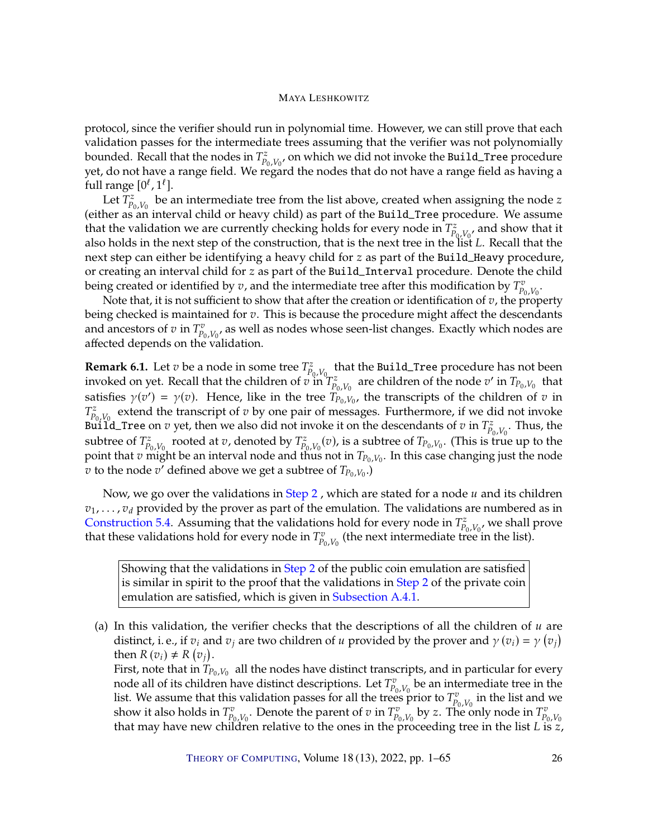protocol, since the verifier should run in polynomial time. However, we can still prove that each validation passes for the intermediate trees assuming that the verifier was not polynomially bounded. Recall that the nodes in  $T_{P_0,V_0}^z$ , on which we did not invoke the Build\_Tree procedure<br>yet, do not have a range field. We regard the nodes that do not have a range field as having a  $\mathcal{L}$  do not have a range field. We regard the nodes that do not have a range field as having a vet. do not have a range field. full range  $[0^{\ell}, 1^{\ell}]$ .<br>Let  $T^z$  be a

Let  $\overline{T}_{P_0,V_0}^z$  be an intermediate tree from the list above, created when assigning the node z<br>bet as an interval child or beaux child) as part of the Build Tree procedure. We assume  $\frac{1}{\sqrt{2}}$  (either as an interval child or heavy child) as part of the Build\_Tree procedure. We assume that the validation we are currently checking holds for every node in  $T_{P_0,V_0}^z$ , and show that it<br>also holds in the noxt step of the construction, that is the noxt tree in the list L. Recall that the also holds in the next step of the construction, that is the next tree in the list  $L$ . Recall that the next step can either he identifying a heavy child for z as part of the Build Heavy procedure. next step can either be identifying a heavy child for  $z$  as part of the Build\_Heavy procedure, or creating an interval child for z as part of the Build\_Interval procedure. Denote the child being created or identified by  $v$ , and the intermediate tree after this modification by  $T_{p_0,V_0}^v$ .<br>Note that, it is not sufficient to show that after the creation or identification of z, the prop

Note that, it is not sufficient to show that after the creation or identification of  $v$ , the property or checked is maintained for  $v$ . This is because the procedure might affect the descendants being checked is maintained for  $v$ . This is because the procedure might affect the descendants and ancestors of  $v$  in  $T^v_{P_0, V_0}$ , as well as nodes whose seen-list changes. Exactly which nodes are affected depends on the validation and ancestors or  $v$  in  $P_{p_0}, V_0$  as weak-<br>affected depends on the validation.

<span id="page-25-0"></span>**Remark 6.1.** Let  $v$  be a node in some tree  $T_{P_0, V_0}^z$ <br>invoked on yet. Recall that the children of  $v$  in that the Build\_Tree procedure has not been invoked on yet. Recall that the children of  $v$  in  $T_{P_0,V_0}^z$  are children of the node  $v'$  in  $T_{P_0,V_0}$  that satisfies  $\gamma(v') = \gamma(v)$ . Hence, like in the tree  $T_{P_0, V_0}$ , the transcripts of the children of v in<br> $T^z$  extend the transcript of v by one pair of messages. Furthermore if we did not invoke  $P_{p_0, V_0}$  extend the didnessly  $\epsilon$  is  $\epsilon$  y one pair of messages. The didnessly in  $T_{p_0, V_0}^z$ . Thus, the subtrace of  $T^z$  is noted at x denoted by  $T^z$  (x) is a subtrace of  $T$  . (This is true up to the  $\sum_{p_0, V_0}^z$  extend the transcript of  $v$  by one pair of messages. Furthermore, if we did not invoke subtree of  $T_{P_0,V_0}^z$  rooted at  $v$ , denoted by  $T_{P_0,V_0}^z(v)$ , is a subtree of  $T_{P_0,V_0}$ . (This is true up to the point that  $v$  might be an interval node and thus not in  $T_{P_0,V_0}$ . In this case changing just the point that v might be an interval node and thus not in  $T_{P_0,V_0}$ . In this case changing just the node  $\eta$  to the node  $\eta'$  defined above we get a subtree of  $T_{\text{B}}$   $V$ ,  $\eta$  $\overrightarrow{v}$  to the node  $\overrightarrow{v'}$  defined above we get a subtree of  $T_{P_0,V_0}$ .

Now, we go over the validations in [Step](#page-21-4) [2](#page-21-4), which are stated for a node  $u$  and its children  $v_1, \ldots, v_d$  provided by the prover as part of the emulation. The validations are numbered as in [Construction](#page-21-3) [5.4.](#page-21-3) Assuming that the validations hold for every node in  $T_{p_0, V_0}^z$ , we shall prove<br>that these validations hold for every node in  $T^v$  (the next intermediate tree in the list) that these validations hold for every node in  $T_{p_0, V_0}^v$  (the next intermediate tree (the next intermediate tree in the list).

Showing that the validations in [Step](#page-21-4) [2](#page-21-4) of the public coin emulation are satisfied is similar in spirit to the proof that the validations in [Step](#page-45-1) [2](#page-45-1) of the private coin emulation are satisfied, which is given in [Subsection](#page-47-1) [A.4.1.](#page-47-1)

(a) In this validation, the verifier checks that the descriptions of all the children of  $u$  are distinct, i. e., if  $v_i$  and  $v_j$  are two children of u provided by the prover and  $\gamma(v_i) = \gamma$  (<br>then  $R(v_i) + R(v_i)$ )  $\frac{1}{\sqrt{2}}$ ) then  $R(v_i) \neq R(v_j)$ .<br>First note that in  $T_n$ 

First, note that in  $T_{P_0,V_0}$  all the nodes have distinct transcripts, and in particular for every node all of its children have distinct descriptions. Let  $T_v^v$  be an intermediate tree in the node all of its children have distinct descriptions. Let  $T^v_{p_0, V_0}$  be an intermediate tree in the list and we list. We assume that this validation passes for all the trees prior to  $T^v_{P_0,V_0}$  in the list and we show it also holds in  $T^v$  . Denote the parent of z in  $T^v$  by z. The only node in  $T^v$ show it also holds in  $T_{P_0,V_0}^v$ . Denote the parent of  $v$  in  $T_{P_0,V_0}^v$  by  $z$ . The only node in  $T_{P_0,V_0}^v$  that may have new children relative to the ones in the proceeding tree in the list  $L$  is  $z$ ,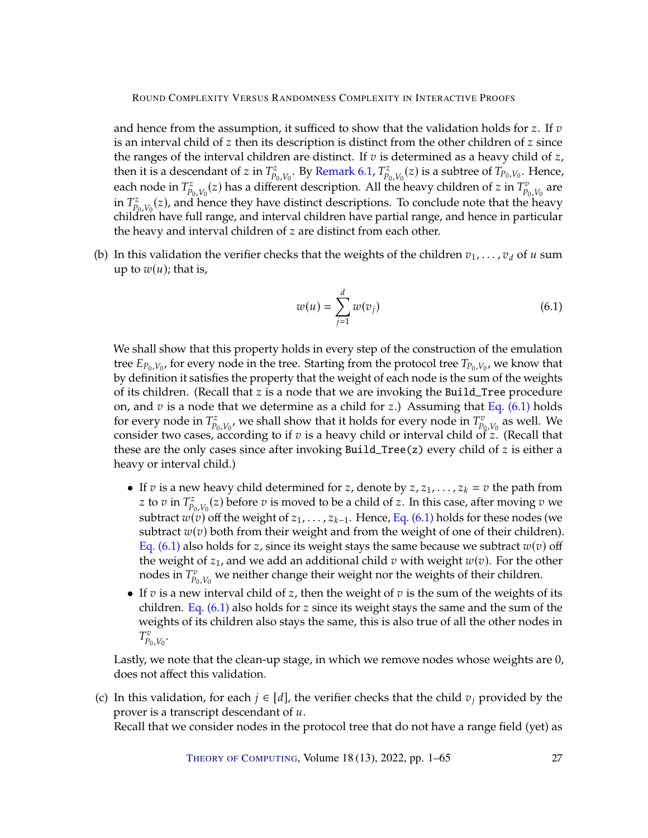and hence from the assumption, it sufficed to show that the validation holds for z. If  $v$ is an interval child of  $z$  then its description is distinct from the other children of  $z$  since the ranges of the interval children are distinct. If  $v$  is determined as a heavy child of  $z$ , then it is a descendant of z in  $T_{p_0, V_0}^z$ . By [Remark](#page-25-0) [6.1,](#page-25-0)  $T_{p_0, V_0}^z(z)$  is a subtree of  $T_{p_0, V_0}$ . Hence, each node in  $T_{p_0, V_0}^z(z)$  has a different description. All the heavy children of  $z$  in  $T_{p_0, V_0}^z$  are<br>in  $T_z^z$  ( $z$ ) and hence they have distinct descriptions. To sensition that the heavy  $T_{P_0,V_0}^z(z)$ , and hence they have distinct descriptions. To conclude note that the heavy<br>children have full range and interval children have partial range and hence in particular  $\Gamma_{P_0,V_0}(z)$ , and nence they have themet descriptions. To conclude note that the nearly children have full range, and interval children have partial range, and hence in particular the heavy and interval children of  $z$  are distinct from each other.

(b) In this validation the verifier checks that the weights of the children  $v_1, \ldots, v_d$  of  $u$  sum up to  $w(u)$ ; that is,

<span id="page-26-1"></span>
$$
w(u) = \sum_{j=1}^{d} w(v_j)
$$
 (6.1)

We shall show that this property holds in every step of the construction of the emulation tree  $E_{P_0,V_0}$ , for every node in the tree. Starting from the protocol tree  $T_{P_0,V_0}$ , we know that the vertex that the weight of each node is the sum of the weights by definition it satisfies the property that the weight of each node is the sum of the weights of its children. (Recall that  $z$  is a node that we are invoking the Build\_Tree procedure on, and  $v$  is a node that we determine as a child for  $z$ .) Assuming that Eq. [\(6.1\)](#page-26-1) holds for every node in  $T_{P_0,V_0}^z$ , we shall show that it holds for every node in  $T_{P_0,V_0}^v$  as well. We consider two cases, according to if z is a boayy child or interval child of z. (Recall that consider two cases, according to if  $v$  is a heavy child or interval child of  $z$ . (Recall that those are the only cases since after invoking Build Tree (z) every child of  $z$  is either a these are the only cases since after invoking Build\_Tree(z) every child of  $z$  is either a heavy or interval child.)

- If  $v$  is a new heavy child determined for  $z$ , denote by  $z$ ,  $z_1$ , ...,  $z_k = v$  the path from z to *v* in  $T_{p_0, V_0}^z(z)$  before *v* is moved to be a child of *z*. In this case, after moving *v* we subtract  $w(v)$  off the weight of  $z_1, \ldots, z_{k-1}$ . Hence, Eq. [\(6.1\)](#page-26-1) holds for these nodes (we subtract  $w(v)$ ) both from their woight and from the woight of one of their children) subtract  $w(v)$  both from their weight and from the weight of one of their children). Eq. [\(6.1\)](#page-26-1) also holds for z, since its weight stays the same because we subtract  $w(v)$  off the weight of  $z_1$ , and we add an additional child  $v$  with weight  $w(v)$ . For the other nodes in  $T_{P_0,V_0}^v$ we neither change their weight nor the weights of their children.
- If  $v$  is a new interval child of  $z$ , then the weight of  $v$  is the sum of the weights of its children. Eq.  $(6.1)$  also holds for z since its weight stays the same and the sum of the weights of its children also stays the same, this is also true of all the other nodes in  $I_{P_0,V_0}$ .

Lastly, we note that the clean-up stage, in which we remove nodes whose weights are 0, does not affect this validation.

<span id="page-26-0"></span>(c) In this validation, for each  $j \in [d]$ , the verifier checks that the child  $v_j$  provided by the prover is a transcript descendant of  $u$ . Recall that we consider nodes in the protocol tree that do not have a range field (yet) as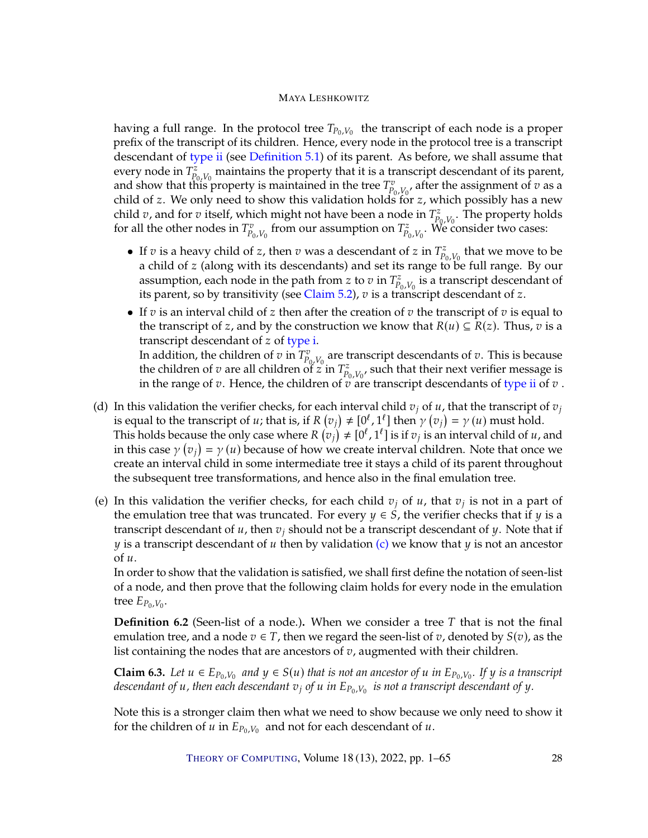having a full range. In the protocol tree  $T_{P_0,V_0}$  the transcript of each node is a proper<br>profix of the transcript of its children. Honce every node in the protocol tree is a transcript prefix of the transcript of its children. Hence, every node in the protocol tree is a transcript descendant of [type](#page-19-1) [ii](#page-19-1) (see [Definition](#page-19-3) [5.1\)](#page-19-3) of its parent. As before, we shall assume that every node in  $T_{p_0, V_0}^{\overline{z}}$  maintains the property that it is a transcript descendant of its parent,<br>and show that this property is maintained in the tree  $T^v$  as a fter the assignment of z as a and show that this property is maintained in the tree  $T_{p_0, V_0}^v$ , after the assignment of  $v$  as a child of  $z$ . We only need to show this validation holds for  $z$ , which possibly has a new child of z. We only need to show this validation holds for z, which possibly has a new child z, and for z, itself, which might not have been a node in  $T^z$ . The property holds child *v*, and for *v* itself, which might not have been a node in  $T_{p_0, V_0}^z$ . The property holds for all the other podes in  $T^v$  from our assumption on  $T^z$  . We consider two cases: for all the other nodes in  $T_{P_0,V_0}^v$  from our assumption on  $T_{P_0,V_0}^z$ . We c . We consider two cases:

- If  $v$  is a heavy child of  $z$ , then  $v$  was a descendant of  $z$  in  $T_{p_0, V_0}^z$  that we move to be a child of  $z$  (along with its descendants) and set its range to be full range. By our a child of z (along with its descendants) and set its range to be full range. By our assumption each node in the path from z to z in  $T^z$  is a transcript descendant of assumption, each node in the path from z to v in  $T_{p_0, V_0}^z$  is a transcript descendant of  $\zeta$ its parent, so by transitivity (see [Claim](#page-19-4) [5.2\)](#page-19-4),  $v$  is a transcript descendant of  $z$ .
- If  $v$  is an interval child of  $z$  then after the creation of  $v$  the transcript of  $v$  is equal to the transcript of z, and by the construction we know that  $R(u) \subseteq R(z)$ . Thus,  $v$  is a transcript descendant of  $z$  of [type](#page-19-0) [i.](#page-19-0) In addition, the children of  $v$  in  $T_{p_0, V_0}^v$  are transcript descendants of  $v$ . This is because<br>the children of  $z$  are all children of  $z$  in  $T^z$  such that their next verifier message is the children of  $v$  are all children of  $z$  in  $T_{p_0, V_0}^z$ , such that their next verifier message is<br>in the range of  $v$ . Hence, the children of  $z$  are transcript descendants of type ii of  $z$ . in the range of  $v$ . Hence, the children of  $v$  are transcript descendants of [type](#page-19-1) [ii](#page-19-1) of  $v$ .
- (d) In this validation the verifier checks, for each interval child  $v_j$  of  $u$ , that the transcript of  $v_j$ is equal to the transcript of u; that is, if  $R(v_j) \neq [0^{\ell}, 1^{\ell}]$  then  $\gamma(v_j) = \gamma(u)$  must hold.<br>This holds because the only case where  $R(v_i) \neq [0^{\ell}, 1^{\ell}]$  is if z; is an interval child of u. This holds because the only case where  $R(v_j) \neq [0^{\ell}, 1^{\ell}]$  is if  $v_j$  is an interval child of  $u$ , and in this case  $\chi(v_1) = \chi(u)$  because of bow we create interval children. Note that once we in this case  $\gamma(v_j) = \gamma(u)$  because of how we create interval children. Note that once we<br>create an interval child in some intermediate tree it stave a child of its parent throughout  $\alpha$  create an interval child in some intermediate tree it stays a child of its parent throughout the subsequent tree transformations, and hence also in the final emulation tree.
- (e) In this validation the verifier checks, for each child  $v_j$  of  $u$ , that  $v_j$  is not in a part of the emulation troe that was truncated. For every  $u \in S$  the verifier checks that if  $u$  is a the emulation tree that was truncated. For every  $y \in S$ , the verifier checks that if  $y$  is a transcript descendant of  $u$ , then  $v_j$  should not be a transcript descendant of  $y$ . Note that if y is a transcript descendant of u then by validation [\(c\)](#page-26-0) we know that y is not an ancestor of  $u$ .

In order to show that the validation is satisfied, we shall first define the notation of seen-list of a node, and then prove that the following claim holds for every node in the emulation tree  $E_{P_0,V_0}$ .

<span id="page-27-0"></span>**Definition 6.2** (Seen-list of a node.). When we consider a tree  $T$  that is not the final emulation tree, and a node  $v \in T$ , then we regard the seen-list of v, denoted by  $S(v)$ , as the list containing the nodes that are ancestors of  $v$ , augmented with their children.

**Claim 6.3.** Let  $u \in E_{P_0, V_0}$  and  $y \in S(u)$  that is not an ancestor of  $u$  in  $E_{P_0, V_0}$ . If  $y$  is a transcript descendant of  $u$  $d$ escendant of  $u$  , then each descendant  $v_j$  of  $u$  in  $E_{P_0,V_0}$  is not a transcript descendant of  $y$  .

Note this is a stronger claim then what we need to show because we only need to show it for the children of  $\overline{u}$  in  $E_{P_0,V_0}$  and not for each descendant of  $u$ .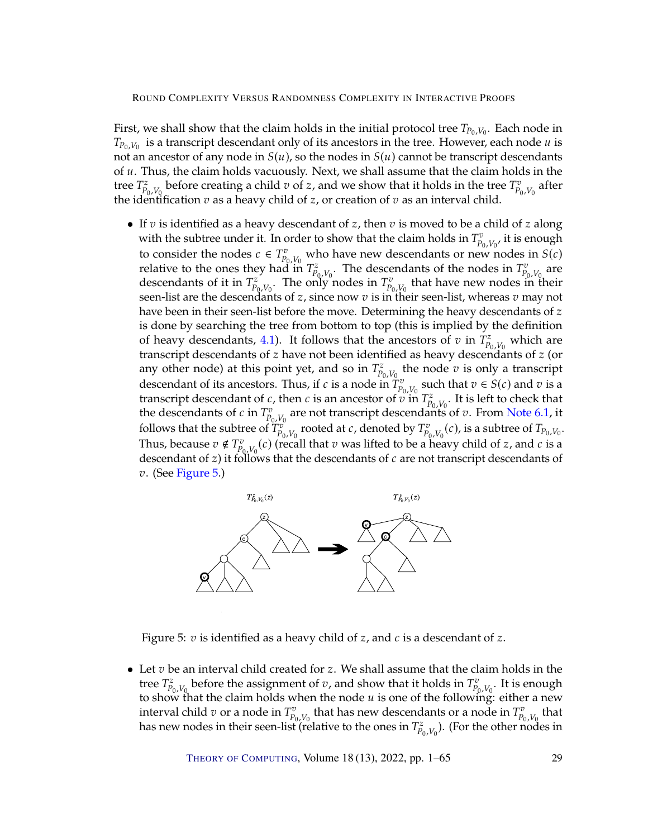First, we shall show that the claim holds in the initial protocol tree  $T_{P_0,V_0}$ . Each node in  $T_{\text{D}}$ ,  $V_0$ , is a transcript descondant only of its appeators in the tree. However, each node  $\mu$  is  $T_{P_0,V_0}$  is a transcript descendant only of its ancestors in the tree. Trowever, each node u is<br>not an ancestor of any node in  $S(u)$ , so the nodes in  $S(u)$  cannot be transcript descendants<br>of u. Thus, the claim holds v  $T_{P_0,V_0}$  is a transcript descendant only of its ancestors in the tree. However, each node u is of  $u$ . Thus, the claim holds vacuously. Next, we shall assume that the claim holds in the tree  $T_{P_0,V_0}^z$  before creating a child  $v$  of  $z$ , and we show that it holds in the tree  $T_{P_0,V_0}^v$ <br>the identification  $v$  as a heavy child of  $z$  or creation of  $v$  as an interval child the identification  $v$  as a heavy child of  $z$ , or creation of  $v$  as an interval child. after

• If  $v$  is identified as a heavy descendant of  $z$ , then  $v$  is moved to be a child of  $z$  along with the subtree under it. In order to show that the claim holds in  $T_{p_0, V_0}^v$ , it is enough<br>to sensider the nodes  $\epsilon \in T_v^v$ , with house now desembatie or new nodes in  $S(s)$ to consider the nodes  $c \in T_{p_0, V_0}^v$  who have new descendants or new nodes in  $S(c)$ <br>relative to the ones they had in  $T^z$  . The descendants of the nodes in  $T^v$  are relative to the ones they had in  $T_{P_0,V_0}^z$ . The descendants of the nodes in  $T_{P_0,V_0}^v$ <br>descendants of it in  $T^z$  The only nodes in  $T^v$  that have new nodes in t are descendants of it in  $T^z_{P_0,V_0}$ . The only nodes in  $T^v_{P_0,V_0}$  that have new nodes in their seen-list are the descendants of z, since now  $v$  is in their seen-list, whereas  $v$  may not<br>baye been in their seen-list before the move. Determining the beavy descendants of z have been in their seen-list before the move. Determining the heavy descendants of  $z$ is done by searching the tree from bottom to top (this is implied by the definition of heavy descendants, [4.1\)](#page-15-1). It follows that the ancestors of  $v$  in  $T_{P_0,V_0}^z$  which are<br>transcript descendants of  $z$  have not been identified as heavy descendants of  $z$  (or transcript descendants of z have not been identified as heavy descendants of z (or<br>transcript descendants of z have not been identified as heavy descendants of z (or any other node) at this point yet, and so in  $T_{p_0, V_0}^z$  the node  $v$  is only a transcript<br>descendent of its apcetors. Thus, if  $c$  is a node in  $T^v$  such that  $v \in S(c)$  and  $v$  is a descendant of its ancestors. Thus, if c is a node in  $T_{P_0,V_0}^v$  such that  $v \in S(c)$  and v is a<br>transcript descendant of c then c is an ancestor of v in  $T^z$  It is left to check that transcript descendant of c, then c is an ancestor of v in  $T_{p_0, V_0}^z$ . It is left to check that<br>the descendants of c in  $T^v$  are not transcript descendants of z. From Note 6.1, it the descendants of c in  $T_{p_0,v_0}^v$  are not transcript descendants of v. From [Note](#page-25-0) [6.1,](#page-25-0) it<br>follows that the subtree of  $T_v^v$  are not transcript descendants of v. From Note 6.1, it follows that the subtree of  $T_{p_0,V_0}^v$  are not changed p descendance of  $V$  from these only  $T_v^v$  follows that the subtree of  $T_{p_0,V_0}^v$ , rooted at  $c$ , denoted by  $T_{p_0,V_0}^v(c)$ , is a subtree of  $T_{p_0,V_0}$ . Thus, because  $v \notin T^v_{P_0, V_0}(c)$  (recall that  $v$  was lifted to be a heavy child of  $z$ , and  $c$  is a descendant of  $z$ ) it follows that the descendants of  $c$  are not transcript descendants of descendant of  $z$ ) it follows that the descendants of  $c$  are not transcript descendants of  $z_1$ . (See Figure 5)  $v.$  (See [Figure](#page-28-0) [5.](#page-28-0))



<span id="page-28-0"></span>Figure 5:  $v$  is identified as a heavy child of  $z$ , and  $c$  is a descendant of  $z$ .

• Let  $v$  be an interval child created for  $z$ . We shall assume that the claim holds in the tree  $T_{p_0, V_0}^z$  before the assignment of  $v$ , and show that it holds in  $T_{p_0, V_0}^v$ . It is enough to show that the claim holds when the pode  $u$  is one of the following: either a new to show that the claim holds when the node u is one of the following: either a new<br>interval child z or a node in  $T^v$  that has new descendants or a node in  $T^v$  that interval child v or a node in  $T_{P_0,V_0}^v$  that has new descendants or a node in  $T_{P_0,V_0}^v$  that has new nodes in their seen-list (relative to the ones in  $T^z$ ) (For the other nodes in has new nodes in their seen-list (relative to the ones in  $T^z_{P_0,V_0}$ ). (For the other nod<br>has new nodes in their seen-list (relative to the ones in  $T^z_{P_0,V_0}$ ). (For the other nod ). (For the other nodes in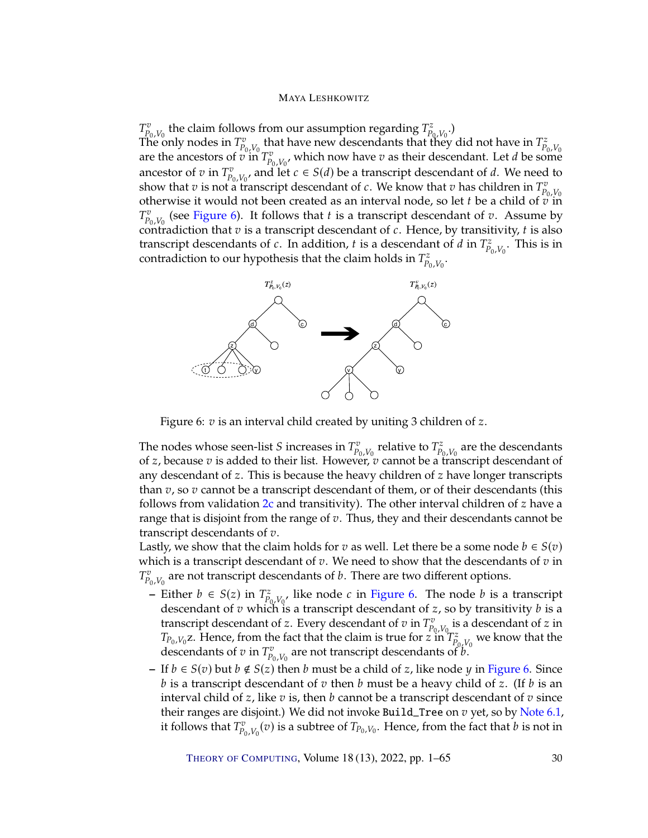$T_{P_0,V_0}^v$  the claim follows from our assumption regarding  $T_{P_0,V_0}^z$ <br>The only podes in  $T^v$  that have new descendants that the .) The only nodes in  $T_{p_0, V_0}^v$  that have new descendants that they did not have in  $T_{p_0, V_0}^z$ <br>are the ancestors of  $v$  in  $T_{p_0, V_0}^v$ , which now have  $v$  as their descendant. Let  $d$  be some<br>ancestor of  $v$  in  $T$ ancestor of v in  $T_{p_0, V_0}^v$ , and let  $c \in S(d)$  be a transcript descendant of d. We need to show that z has children in  $T^v$ show that  $v$  is not a transcript descendant of  $c$ . We know that  $v$  has children in  $T_{P_0}^v$  otherwise it would not been created as an interval node, so let t be a child of  $\pi$ otherwise it would not been created as an interval node, so let *t* be a child of  $\overline{v}$  in<br> $T^v$  (soo Figure 6). It follows that *t* is a transcript descondant of  $\overline{v}$ . Assume by  $P_{p_0, V_0}$  (see Figure 9). It follows that  $\vec{r}$  is a transcript descendant of  $\vec{c}$ . Hence, by transitivity,  $\vec{r}$  is also transcript descendants of  $\vec{c}$ . In addition,  $\vec{r}$  is a descendant of  $\vec{d}$  in  $T^$  $\sum_{i=0}^{v} V_{0,i}$  (see [Figure](#page-29-0) [6\)](#page-29-0). It follows that t is a transcript descendant of v. Assume by  $V_{0,i}$ transcript descendants of *c*. In addition, *t* is a descendant of *d* in  $T_{p_0, V_0}^z$ <br>contradiction to our hypothesis that the claim holds in  $T^z$ . This is in contradiction to our hypothesis that the claim holds in  $T^z_{p_0, V_0}$ .



<span id="page-29-0"></span>Figure 6:  $v$  is an interval child created by uniting 3 children of  $z$ .

The nodes whose seen-list S increases in  $T_{p_0, V_0}^v$  relative to  $T_{p_0, V_0}^z$  are the descendants<br>of z because z is added to their list. However, z cannot be a transcript descendant of of z, because  $v$  is added to their list. However,  $v$  cannot be a transcript descendant of z have descendant of  $z$ . This is because the beaux children of z have longer transcripts any descendant of  $z$ . This is because the heavy children of  $z$  have longer transcripts than  $v$ , so  $v$  cannot be a transcript descendant of them, or of their descendants (this follows from validation  $2c$  and transitivity). The other interval children of  $z$  have a range that is disjoint from the range of  $v$ . Thus, they and their descendants cannot be transcript descendants of  $v$ .

Lastly, we show that the claim holds for  $v$  as well. Let there be a some node  $b \in S(v)$ which is a transcript descendant of  $v$ . We need to show that the descendants of  $v$  in  $T_{P_0,V_0}^v$  are not transcript descendants of *b*. There are two different options.

- **–** Either *b* ∈ *S*(*z*) in  $T_{p_0, V_0}^z$ , like node *c* in [Figure](#page-29-0) [6.](#page-29-0) The node *b* is a transcript descondant of *z* so by transitivity *h* is a descendant of  $v$  which is a transcript descendant of  $z$ , so by transitivity  $b$  is a transcript descendant of  $z$ . Every descendant of  $v$  is a descendant of  $z$  in transcript descendant of z. Every descendant of  $v$  in  $T_{P_0,V_0}^v$  is a descendant of  $z$  in  $T_{\infty}$ . z. Hence, from the fact that the claim is true for  $z$  in  $T_{p_0,V_0}^z$  we know that the  $T_{P_0,V_0}$ . Thence, from the fact that the claim is true for  $\angle$  in  $T_{P_0,V_0}$ <br>descendants of  $v$  in  $T_{P_0,V_0}^v$  are not transcript descendants of  $b$ .
- $-$  If  $b \in S(v)$  but  $b \notin S(z)$  then  $b$  must be a child of  $z$ , like node  $\gamma$  in [Figure](#page-29-0) [6.](#page-29-0) Since  $b$  is a transcript descendant of  $v$  then  $b$  must be a heavy child of  $z$ . (If  $b$  is an interval child of  $z$ , like  $v$  is, then  $b$  cannot be a transcript descendant of  $v$  since their ranges are disjoint.) We did not invoke Build\_Tree on  $v$  yet, so by [Note](#page-25-0) [6.1,](#page-25-0) it follows that  $T_{P_0,V_0}^v(v)$  is a subtree of  $T_{P_0,V_0}$ . Hence, from the fact that  $b$  is not in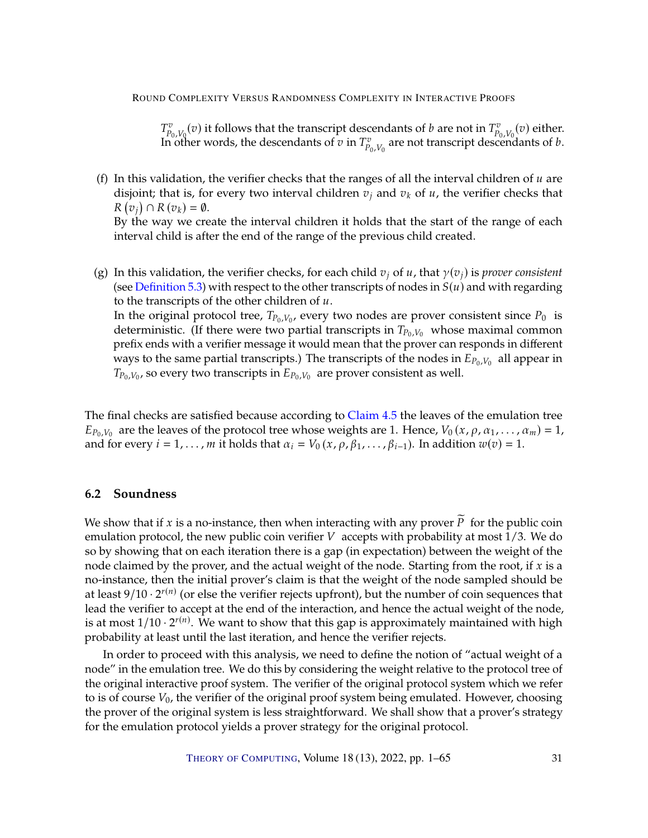$T_{P_0,V_0}^v(v)$  it follows that the transcript descendants of *b* are not in  $T_{P_0,V_0}^v(v)$  either.<br>In other words, the descendants of *n* in  $T^v$  are not transcript descendants of *h* In other words, the descendants of  $\overline{v}$  in  $T_{P_0,V_0}^v$  are not transcript descendants of  $b$ .

- (f) In this validation, the verifier checks that the ranges of all the interval children of  $u$  are disjoint; that is, for every two interval children  $v_i$  and  $v_k$  of  $u$ , the verifier checks that  $\mathcal{L}(\cdot)$  is expressed. The interval children it holds that the start of the range of each  $(v_j) \cap R(v_k) = \emptyset.$ interval child is after the end of the range of the previous child created.
- (g) In this validation, the verifier checks, for each child  $v_j$  of  $u$ , that  $\gamma(v_j)$  is *prover consistent* (see [Definition](#page-20-0) [5.3\)](#page-20-0) with respect to the other transcripts of nodes in  $S(u)$  and with regarding to the transcripts of the other children of  $u$ . In the original protocol tree,  $T_{P_0,V_0}$ , every two nodes are prover consistent since  $P_0$  is deterministic. (If there were two partial transcripts in  $T_{\rm P,V}$ , whose maximal common deterministic. (If there were two partial transcripts in  $T_{P_0,V_0}$  whose maximal common prefix ends with a verifier message it would mean that the prover can responds in different ways to the same partial transcripts.) The transcripts of the nodes in  $\overline{E}_{p_0,V_0}$  all appear in<br> $T_{\rm p}$ ,  $V_{\rm o}$  so every two transcripts in  $F_{\rm p}$ ,  $V_{\rm o}$  are prover consistent as well.  $T_{P_0,V_0}$ , so every two transcripts in  $E_{P_0,V_0}$  are prover consistent as well.

The final checks are satisfied because according to [Claim](#page-18-2) [4.5](#page-18-2) the leaves of the emulation tree  $L_{p_0, V_0}$  are the leaves of the protocol thee whose weights are 1. Thence,  $v_0(x, p, a_1, \ldots, a_n)$ <br>and for every  $i = 1, \ldots, m$  it holds that  $\alpha_i = V_0(x, p, \beta_1, \ldots, \beta_{i-1})$ . In addition  $w(v) = 1$ .  $E_{P_0,V_0}$  are the leaves of the protocol tree whose weights are 1. Hence,  $V_0(x, \rho, \alpha_1, \ldots, \alpha_m) = 1$ ,

# <span id="page-30-0"></span>**6.2 Soundness**

We show that if x is a no-instance, then when interacting with any prover  $\widetilde{P}$  for the public coin emulation protocol, the new public coin verifier  $V$  accepts with probability at most 1/3. We do so by showing that on each iteration there is a gap (in expectation) between the weight of the node claimed by the prover, and the actual weight of the node. Starting from the root, if  $x$  is a no-instance, then the initial prover's claim is that the weight of the node sampled should be at least  $9/10 \cdot 2^{r(n)}$  (or else the verifier rejects upfront), but the number of coin sequences that lead the verifier to accept at the end of the interaction, and hence the actual weight of the node, is at most  $1/10 \cdot 2^{r(n)}$ . We want to show that this gap is approximately maintained with high probability at least until the last iteration, and hence the verifier rejects.

In order to proceed with this analysis, we need to define the notion of "actual weight of a node" in the emulation tree. We do this by considering the weight relative to the protocol tree of the original interactive proof system. The verifier of the original protocol system which we refer to is of course  $V_0$ , the verifier of the original proof system being emulated. However, choosing the prover of the original system is less straightforward. We shall show that a prover's strategy for the emulation protocol yields a prover strategy for the original protocol.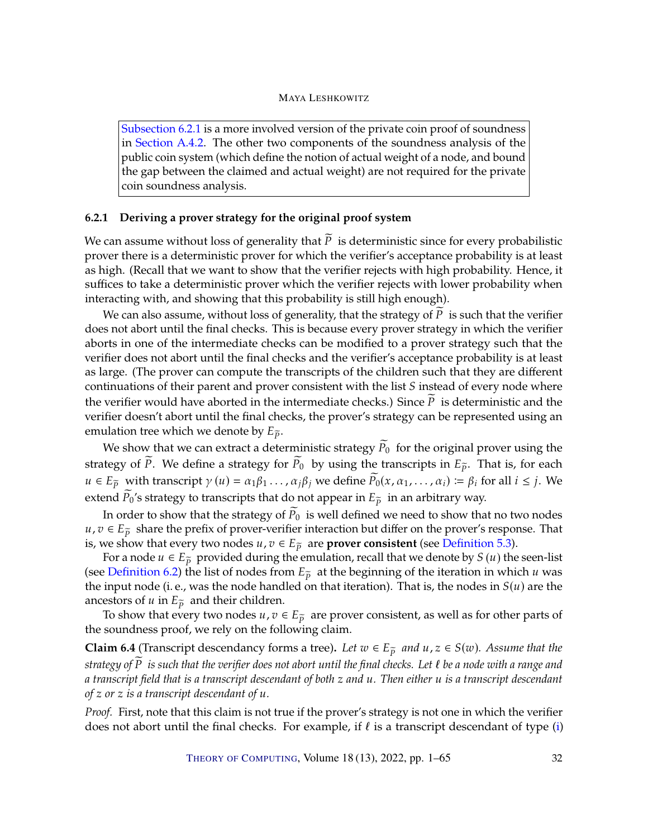[Subsection](#page-31-0) [6.2.1](#page-31-0) is a more involved version of the private coin proof of soundness in [Section](#page-52-0) [A.4.2.](#page-52-0) The other two components of the soundness analysis of the public coin system (which define the notion of actual weight of a node, and bound the gap between the claimed and actual weight) are not required for the private coin soundness analysis.

# <span id="page-31-0"></span>**6.2.1 Deriving a prover strategy for the original proof system**

We can assume without loss of generality that  $\overline{P}$  is deterministic since for every probabilistic prover there is a deterministic prover for which the verifier's acceptance probability is at least as high. (Recall that we want to show that the verifier rejects with high probability. Hence, it suffices to take a deterministic prover which the verifier rejects with lower probability when interacting with, and showing that this probability is still high enough).

We can also assume, without loss of generality, that the strategy of  $\tilde{P}$  is such that the verifier does not abort until the final checks. This is because every prover strategy in which the verifier aborts in one of the intermediate checks can be modified to a prover strategy such that the verifier does not abort until the final checks and the verifier's acceptance probability is at least as large. (The prover can compute the transcripts of the children such that they are different continuations of their parent and prover consistent with the list  $S$  instead of every node where the verifier would have aborted in the intermediate checks.) Since  $\overline{P}$  is deterministic and the verifier doesn't abort until the final checks, the prover's strategy can be represented using an emulation tree which we denote by  $E_{\tilde{p}}$ .

We show that we can extract a deterministic strategy  $\overline{P}_0$  for the original prover using the strategy of  $\widetilde{P}$ . We define a strategy for  $\widetilde{P}_0$  by using the transcripts in  $E_{\widetilde{P}}$ . That is, for each  $u \in E_{\tilde{p}}$  with transcript  $\gamma(u) = \alpha_1 \beta_1 \ldots \alpha_i \beta_j$  we define  $\tilde{P}_0(x, \alpha_1, \ldots, \alpha_i) \coloneqq \beta_i$  for all  $i \leq j$ . We extend  $\widetilde{P}_0$ 's strategy to transcripts that do not appear in  $E_{\widetilde{P}}$  in an arbitrary way.

In order to show that the strategy of  $\widetilde{P}_0$  is well defined we need to show that no two nodes  $u, v \in E_{\tilde{p}}$  share the prefix of prover-verifier interaction but differ on the prover's response. That is, we show that every two nodes  $u, v \in E_{\tilde{p}}$  are **prover consistent** (see [Definition](#page-20-0) [5.3\)](#page-20-0).

For a node  $u \in E_{\tilde{p}}$  provided during the emulation, recall that we denote by  $S(u)$  the seen-list (see [Definition](#page-27-0) [6.2\)](#page-27-0) the list of nodes from  $E_{\tilde{p}}$  at the beginning of the iteration in which u was the input node (i. e., was the node handled on that iteration). That is, the nodes in  $S(u)$  are the ancestors of  $u$  in  $E_{\tilde{p}}$  and their children.

To show that every two nodes  $u, v \in E_{\tilde{p}}$  are prover consistent, as well as for other parts of the soundness proof, we rely on the following claim.

<span id="page-31-1"></span>**Claim 6.4** (Transcript descendancy forms a tree). Let  $w \in E_{\tilde{p}}$  and  $u, z \in S(w)$ . Assume that the *strategy of* P *is such that the verifier does not abort until the final checks. Let*  $\ell$  *be a node with a range and a transcript field that is a transcript descendant of both* 𝑧 *and* 𝑢*. Then either* 𝑢 *is a transcript descendant of*  $z$  *or*  $z$  *is a transcript descendant of*  $u$ *.* 

*Proof.* First, note that this claim is not true if the prover's strategy is not one in which the verifier does not abort until the final checks. For example, if  $\ell$  is a transcript descendant of type [\(i\)](#page-19-0)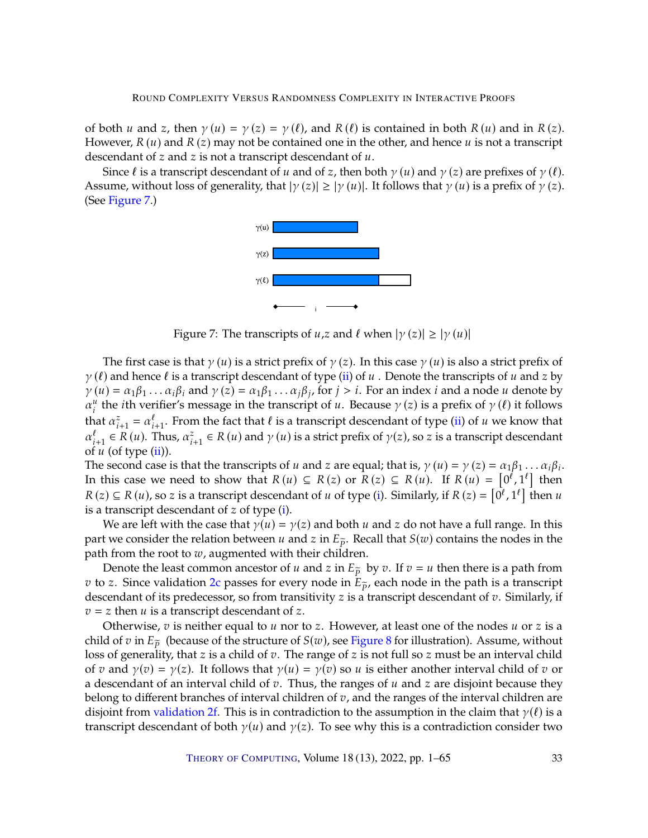of both u and z, then  $\gamma(u) = \gamma(z) = \gamma(\ell)$ , and  $R(\ell)$  is contained in both  $R(u)$  and in  $R(z)$ . However,  $R(u)$  and  $R(z)$  may not be contained one in the other, and hence u is not a transcript descendant of  $z$  and  $z$  is not a transcript descendant of  $u$ .

Since  $\ell$  is a transcript descendant of  $u$  and of  $z$ , then both  $\gamma(u)$  and  $\gamma(z)$  are prefixes of  $\gamma(\ell)$ . Assume, without loss of generality, that  $|\gamma(z)| \ge |\gamma(u)|$ . It follows that  $\gamma(u)$  is a prefix of  $\gamma(z)$ . (See [Figure](#page-32-0) [7.](#page-32-0))



<span id="page-32-0"></span>Figure 7: The transcripts of  $u, z$  and  $\ell$  when  $|\gamma(z)| \ge |\gamma(u)|$ 

The first case is that  $\gamma(u)$  is a strict prefix of  $\gamma(z)$ . In this case  $\gamma(u)$  is also a strict prefix of  $\gamma(\ell)$  and hence  $\ell$  is a transcript descendant of type [\(ii\)](#page-19-1) of  $u$ . Denote the transcripts of  $u$  and  $z$  by  $\hat{\gamma}(u) = \alpha_1 \beta_1 \dots \alpha_i \beta_i$  and  $\gamma(z) = \alpha_1 \beta_1 \dots \alpha_j \beta_j$ , for  $j > i$ . For an index *i* and a node *u* denote by  $\alpha^u$  the *i*th verifier's message in the transcript of *u*. Because  $\gamma(z)$  is a prefix of  $\gamma(\ell)$  it follows  $\alpha_i^u$  the *i*th verifier's message in the transcript of *u*. Because  $\gamma(z)$  is a prefix of  $\gamma(\ell)$  it follows that  $\alpha_{i+1}^z = \alpha_{i+1}^\ell$ . From the fact that  $\ell$  is a transcript descendant of type [\(ii\)](#page-19-1) of  $u$  we know that  $\alpha_{i+1}^\ell \in R(u)$ . Thus,  $\alpha_{i+1}^z \in R(u)$  and  $\gamma(u)$  is a strict prefix of  $\gamma(z)$ , so  $z$  is a transcript desc of  $u$  (of type  $(ii)$ ).

The second case is that the transcripts of  $u$  and  $z$  are equal; that is,  $\gamma(u) = \gamma(z) = \alpha_1 \beta_1 \dots \alpha_i \beta_i$ .<br>In this case we need to show that  $R(u) \subset R(z)$  or  $R(z) \subset R(u)$ . If  $R(u) = \lceil 0^l \rceil 1^l \rceil$  then In this case we need to show that  $R(u) \subseteq R(z)$  or  $R(z) \subseteq R(u)$ . If  $R(u) = [0^{\ell}, 1^{\ell}]$  then  $R(z) \subseteq R(u)$ , so z is a transcript descendant of *u* of type [\(i\)](#page-19-0). Similarly, if  $R(z) = [0^{\ell}, 1^{\ell}]$  then *u* is a transcript descendant of *z* of type (i) is a transcript descendant of  $z$  of type  $(i)$ .

We are left with the case that  $\gamma(u) = \gamma(z)$  and both u and z do not have a full range. In this part we consider the relation between u and z in  $E_{\tilde{p}}$ . Recall that  $S(w)$  contains the nodes in the path from the root to  $w$ , augmented with their children.

Denote the least common ancestor of  $u$  and  $z$  in  $E_{\tilde{p}}$  by  $v$ . If  $v = u$  then there is a path from *v* to *z*. Since validation [2c](#page-22-1) passes for every node in  $E_{\tilde{p}}$ , each node in the path is a transcript descendant of its predecessor, so from transitivity  $z$  is a transcript descendant of  $v$ . Similarly, if  $v = z$  then *u* is a transcript descendant of *z*.

Otherwise,  $v$  is neither equal to  $u$  nor to  $z$ . However, at least one of the nodes  $u$  or  $z$  is a child of v in  $E_{\tilde{p}}$  (because of the structure of  $S(w)$ , see [Figure](#page-33-0) [8](#page-33-0) for illustration). Assume, without loss of generality, that z is a child of  $v$ . The range of z is not full so z must be an interval child of v and  $\gamma(v) = \gamma(z)$ . It follows that  $\gamma(u) = \gamma(v)$  so u is either another interval child of v or a descendant of an interval child of  $v$ . Thus, the ranges of  $u$  and  $z$  are disjoint because they belong to different branches of interval children of  $v$ , and the ranges of the interval children are disjoint from [validation](#page-22-2) [2f.](#page-22-2) This is in contradiction to the assumption in the claim that  $\gamma(\ell)$  is a transcript descendant of both  $\gamma(u)$  and  $\gamma(z)$ . To see why this is a contradiction consider two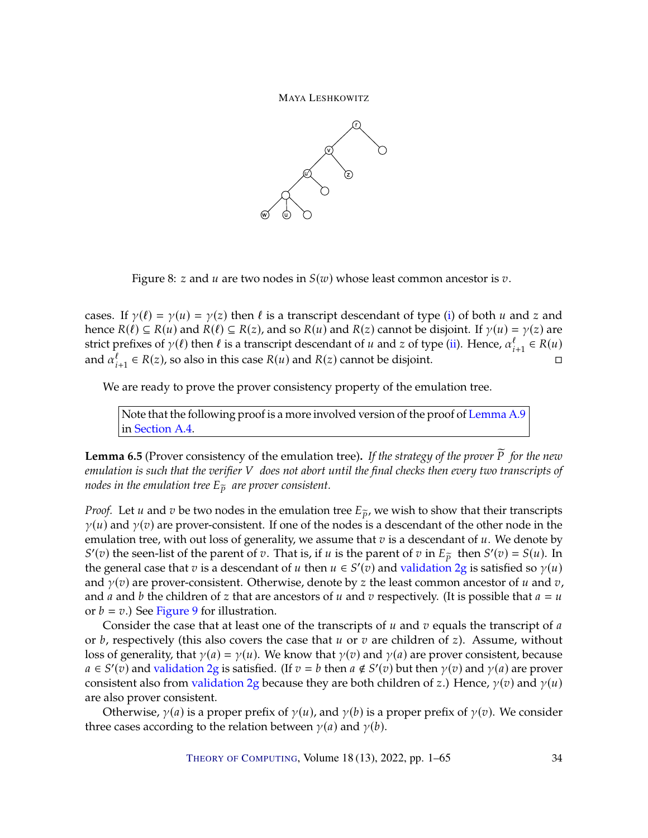



<span id="page-33-0"></span>Figure 8: z and  $u$  are two nodes in  $S(w)$  whose least common ancestor is  $v$ .

cases. If  $\gamma(\ell) = \gamma(u) = \gamma(z)$  then  $\ell$  is a transcript descendant of type [\(i\)](#page-19-0) of both  $u$  and  $z$  and hence  $R(\ell) \subseteq R(u)$  and  $R(\ell) \subseteq R(z)$ , and so  $R(u)$  and  $R(z)$  cannot be disjoint. If  $\gamma(u) = \gamma(z)$  are strict prefixes of  $\gamma(\ell)$  then  $\ell$  is a transcript descendant of  $u$  and  $z$  of type [\(ii\)](#page-19-1). Hence,  $\alpha_{i+1}^{\ell} \in R(u)$ <br>and  $\alpha_{i}^{\ell} \in R(z)$  so also in this case  $R(u)$  and  $R(z)$  cannot be disjoint. and  $\alpha_{i+1}^{\ell} \in R(z)$ , so also in this case  $R(u)$  and  $R(z)$  cannot be disjoint.

We are ready to prove the prover consistency property of the emulation tree.

Note that the following proof is a more involved version of the proof of [Lemma](#page-53-0) [A.9](#page-53-0) in [Section](#page-47-0) [A.4.](#page-47-0)

<span id="page-33-1"></span>Lemma 6.5 (Prover consistency of the emulation tree). If the strategy of the prover P for the new *emulation is such that the verifier* 𝑉 *does not abort until the final checks then every two transcripts of nodes in the emulation tree*  $E_{\tilde{p}}$  *are prover consistent.* 

*Proof.* Let *u* and *v* be two nodes in the emulation tree  $E_{\tilde{p}}$ , we wish to show that their transcripts  $\gamma(u)$  and  $\gamma(v)$  are prover-consistent. If one of the nodes is a descendant of the other node in the emulation tree, with out loss of generality, we assume that  $v$  is a descendant of  $u$ . We denote by the general case that  $v$  is a descendant of  $u$  then  $u \in S'(v)$  and [validation](#page-22-3) [2g](#page-22-3) is satisfied so  $\gamma(u)$ <br>and  $\gamma(v)$  are prover-consistent. Otherwise, denote by z the least common ancestor of  $u$  and  $v$ . (*v*) the seen-list of the parent of *v*. That is, if *u* is the parent of *v* in  $E_{\tilde{p}}$  then  $S'(v) = S(u)$ . In and  $\gamma(v)$  are prover-consistent. Otherwise, denote by z the least common ancestor of u and v, and *a* and *b* the children of *z* that are ancestors of *u* and *v* respectively. (It is possible that  $a = u$ or  $b = v$ .) See [Figure](#page-34-0) [9](#page-34-0) for illustration.

Consider the case that at least one of the transcripts of  $u$  and  $v$  equals the transcript of  $a$ or  $b$ , respectively (this also covers the case that  $u$  or  $v$  are children of  $z$ ). Assume, without loss of generality, that  $\gamma(a) = \gamma(u)$ . We know that  $\gamma(v)$  and  $\gamma(a)$  are prover consistent, because  $a \in S'(v)$  and [validation](#page-22-3) [2g](#page-22-3) is satisfied. (If  $v = b$  then  $a \notin S'(v)$  but then  $\gamma(v)$  and  $\gamma(a)$  are prover consistent also from [validation](#page-22-3) [2g](#page-22-3) because they are both children of z.) Hence,  $\gamma(v)$  and  $\gamma(u)$ are also prover consistent.

Otherwise,  $\gamma(a)$  is a proper prefix of  $\gamma(u)$ , and  $\gamma(b)$  is a proper prefix of  $\gamma(v)$ . We consider three cases according to the relation between  $\gamma(a)$  and  $\gamma(b)$ .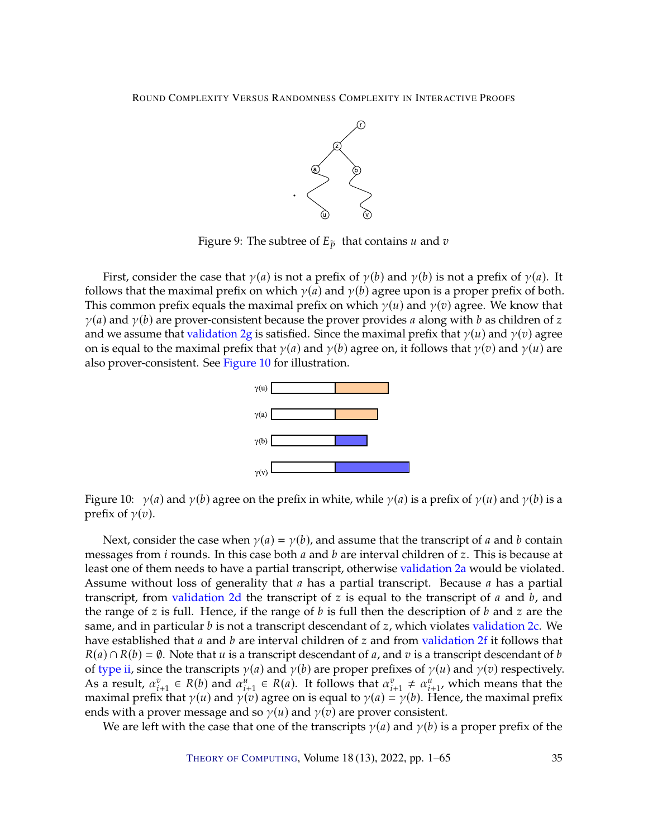

<span id="page-34-0"></span>Figure 9: The subtree of  $E_{\tilde{p}}$  that contains *u* and *v* 

First, consider the case that  $\gamma(a)$  is not a prefix of  $\gamma(b)$  and  $\gamma(b)$  is not a prefix of  $\gamma(a)$ . It follows that the maximal prefix on which  $\gamma(a)$  and  $\gamma(b)$  agree upon is a proper prefix of both. This common prefix equals the maximal prefix on which  $\gamma(u)$  and  $\gamma(v)$  agree. We know that  $\gamma(a)$  and  $\gamma(b)$  are prover-consistent because the prover provides a along with b as children of z and we assume that [validation](#page-22-3) [2g](#page-22-3) is satisfied. Since the maximal prefix that  $\gamma(u)$  and  $\gamma(v)$  agree on is equal to the maximal prefix that  $\gamma(a)$  and  $\gamma(b)$  agree on, it follows that  $\gamma(v)$  and  $\gamma(u)$  are also prover-consistent. See [Figure](#page-34-1) [10](#page-34-1) for illustration.



<span id="page-34-1"></span>Figure 10:  $\gamma(a)$  and  $\gamma(b)$  agree on the prefix in white, while  $\gamma(a)$  is a prefix of  $\gamma(u)$  and  $\gamma(b)$  is a prefix of  $\gamma(v)$ .

Next, consider the case when  $\gamma(a) = \gamma(b)$ , and assume that the transcript of a and b contain messages from *i* rounds. In this case both  $a$  and  $b$  are interval children of  $z$ . This is because at least one of them needs to have a partial transcript, otherwise [validation](#page-21-5) [2a](#page-21-5) would be violated. Assume without loss of generality that  $a$  has a partial transcript. Because  $a$  has a partial transcript, from [validation](#page-22-4) [2d](#page-22-4) the transcript of  $z$  is equal to the transcript of  $a$  and  $b$ , and the range of z is full. Hence, if the range of  $b$  is full then the description of  $b$  and  $z$  are the same, and in particular  $b$  is not a transcript descendant of  $z$ , which violates [validation](#page-22-1)  $2c$ . We have established that  $a$  and  $b$  are interval children of  $z$  and from [validation](#page-22-2)  $2f$  it follows that  $R(a) \cap R(b) = \emptyset$ . Note that u is a transcript descendant of u, and v is a transcript descendant of b of [type](#page-19-1) [ii,](#page-19-1) since the transcripts  $\gamma(a)$  and  $\gamma(b)$  are proper prefixes of  $\gamma(u)$  and  $\gamma(v)$  respectively. As a result,  $\alpha_{i+1}^v \in R(b)$  and  $\alpha_{i+1}^u \in R(a)$ . It follows that  $\alpha_{i+1}^v \neq \alpha_{i+1}^u$ , which means that the maximal prefix that  $y(u)$  and  $y(v)$  agree on is equal to  $y(a) = y(b)$ . Hence the maximal prefix maximal prefix that  $\gamma(u)$  and  $\gamma(v)$  agree on is equal to  $\gamma(a) = \gamma(b)$ . Hence, the maximal prefix and so  $\gamma(u)$  and  $\gamma(v)$  are prover consistent. ends with a prover message and so  $\gamma(u)$  and  $\gamma(v)$  are prover consistent.

We are left with the case that one of the transcripts  $\gamma(a)$  and  $\gamma(b)$  is a proper prefix of the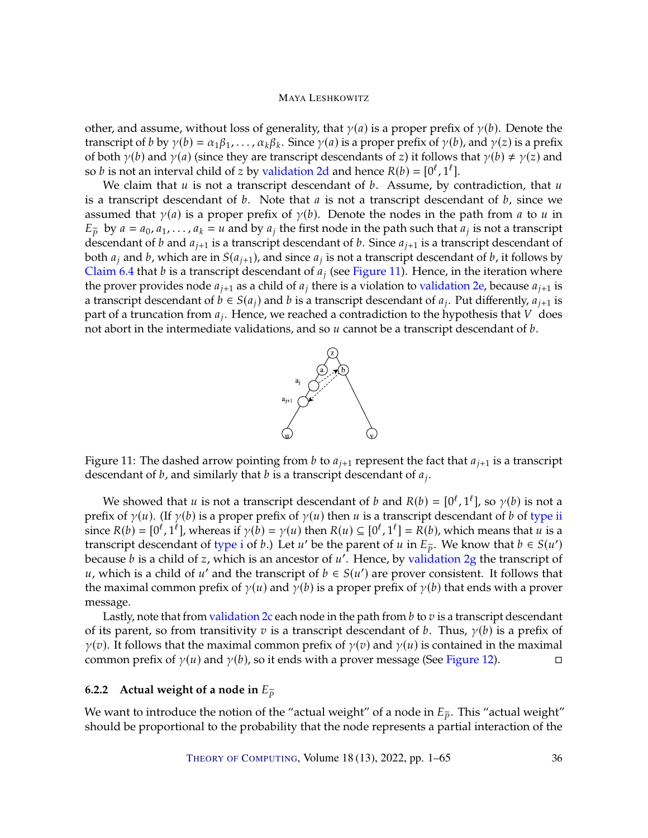other, and assume, without loss of generality, that  $\gamma(a)$  is a proper prefix of  $\gamma(b)$ . Denote the transcript of b by  $\gamma(b) = \alpha_1\beta_1, \ldots, \alpha_k\beta_k$ . Since  $\gamma(a)$  is a proper prefix of  $\gamma(b)$ , and  $\gamma(z)$  is a prefix of both  $\gamma(b)$  and  $\gamma(a)$  (since they are transcript descendants of z) it follows that  $\gamma(b) \neq \gamma(z)$  and so *b* is not an interval child of *z* by [validation](#page-22-4) [2d](#page-22-4) and hence  $R(b) = [0^l, 1^l]$ .<br>We claim that *u* is not a transcript descendant of *h*. Assume by *c* 

We claim that  $u$  is not a transcript descendant of  $b$ . Assume, by contradiction, that  $u$ is a transcript descendant of  $b$ . Note that  $a$  is not a transcript descendant of  $b$ , since we assumed that  $\gamma(a)$  is a proper prefix of  $\gamma(b)$ . Denote the nodes in the path from a to u in  $E_{\tilde{p}}$  by  $a = a_0, a_1, \ldots, a_k = u$  and by  $a_j$  the first node in the path such that  $a_j$  is not a transcript descendant of h and  $a_{i,j}$  is a transcription of h and  $a_{i,j}$  is a transcription of h and  $a_{i,j}$  is a transcr descendant of b and  $a_{j+1}$  is a transcript descendant of b. Since  $a_{j+1}$  is a transcript descendant of both  $a_j$  and b, which are in  $S(a_{j+1})$ , and since  $a_j$  is not a transcript descendant of b, it follows by [Claim](#page-31-1) [6.4](#page-31-1) that b is a transcript descendant of  $a_j$  (see [Figure](#page-35-1) [11\)](#page-35-1). Hence, in the iteration where the prover provides node  $a_{i+1}$  as a child of  $a_i$  there is a violation to [validation](#page-22-5) [2e,](#page-22-5) because  $a_{i+1}$  is a transcript descendant of  $\vec{b} \in S(a_j)$  and  $b$  is a transcript descendant of  $a_j$ . Put differently,  $a_{j+1}$  is part of a truncation from  $a_j$ . Hence we reached a contradiction to the hypothesis that V does part of a truncation from  $a_j$ . Hence, we reached a contradiction to the hypothesis that  $V$  does not about in the intermediate validations, and so  $u$  cannot be a transcript descendant of h not abort in the intermediate validations, and so  $u$  cannot be a transcript descendant of  $b$ .



<span id="page-35-1"></span>Figure 11: The dashed arrow pointing from b to  $a_{i+1}$  represent the fact that  $a_{i+1}$  is a transcript descendant of *b*, and similarly that *b* is a transcript descendant of  $a_j$ .

We showed that  $u$  is not a transcript descendant of  $b$  and  $R(b) = [0^l, 1^l]$ , so  $\gamma(b)$  is not a<br>fix of  $\gamma(u)$ . (If  $\gamma(b)$ ) is a proper prefix of  $\gamma(u)$  then  $u$  is a transcript descendant of  $b$  of type ii prefix of  $\gamma(u)$ . (If  $\gamma(b)$  is a proper prefix of  $\gamma(u)$  then u is a transcript descendant of b of [type](#page-19-1) [ii](#page-19-1) since  $R(b) = [0^l, 1^l]$ , whereas if  $\gamma(b) = \gamma(u)$  then  $R(u) \subseteq [0^l, 1^l] = R(b)$ , which means that u is a<br>transcript descendant of type i of h). Let u' be the parent of u in  $F \sim W$  know that  $h \in S(u')$ . transcript descendant of [type](#page-19-0) [i](#page-19-0) of *b*.) Let *u'* be the parent of *u* in  $E_{\tilde{p}}$ . We know that  $b \in S(u')$  because *h* is a child of *z* which is an ancestor of *u'* Hence by validation 2*g* the transcript of because *b* is a child of *z*, which is an ancestor of *u'*. Hence, by [validation](#page-22-3) [2g](#page-22-3) the transcript of *u*, which is a child of *u'* and the transcript of *h*  $\in S(u')$  are prover consistent. It follows that u, which is a child of u' and the transcript of  $b \in S(u')$  are prover consistent. It follows that<br>the maximal common profix of  $y(u)$  and  $y(h)$  is a proper profix of  $y(h)$  that onde with a prover the maximal common prefix of  $\gamma(u)$  and  $\gamma(b)$  is a proper prefix of  $\gamma(b)$  that ends with a prover message.

Lastly, note that from [validation](#page-22-1) [2c](#page-22-1) each node in the path from  $b$  to  $v$  is a transcript descendant of its parent, so from transitivity  $v$  is a transcript descendant of  $b$ . Thus,  $\gamma(b)$  is a prefix of  $\gamma(v)$ . It follows that the maximal common prefix of  $\gamma(v)$  and  $\gamma(u)$  is contained in the maximal common prefix of  $\gamma(u)$  and  $\gamma(b)$ , so it ends with a prover message (See Figure 12). common prefix of  $\gamma(u)$  and  $\gamma(b)$ , so it ends with a prover message (See [Figure](#page-36-0) [12\)](#page-36-0).

# <span id="page-35-0"></span>**6.2.2** Actual weight of a node in  $E_{\tilde{p}}$

We want to introduce the notion of the "actual weight" of a node in  $E_{\tilde{p}}$ . This "actual weight" should be proportional to the probability that the node represents a partial interaction of the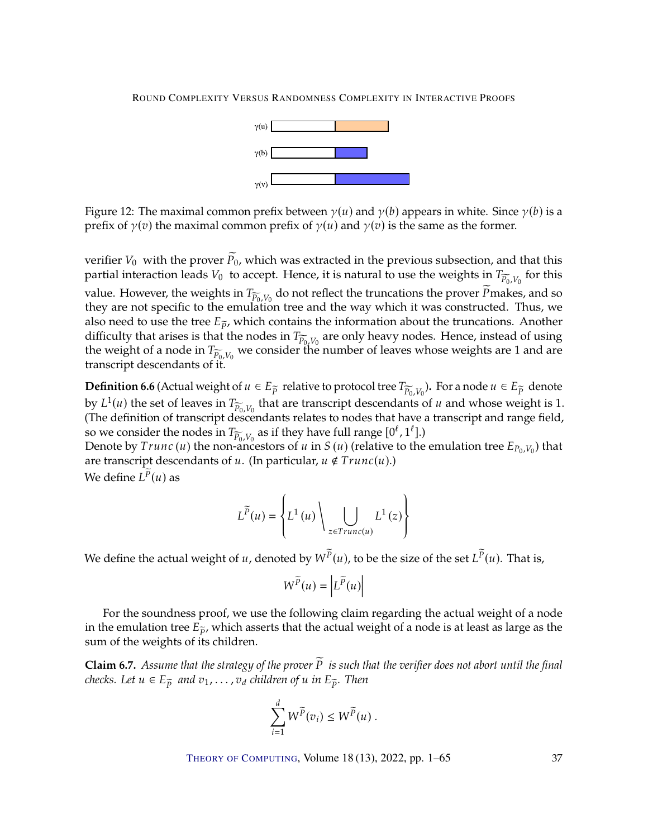

<span id="page-36-0"></span>Figure 12: The maximal common prefix between  $\gamma(u)$  and  $\gamma(b)$  appears in white. Since  $\gamma(b)$  is a prefix of  $\gamma(v)$  the maximal common prefix of  $\gamma(u)$  and  $\gamma(v)$  is the same as the former.

verifier  $V_0$  with the prover  $\widetilde{P}_0$ , which was extracted in the previous subsection, and that this partial interaction leads  $V_0$  to accept. Hence, it is natural to use the weights in  $T_{\widetilde{P}_0,V_0}$  for this value. However, the weights in  $T_{\widetilde{P}_0,V_0}$  do not reflect the truncations the prover  $\widetilde{P}$ makes, and so<br>they are not specific to the emulation tree and the way which it was constructed. Thus, we they are not specific to the emulation tree and the way which it was constructed. Thus, we also need to use the tree  $E_{\tilde{p}}$ , which contains the information about the truncations. Another difficulty that arises is that the nodes in  $T_{\widetilde{P}_0, V_0}$  are only heavy nodes. Hence, instead of using the weight of a node in  $T_{\widetilde{P}}$  we consider the number of leaves whose weights are 1 and are the weight of a node in  $T_{\widetilde{P}_0,V_0}$  we consider the number of leaves whose weights are 1 and are transcript descendants of it transcript descendants of it.

**Definition 6.6** (Actual weight of  $u \in E_{\widetilde{P}}$  relative to protocol tree  $T_{\widetilde{P}_0, V_0}$ ). For a node  $u \in E_{\widetilde{P}}$  denote that  $U(1(u))$  the set of leaves in  $T_{\text{tot}}$ , that are transministedesembents of u and whose by  $L^1(u)$  the set of leaves in  $T_{\widetilde{P}_0,V_0}$  that are transcript descendants of  $u$  and whose weight is 1.<br>(The definition of transcript descendants relates to nodes that have a transcript and range field (The definition of transcript descendants relates to nodes that have a transcript and range field, so we consider the nodes in  $T_{\widetilde{P}_0, V_0}$  as if they have full range  $[0^l, 1^l]$ .)<br>Denote by  $Trunc(u)$  the non-ancestors of u in S(u) (relative to the

Denote by  $Trunc(u)$  the non-ancestors of u in  $S(u)$  (relative to the emulation tree  $E_{P_0,V_0}$ ) that are transcript descendants of  $u$ . (In particular,  $u \notin Trunc(u)$ .) We define  $L^p(u)$  as

$$
L^{\widetilde{P}}(u) = \left\{ L^{1}(u) \setminus \bigcup_{z \in Trunc(u)} L^{1}(z) \right\}
$$

We define the actual weight of  $u$ , denoted by  $W^P(u)$ , to be the size of the set  $L^P(u)$ . That is,

$$
W^{\widetilde{P}}(u) = \left| L^{\widetilde{P}}(u) \right|
$$

For the soundness proof, we use the following claim regarding the actual weight of a node in the emulation tree  $E_{\tilde{p}}$ , which asserts that the actual weight of a node is at least as large as the sum of the weights of its children.

<span id="page-36-1"></span>**Claim 6.7.** Assume that the strategy of the prover  $\widetilde{P}$  is such that the verifier does not abort until the final *checks. Let*  $u \in E_{\tilde{p}}$  *and*  $v_1, \ldots, v_d$  *children of*  $u$  *in*  $E_{\tilde{p}}$ *. Then* 

$$
\sum_{i=1}^d W^{\widetilde{P}}(v_i) \leq W^{\widetilde{P}}(u) .
$$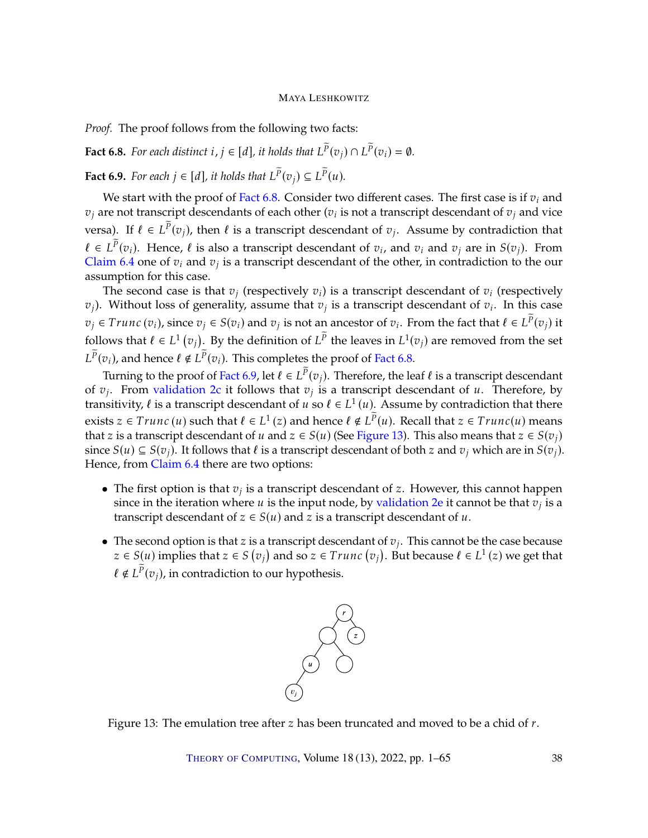*Proof.* The proof follows from the following two facts:

<span id="page-37-0"></span>**Fact 6.8.** For each distinct  $i, j \in [d]$ , it holds that  $L^p(v_j) \cap L^p(v_i) = \emptyset$ .

<span id="page-37-1"></span>**Fact 6.9.** For each  $j \in [d]$ , it holds that  $L^P(v_j) \subseteq L^P(u)$ .

We start with the proof of [Fact](#page-37-0) [6.8.](#page-37-0) Consider two different cases. The first case is if  $v_i$  and  $v_j$  are not transcript descendants of each other ( $v_i$  is not a transcript descendant of  $v_j$  and vice versa). If  $\ell \in L^p(v_j)$ , then  $\ell$  is a transcript descendant of  $v_j$ . Assume by contradiction that  $\ell \in L^p(v_i)$ . Hence,  $\ell$  is also a transcript descendant of  $v_i$ , and  $v_i$  and  $v_j$  are in  $S(v_j)$ . From [Claim](#page-31-1) [6.4](#page-31-1) one of  $v_i$  and  $v_j$  is a transcript descendant of the other, in contradiction to the our assumption for this case assumption for this case.

The second case is that  $v_j$  (respectively  $v_i$ ) is a transcript descendant of  $v_i$  (respectively  $(v_j)$ . Without loss of generality, assume that  $v_j$  is a transcript descendant of  $v_i$ . In this case  $v_j \in Trunc(v_i)$ , since  $v_j \in S(v_i)$  and  $v_j$  is not an ancestor of  $v_i$ . From the fact that  $\ell \in L^p(v_j)$  it follows that  $\ell \in L^1(v_j)$ . By the definition of  $L^{\tilde{P}}$  the leaves in  $L^1(v_j)$  are removed from the set  $\frac{1}{2}$  $L^P(v_i)$ , and hence  $\ell \notin L^P(v_i)$ . This completes the proof of [Fact](#page-37-0) [6.8.](#page-37-0)

Turning to the proof of [Fact](#page-37-1) [6.9,](#page-37-1) let  $\ell \in L^p(v_j)$ . Therefore, the leaf  $\ell$  is a transcript descendant<br>*i* From validation 26 it follows that  $v_i$  is a transcript descendant of  $u$ . Therefore, by of  $v_j$ . From [validation](#page-22-1) [2c](#page-22-1) it follows that  $v_j$  is a transcript descendant of u. Therefore, by<br>transitivity  $\ell$  is a transcript descendant of  $u$  so  $\ell \in L^1(u)$ . Assume by contradiction that there transitivity,  $\ell$  is a transcript descendant of  $u$  so  $\ell \in L^1(u)$ . Assume by contradiction that there exists  $z \in Trunc(u)$  such that  $\ell \in L^1(z)$  and hence  $\ell \notin L^{\tilde{P}}(u)$ . Recall that  $z \in Trunc(u)$  means that  $z \in S(x)$ . that z is a transcript descendant of u and  $z \in S(u)$  (See [Figure](#page-37-2) [13\)](#page-37-2). This also means that  $z \in S(v_i)$ since  $S(u) \subseteq S(v_i)$ . It follows that  $\ell$  is a transcript descendant of both z and  $v_i$  which are in  $S(v_i)$ . Hence, from [Claim](#page-31-1) [6.4](#page-31-1) there are two options:

- The first option is that  $v_j$  is a transcript descendant of  $z$ . However, this cannot happen since in the iteration where  $u$  is the input node by validation  $2\alpha$  it cannot be that  $v_j$  is a since in the iteration where *u* is the input node, by [validation](#page-22-5) [2e](#page-22-5) it cannot be that  $v_j$  is a transcript descendant of  $v_j$ . transcript descendant of  $z \in S(u)$  and  $z$  is a transcript descendant of  $u$ .
- The second option is that z is a transcript descendant of  $v_j$ . This cannot be the case because  $z \in S(u)$  implies that  $z \in S(x)$  and so  $z \in Trunc(z)$ . But because  $\ell \in L^1(z)$  we get that  $z \in S(u)$  implies that  $z \in S(v_j)$  and so  $z \in Trunc(v_j)$  $\ell \notin L^{\tilde{P}}(v_j)$ , in contradiction to our hypothesis. ). But because  $\ell \in L^1(z)$  we get that



<span id="page-37-2"></span>Figure 13: The emulation tree after  $z$  has been truncated and moved to be a chid of  $r$ .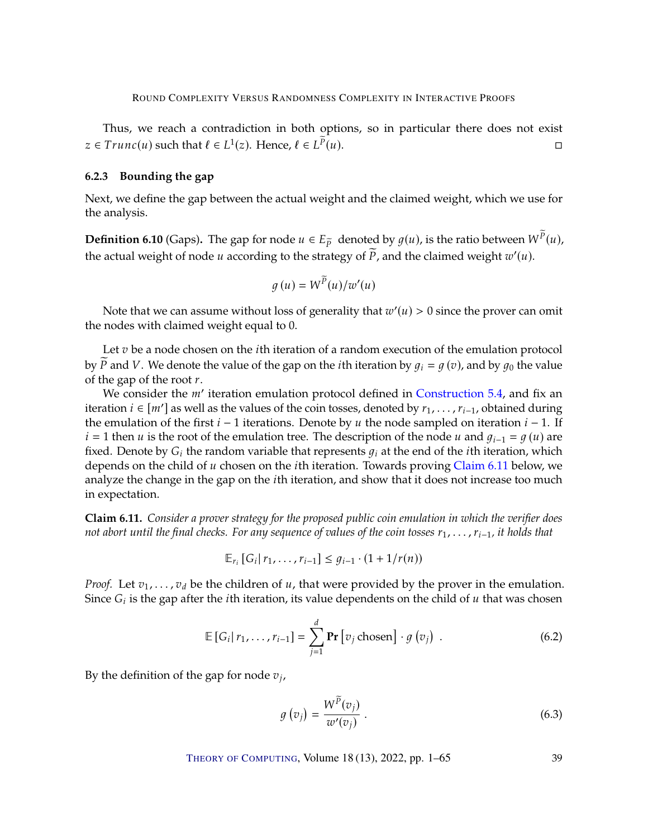Thus, we reach a contradiction in both options, so in particular there does not exist  $z \in Trunc(u)$  such that  $\ell \in L^1(z)$ . Hence,  $\ell \in L^{\widetilde{P}}$  $(u)$ .

# <span id="page-38-0"></span>**6.2.3 Bounding the gap**

Next, we define the gap between the actual weight and the claimed weight, which we use for the analysis.

**Definition 6.10** (Gaps). The gap for node  $u \in E_{\widetilde{P}}$  denoted by  $g(u)$ , is the ratio between  $W^{P}(u)$ , the actual visible of node  $u$  according to the strategy of  $\widetilde{P}$  and the shimed visible  $x'(u)$ . the actual weight of node  $u$  according to the strategy of  $\widetilde{P}$ , and the claimed weight  $w'(u)$ .

$$
g(u) = W^{\widetilde{P}}(u)/w'(u)
$$

Note that we can assume without loss of generality that  $w'(u) > 0$  since the prover can omit nodes with claimed weight equal to 0 the nodes with claimed weight equal to 0.

Let  $v$  be a node chosen on the *i*th iteration of a random execution of the emulation protocol by P and V. We denote the value of the gap on the *i*th iteration by  $g_i = g(v)$ , and by  $g_0$  the value of the gap of the root  $r$ .

We consider the *m'* iteration emulation protocol defined in [Construction](#page-21-3) [5.4,](#page-21-3) and fix and the set of the soil to see denoted by  $r_{\text{tot}}$  and the set of the set of the soil to see denoted by  $r_{\text{tot}}$  and the during iteration *i* ∈ [*m'*] as well as the values of the coin tosses, denoted by  $r_1, \ldots, r_{i-1}$ , obtained during the emulation of the first  $i - 1$  iterations. Denote by u the node sampled on iteration  $i - 1$  If the emulation of the first  $i - 1$  iterations. Denote by  $u$  the node sampled on iteration  $i - 1$ . If  $i = 1$  then u is the root of the emulation tree. The description of the node u and  $q_{i-1} = q(u)$  are fixed. Denote by  $G_i$  the random variable that represents  $q_i$  at the end of the *i*th iteration, which depends on the child of  $u$  chosen on the *i*th iteration. Towards proving [Claim](#page-38-1) [6.11](#page-38-1) below, we analyze the change in the gap on the  $i$ th iteration, and show that it does not increase too much in expectation.

<span id="page-38-1"></span>**Claim 6.11.** *Consider a prover strategy for the proposed public coin emulation in which the verifier does not abort until the final checks. For any sequence of values of the coin tosses*  $r_1, \ldots, r_{i-1}$ , *it holds that* 

$$
\mathbb{E}_{r_i} [G_i | r_1, \ldots, r_{i-1}] \leq g_{i-1} \cdot (1 + 1/r(n))
$$

*Proof.* Let  $v_1, \ldots, v_d$  be the children of  $u$ , that were provided by the prover in the emulation. Since  $G_i$  is the gap after the *i*th iteration, its value dependents on the child of  $u$  that was chosen

$$
\mathbb{E}\left[G_i|\,r_1,\ldots,r_{i-1}\right] = \sum_{j=1}^d \mathbf{Pr}\left[v_j\,\text{chosen}\right] \cdot g\left(v_j\right) \,. \tag{6.2}
$$

By the definition of the gap for node  $v_j$ ,

$$
g\left(v_j\right) = \frac{W^P(v_j)}{w'(v_j)}\,. \tag{6.3}
$$

<span id="page-38-3"></span><span id="page-38-2"></span>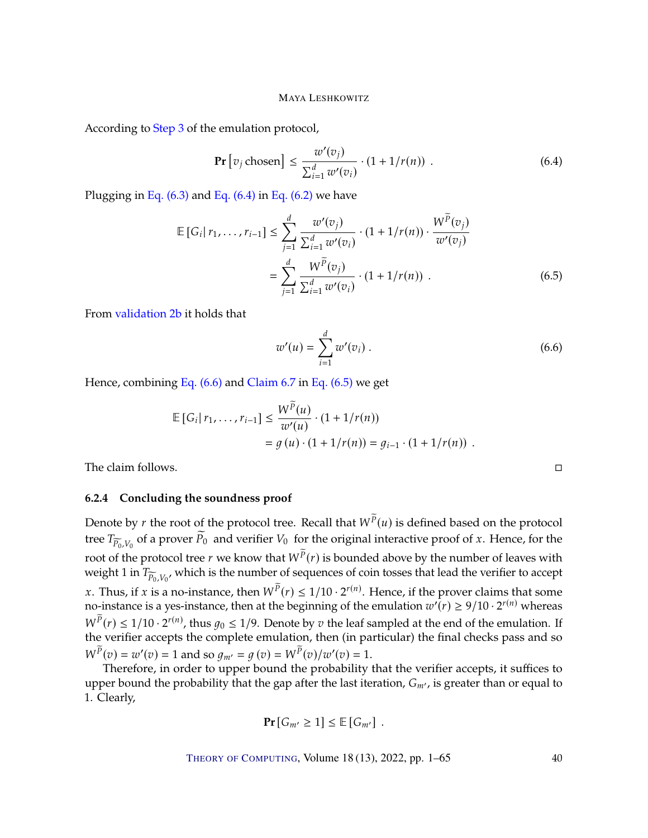According to [Step](#page-22-0) [3](#page-22-0) of the emulation protocol,

$$
\Pr[v_j \text{ chosen}] \le \frac{w'(v_j)}{\sum_{i=1}^d w'(v_i)} \cdot (1 + 1/r(n)) \quad . \tag{6.4}
$$

Plugging in Eq.  $(6.3)$  and Eq.  $(6.4)$  in Eq.  $(6.2)$  we have

$$
\mathbb{E}\left[G_i|\,r_1,\ldots,r_{i-1}\right] \leq \sum_{j=1}^d \frac{w'(v_j)}{\sum_{i=1}^d w'(v_i)} \cdot (1+1/r(n)) \cdot \frac{W^{\widetilde{P}}(v_j)}{w'(v_j)}
$$
\n
$$
= \sum_{j=1}^d \frac{W^{\widetilde{P}}(v_j)}{\sum_{i=1}^d w'(v_i)} \cdot (1+1/r(n)) \ . \tag{6.5}
$$

From [validation](#page-21-6) [2b](#page-21-6) it holds that

<span id="page-39-1"></span>
$$
w'(u) = \sum_{i=1}^{d} w'(v_i).
$$
 (6.6)

Hence, combining [Eq. \(6.6\)](#page-39-2) and [Claim](#page-36-1) [6.7](#page-36-1) in [Eq. \(6.5\)](#page-39-3) we get

$$
\mathbb{E}\left[G_i|\,r_1,\ldots,r_{i-1}\right] \leq \frac{W^P(u)}{w'(u)} \cdot (1 + 1/r(n))
$$
\n
$$
= g\left(u\right) \cdot (1 + 1/r(n)) = g_{i-1} \cdot (1 + 1/r(n)) \ .
$$

The claim follows.

#### <span id="page-39-0"></span>**6.2.4 Concluding the soundness proof**

Denote by *r* the root of the protocol tree. Recall that  $W^{\overline{p}}(u)$  is defined based on the protocol tree  $T_{\widetilde{P}_0, V_0}$  of a prover  $\widetilde{P}_0$  and verifier  $V_0$  for the original interactive proof of x. Hence, for the root of the protocol tree *r* we know that  $W^P(r)$  is bounded above by the number of leaves with weight 1 in  $T_{\infty}$  which is the number of sequences of coin tosses that lead the verifier to accent weight 1 in  $T_{\widetilde{P}_0, V_0}$ , which is the number of sequences of coin tosses that lead the verifier to accept x. Thus, if x is a no-instance, then  $W^{\tilde{P}}(r) \leq 1/10 \cdot 2^{r(n)}$ . Hence, if the prover claims that some no-instance is a ves-instance then at the beginning of the emulation  $w'(r) > 9/10 \cdot 2^{r(n)}$  whereas no-instance is a yes-instance, then at the beginning of the emulation  $w'(r) \ge 9/10 \cdot 2^{r(n)}$  whereas  $W^{\tilde{P}}(r) \leq 1/10 \cdot 2^{r(n)}$ , thus  $g_0 \leq 1/9$ . Denote by  $v$  the leaf sampled at the end of the emulation. If the verifier accents the complete emulation, then (in particular) the final checks pass and so the verifier accepts the complete emulation, then (in particular) the final checks pass and so  $W^{\widetilde{P}}(v) = w'(v) = 1$  and so  $g_{m'} = g(v) = W^{\widetilde{P}}(v)/w'(v) = 1$ .<br>Therefore in order to upper bound the probability

Therefore, in order to upper bound the probability that the verifier accepts, it suffices to upper bound the probability that the gap after the last iteration,  $G_{m'}$ , is greater than or equal to 1. Clearly,

$$
\Pr[G_{m'} \geq 1] \leq \mathbb{E}[G_{m'}].
$$

THEORY OF C[OMPUTING](http://dx.doi.org/10.4086/toc), Volume 18 (13), 2022, pp. 1–65 40

<span id="page-39-3"></span><span id="page-39-2"></span>
$$
f_{\rm{max}}
$$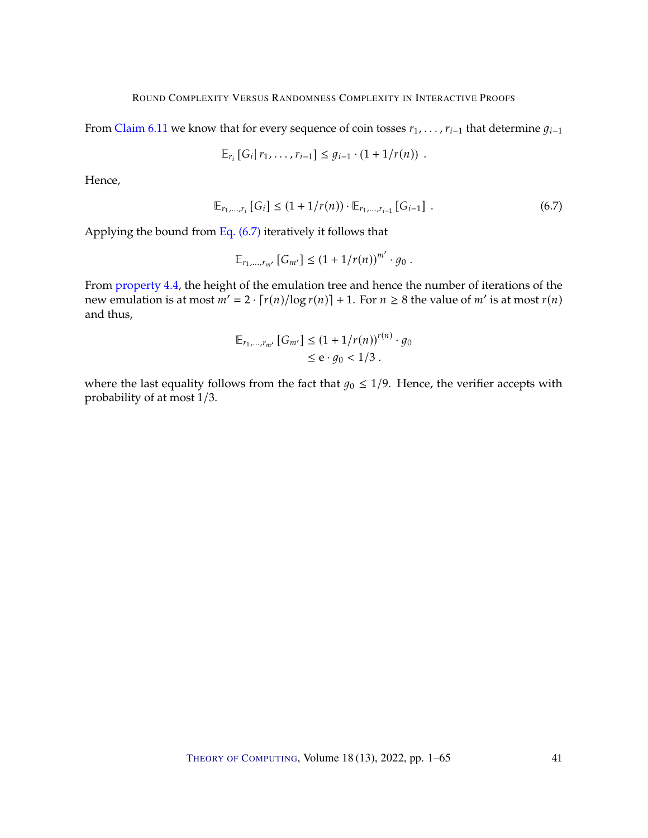From [Claim](#page-38-1) [6.11](#page-38-1) we know that for every sequence of coin tosses  $r_1, \ldots, r_{i-1}$  that determine  $q_{i-1}$ 

$$
\mathbb{E}_{r_i} [G_i | r_1, \ldots, r_{i-1}] \leq g_{i-1} \cdot (1 + 1/r(n)) \ .
$$

Hence,

$$
\mathbb{E}_{r_1,\dots,r_i} \left[ G_i \right] \le (1 + 1/r(n)) \cdot \mathbb{E}_{r_1,\dots,r_{i-1}} \left[ G_{i-1} \right] . \tag{6.7}
$$

Applying the bound from Eq.  $(6.7)$  iteratively it follows that

<span id="page-40-0"></span>
$$
\mathbb{E}_{r_1,\dots,r_{m'}}[G_{m'}]\leq (1+1/r(n))^{m'}\cdot g_0.
$$

From [property](#page-17-2) [4.4,](#page-17-2) the height of the emulation tree and hence the number of iterations of the new emulation is at most  $m' = 2 \cdot [r(n)/\log r(n)] + 1$ . For  $n \ge 8$  the value of  $m'$  is at most  $r(n)$ and thus,

$$
\mathbb{E}_{r_1,\dots,r_{m'}}[G_{m'}] \le (1 + 1/r(n))^{r(n)} \cdot g_0
$$
  

$$
\le e \cdot g_0 < 1/3.
$$

where the last equality follows from the fact that  $g_0 \leq 1/9$ . Hence, the verifier accepts with probability of at most 1/3.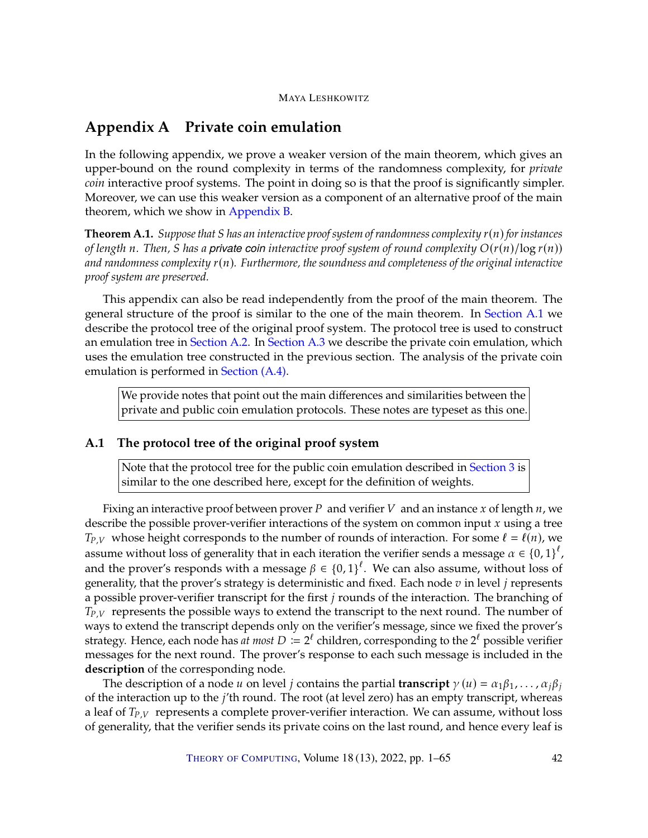# <span id="page-41-0"></span>**Appendix A Private coin emulation**

In the following appendix, we prove a weaker version of the main theorem, which gives an upper-bound on the round complexity in terms of the randomness complexity, for *private coin* interactive proof systems. The point in doing so is that the proof is significantly simpler. Moreover, we can use this weaker version as a component of an alternative proof of the main theorem, which we show in [Appendix](#page-55-0) [B.](#page-55-0)

<span id="page-41-2"></span>**Theorem A.1.** *Suppose that S* has an interactive proof system of randomness complexity  $r(n)$  *for instances of length n*. Then, *S* has a private coin interactive proof system of round complexity  $O(r(n)/\log r(n))$ and randomness complexity  $r(n)$ *. Furthermore, the soundness and completeness of the original interactive proof system are preserved.*

This appendix can also be read independently from the proof of the main theorem. The general structure of the proof is similar to the one of the main theorem. In [Section](#page-41-1) [A.1](#page-41-1) we describe the protocol tree of the original proof system. The protocol tree is used to construct an emulation tree in [Section](#page-42-0) [A.2.](#page-42-0) In [Section](#page-44-0) [A.3](#page-44-0) we describe the private coin emulation, which uses the emulation tree constructed in the previous section. The analysis of the private coin emulation is performed in [Section \(A.4\).](#page-47-0)

We provide notes that point out the main differences and similarities between the private and public coin emulation protocols. These notes are typeset as this one.

# <span id="page-41-1"></span>**A.1 The protocol tree of the original proof system**

Note that the protocol tree for the public coin emulation described in [Section](#page-10-0) [3](#page-10-0) is similar to the one described here, except for the definition of weights.

Fixing an interactive proof between prover P and verifier V and an instance x of length  $n$ , we describe the possible prover-verifier interactions of the system on common input  $x$  using a tree  $T_{P,V}$  whose height corresponds to the number of rounds of interaction. For some  $\ell = \ell(n)$ , we assume without loss of generality that in each iteration the verifier sends a message  $\alpha \in \{0,1\}^{\ell}$ ,<br>and the prevent's recovered with a message  $\ell \in \{0,1\}^{\ell}$ . We see also assume, without loss of and the prover's responds with a message  $\beta \in \{0,1\}^{\ell}$ . We can also assume, without loss of concretive that the prover's strategy is deterministic and fixed. Each node  $\eta$  in level  $i$  represents generality, that the prover's strategy is deterministic and fixed. Each node  $v$  in level  $j$  represents a possible prover-verifier transcript for the first  $j$  rounds of the interaction. The branching of  $T_{P,V}$  represents the possible ways to extend the transcript to the next round. The number of ways to extend the transcript depends only on the verifier's message, since we fixed the prover's strategy. Hence, each node has *at most*  $D := 2^{\ell}$  children, corresponding to the  $2^{\ell}$  possible verifier mossages for the next round. The prover's response to each such message is included in the messages for the next round. The prover's response to each such message is included in the **description** of the corresponding node.

The description of a node u on level *j* contains the partial **transcript**  $\gamma(u) = \alpha_1 \beta_1, \dots, \alpha_i \beta_i$ of the interaction up to the  $j'$ th round. The root (at level zero) has an empty transcript, whereas a leaf of  $T_{P,V}$  represents a complete prover-verifier interaction. We can assume, without loss of generality, that the verifier sends its private coins on the last round, and hence every leaf is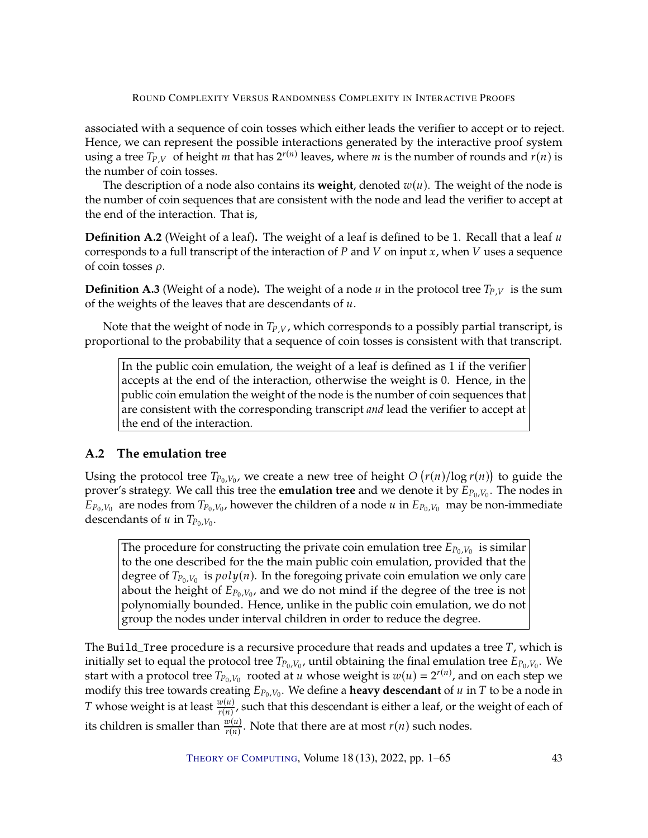associated with a sequence of coin tosses which either leads the verifier to accept or to reject. Hence, we can represent the possible interactions generated by the interactive proof system using a tree  $T_{P,V}$  of height *m* that has  $2^{r(n)}$  leaves, where *m* is the number of rounds and  $r(n)$  is the number of coin tosses the number of coin tosses.

The description of a node also contains its **weight**, denoted  $w(u)$ . The weight of the node is the number of coin sequences that are consistent with the node and lead the verifier to accept at the end of the interaction. That is,

**Definition A.2** (Weight of a leaf). The weight of a leaf is defined to be 1. Recall that a leaf u corresponds to a full transcript of the interaction of  $P$  and  $V$  on input  $x$ , when  $V$  uses a sequence of coin tosses  $\rho$ .

**Definition A.3** (Weight of a node). The weight of a node  $u$  in the protocol tree  $T_{P,V}$  is the sum of the weights of the leaves that are descendants of  $u$ .

Note that the weight of node in  $T_{P,V}$ , which corresponds to a possibly partial transcript, is proportional to the probability that a sequence of coin tosses is consistent with that transcript.

In the public coin emulation, the weight of a leaf is defined as 1 if the verifier accepts at the end of the interaction, otherwise the weight is 0. Hence, in the public coin emulation the weight of the node is the number of coin sequences that are consistent with the corresponding transcript *and* lead the verifier to accept at the end of the interaction.

# <span id="page-42-0"></span>**A.2 The emulation tree**

Using the protocol tree  $T_{P_0,V_0}$ , we create a new tree of height  $O(r(n)/\log r(n))$  to guide the prover's strategy. We call this tree the **equilition tree** and we denote it by  $F_{P_0,V}$ . The podes in prover's strategy. We call this tree the **emulation tree** and we denote it by  $E_{P_0,V_0}$ . The nodes in  $E_{P_0,V_0}$  are nodes from  $T_{P_0,V_0}$ , however the children of a node  $u$  in  $E_{P_0,V_0}$  may be non-immediate descendants of  $u$  in  $T_{\text{P}_0,V_0}$ , descendants of  $u$  in  $T_{P_0,V_0}$ .

The procedure for constructing the private coin emulation tree  $E_{P_0,V_0}$  is similar<br>to the one described for the the main public coin emulation, provided that the to the one described for the the main public coin emulation, provided that the degree of  $T_{P_0,V_0}$  is  $poly(n)$ . In the foregoing private coin emulation we only care<br>about the height of  $F_{\text{D},V_0}$  and we do not mind if the degree of the tree is not about the height of  $E_{P_0,V_0}$ , and we do not mind if the degree of the tree is not<br>polynomially bounded. Hence unlike in the public coin emulation, we do not polynomially bounded. Hence, unlike in the public coin emulation, we do not group the nodes under interval children in order to reduce the degree.

The Build\_Tree procedure is a recursive procedure that reads and updates a tree  $T$ , which is initially set to equal the protocol tree  $T_{P_0,V_0}$ , until obtaining the final emulation tree  $E_{P_0,V_0}$ . We<br>start with a protocol tree  $T_{\text{B}_v,V}$  rooted at u whose weight is  $x_l(u) = 2^{r(n)}$  and on each stap we start with a protocol tree  $T_{P_0, V_0}$  rooted at u whose weight is  $w(u) = 2^{r(n)}$ , and on each step we<br>modify this tree towards creating  $F_{\text{D}}$ ,  $W_0$  define a **heavy descendant** of u in T to be a node in modify this tree towards creating  $E_{P_0,V_0}$ . We define a **heavy descendant** of  $u$  in  $T$  to be a node in  $T$  subsequential to be a node in *T* whose weight is at least  $\frac{w(u)}{r(n)}$ , such that this descendant is either a leaf, or the weight of each of its children is smaller than  $\frac{w(u)}{r(u)}$  $\frac{w(u)}{r(n)}$ . Note that there are at most  $r(n)$  such nodes.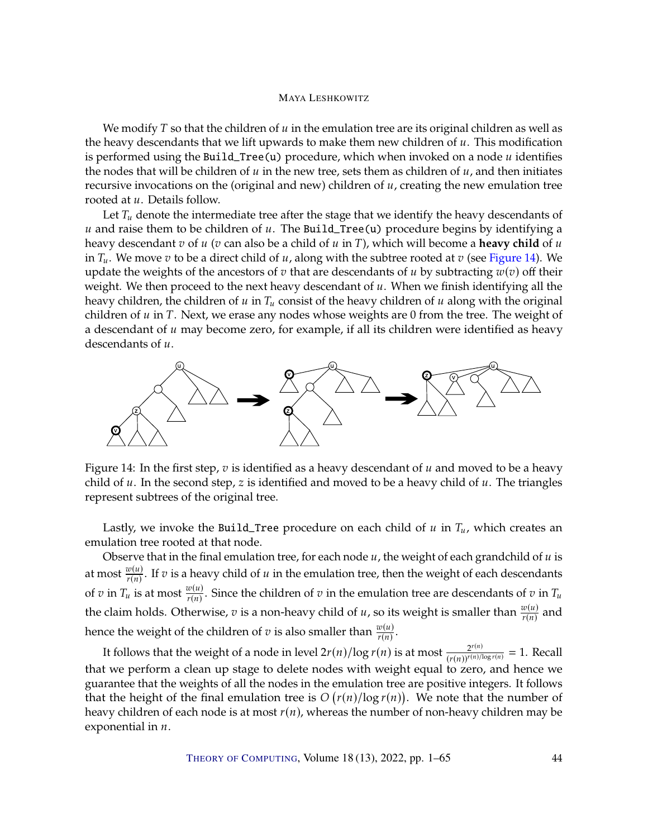We modify T so that the children of  $u$  in the emulation tree are its original children as well as the heavy descendants that we lift upwards to make them new children of  $u$ . This modification is performed using the Build\_Tree(u) procedure, which when invoked on a node  $u$  identifies the nodes that will be children of  $u$  in the new tree, sets them as children of  $u$ , and then initiates recursive invocations on the (original and new) children of  $u$ , creating the new emulation tree rooted at *u*. Details follow.

Let  $T_u$  denote the intermediate tree after the stage that we identify the heavy descendants of  $u$  and raise them to be children of  $u$ . The Build\_Tree(u) procedure begins by identifying a heavy descendant  $v$  of  $u$  ( $v$  can also be a child of  $u$  in  $T$ ), which will become a **heavy child** of  $u$ in  $T_u$ . We move v to be a direct child of u, along with the subtree rooted at v (see [Figure](#page-43-0) [14\)](#page-43-0). We update the weights of the ancestors of  $v$  that are descendants of  $u$  by subtracting  $w(v)$  off their weight. We then proceed to the next heavy descendant of  $u$ . When we finish identifying all the heavy children, the children of  $u$  in  $T_u$  consist of the heavy children of  $u$  along with the original children of  $u$  in  $T$ . Next, we erase any nodes whose weights are 0 from the tree. The weight of a descendant of  $u$  may become zero, for example, if all its children were identified as heavy descendants of  $u$ .



<span id="page-43-0"></span>Figure 14: In the first step,  $v$  is identified as a heavy descendant of  $u$  and moved to be a heavy child of  $u$ . In the second step,  $z$  is identified and moved to be a heavy child of  $u$ . The triangles represent subtrees of the original tree.

Lastly, we invoke the Build\_Tree procedure on each child of  $u$  in  $T_u$ , which creates an emulation tree rooted at that node.

Observe that in the final emulation tree, for each node  $u$ , the weight of each grandchild of  $u$  is at most  $\frac{w(u)}{r(u)}$  $\frac{w(u)}{r(n)}$ . If  $v$  is a heavy child of  $u$  in the emulation tree, then the weight of each descendants of  $v$  in  $T_u$  is at most  $\frac{w(u)}{r(u)}$ . Since the children of  $v$  in the emulation tree are descendants of  $v$  in  $T_u$ the claim holds. Otherwise,  $v$  is a non-heavy child of  $u$ , so its weight is smaller than  $\frac{w(u)}{r(n)}$  and hence the weight of the children of  $v$  is also smaller than  $\frac{w(u)}{r(n)}$ .

It follows that the weight of a node in level  $2r(n)/\log r(n)$  is at most  $\frac{2^{r(n)}}{(r(n))^{r(n)/\log r(n)}} = 1$ . Recall that we perform a clean up stage to delete nodes with weight equal to zero, and hence we guarantee that the weights of all the nodes in the emulation tree are positive integers. It follows that the height of the final emulation tree is  $O(r(n)/\log r(n))$ . We note that the number of hon-heavy children may be heavy children of each node is at most  $r(n)$ , whereas the number of non-heavy children may be exponential in  $n$ .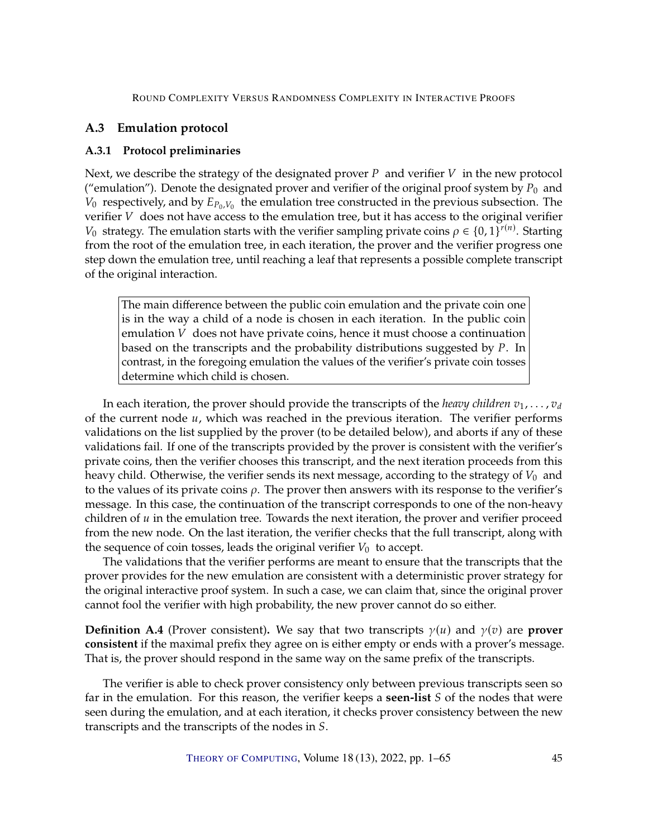# <span id="page-44-0"></span>**A.3 Emulation protocol**

# <span id="page-44-1"></span>**A.3.1 Protocol preliminaries**

Next, we describe the strategy of the designated prover  $P$  and verifier  $V$  in the new protocol ("emulation"). Denote the designated prover and verifier of the original proof system by  $P_0$  and  $V_0$  respectively, and by  $E_{P_0,V_0}$  the emulation tree constructed in the previous subsection. The verifier V does not have access to the emulation tree, but it has access to the original verifier verifier  $V$  does not have access to the emulation tree, but it has access to the original verifier *V*<sub>0</sub> strategy. The emulation starts with the verifier sampling private coins  $\rho \in \{0, 1\}^{r(n)}$ . Starting from the root of the emulation tree, in each iteration, the prover and the verifier progress one from the root of the emulation tree, in each iteration, the prover and the verifier progress one step down the emulation tree, until reaching a leaf that represents a possible complete transcript of the original interaction.

The main difference between the public coin emulation and the private coin one is in the way a child of a node is chosen in each iteration. In the public coin emulation  $V$  does not have private coins, hence it must choose a continuation based on the transcripts and the probability distributions suggested by  $P$ . In contrast, in the foregoing emulation the values of the verifier's private coin tosses determine which child is chosen.

In each iteration, the prover should provide the transcripts of the *heavy children*  $v_1, \ldots, v_d$ of the current node  $u$ , which was reached in the previous iteration. The verifier performs validations on the list supplied by the prover (to be detailed below), and aborts if any of these validations fail. If one of the transcripts provided by the prover is consistent with the verifier's private coins, then the verifier chooses this transcript, and the next iteration proceeds from this heavy child. Otherwise, the verifier sends its next message, according to the strategy of  $V_0$  and to the values of its private coins  $\rho$ . The prover then answers with its response to the verifier's message. In this case, the continuation of the transcript corresponds to one of the non-heavy children of  $u$  in the emulation tree. Towards the next iteration, the prover and verifier proceed from the new node. On the last iteration, the verifier checks that the full transcript, along with the sequence of coin tosses, leads the original verifier  $V_0$  to accept.

The validations that the verifier performs are meant to ensure that the transcripts that the prover provides for the new emulation are consistent with a deterministic prover strategy for the original interactive proof system. In such a case, we can claim that, since the original prover cannot fool the verifier with high probability, the new prover cannot do so either.

<span id="page-44-2"></span>**Definition A.4** (Prover consistent). We say that two transcripts  $\gamma(u)$  and  $\gamma(v)$  are **prover consistent** if the maximal prefix they agree on is either empty or ends with a prover's message. That is, the prover should respond in the same way on the same prefix of the transcripts.

The verifier is able to check prover consistency only between previous transcripts seen so far in the emulation. For this reason, the verifier keeps a **seen-list** S of the nodes that were seen during the emulation, and at each iteration, it checks prover consistency between the new transcripts and the transcripts of the nodes in S.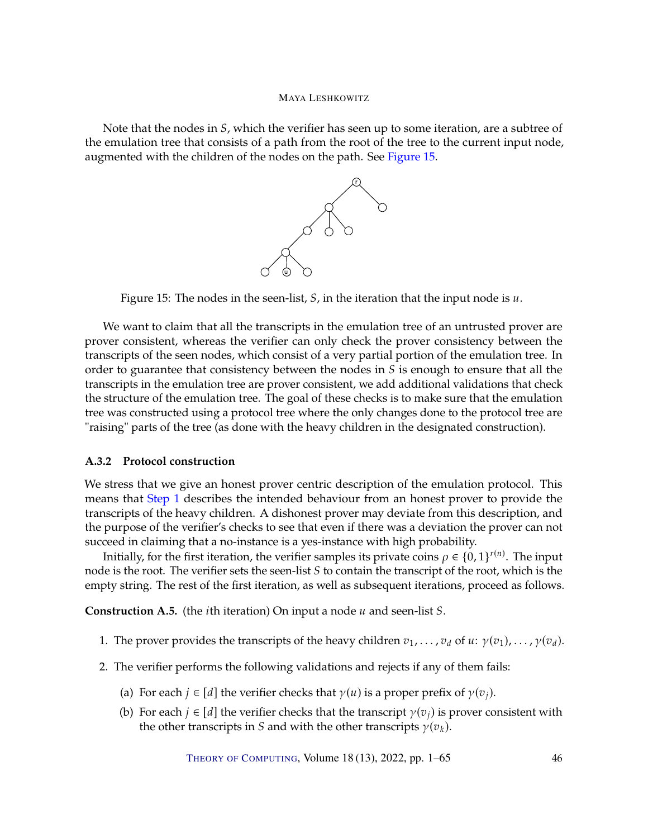Note that the nodes in  $S$ , which the verifier has seen up to some iteration, are a subtree of the emulation tree that consists of a path from the root of the tree to the current input node, augmented with the children of the nodes on the path. See [Figure](#page-45-2) [15.](#page-45-2)



<span id="page-45-2"></span>

We want to claim that all the transcripts in the emulation tree of an untrusted prover are prover consistent, whereas the verifier can only check the prover consistency between the transcripts of the seen nodes, which consist of a very partial portion of the emulation tree. In order to guarantee that consistency between the nodes in  $S$  is enough to ensure that all the transcripts in the emulation tree are prover consistent, we add additional validations that check the structure of the emulation tree. The goal of these checks is to make sure that the emulation tree was constructed using a protocol tree where the only changes done to the protocol tree are "raising" parts of the tree (as done with the heavy children in the designated construction).

# <span id="page-45-0"></span>**A.3.2 Protocol construction**

We stress that we give an honest prover centric description of the emulation protocol. This means that [Step](#page-45-3) [1](#page-45-3) describes the intended behaviour from an honest prover to provide the transcripts of the heavy children. A dishonest prover may deviate from this description, and the purpose of the verifier's checks to see that even if there was a deviation the prover can not succeed in claiming that a no-instance is a yes-instance with high probability.

Initially, for the first iteration, the verifier samples its private coins  $\rho \in \{0,1\}^{r(n)}$ . The input node is the root. The verifier sets the seen-list  $S$  to contain the transcript of the root, which is the empty string. The rest of the first iteration, as well as subsequent iterations, proceed as follows.

<span id="page-45-4"></span>**Construction A.5.** (the *i*th iteration) On input a node  $u$  and seen-list  $S$ .

- <span id="page-45-3"></span>1. The prover provides the transcripts of the heavy children  $v_1, \ldots, v_d$  of  $u: \gamma(v_1), \ldots, \gamma(v_d)$ .
- <span id="page-45-6"></span><span id="page-45-5"></span><span id="page-45-1"></span>2. The verifier performs the following validations and rejects if any of them fails:
	- (a) For each  $j \in [d]$  the verifier checks that  $\gamma(u)$  is a proper prefix of  $\gamma(v_i)$ .
	- (b) For each  $j \in [d]$  the verifier checks that the transcript  $\gamma(v_i)$  is prover consistent with the other transcripts in S and with the other transcripts  $\gamma(v_k)$ .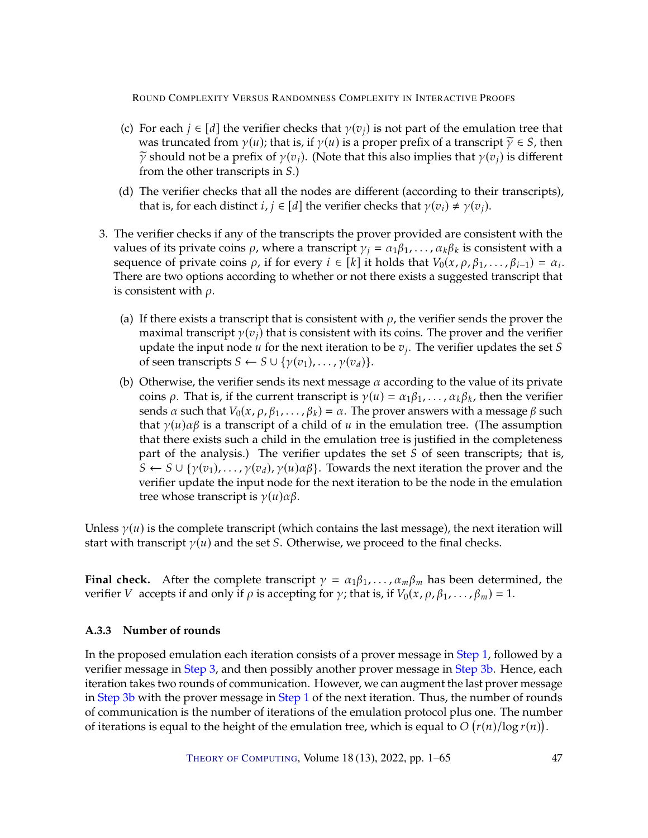- <span id="page-46-3"></span>(c) For each  $j \in [d]$  the verifier checks that  $\gamma(v_i)$  is not part of the emulation tree that was truncated from  $\gamma(u)$ ; that is, if  $\gamma(u)$  is a proper prefix of a transcript  $\widetilde{\gamma} \in S$ , then  $\tilde{\gamma}$  should not be a prefix of  $\gamma(v_i)$ . (Note that this also implies that  $\gamma(v_i)$  is different from the other transcripts in  $S$ .)
- <span id="page-46-4"></span>(d) The verifier checks that all the nodes are different (according to their transcripts), that is, for each distinct  $i, j \in [d]$  the verifier checks that  $\gamma(v_i) \neq \gamma(v_j)$ .
- <span id="page-46-2"></span><span id="page-46-1"></span>3. The verifier checks if any of the transcripts the prover provided are consistent with the values of its private coins  $\rho$ , where a transcript  $\gamma_j = \alpha_1 \beta_1, \dots, \alpha_k \beta_k$  is consistent with a sequence of private coins  $\rho$ , if for every  $i \in [k]$  it holds that  $V_0(x, \rho, \beta_1, \ldots, \beta_{i-1}) = \alpha_i$ .<br>There are two options according to whether or not there exists a suggested transcript that There are two options according to whether or not there exists a suggested transcript that is consistent with  $\rho$ .
	- (a) If there exists a transcript that is consistent with  $\rho$ , the verifier sends the prover the maximal transcript  $\gamma(v_i)$  that is consistent with its coins. The prover and the verifier update the input node  $u$  for the next iteration to be  $v_j$ . The verifier updates the set S<br>of seen transcripts  $S \leftarrow S \cup \{v(x_1), \ldots, v(x_n)\}$ of seen transcripts  $S \leftarrow S \cup \{ \gamma(v_1), \ldots, \gamma(v_d) \}.$
	- (b) Otherwise, the verifier sends its next message  $\alpha$  according to the value of its private coins  $\rho$ . That is, if the current transcript is  $\gamma(u) = \alpha_1 \beta_1, \dots, \alpha_k \beta_k$ , then the verifier sends  $\alpha$  such that  $V_0(x, \rho, \beta_1, \ldots, \beta_k) = \alpha$ . The prover answers with a message  $\beta$  such that  $\gamma(u)\alpha\beta$  is a transcript of a child of u in the emulation tree. (The assumption that there exists such a child in the emulation tree is justified in the completeness part of the analysis.) The verifier updates the set  $S$  of seen transcripts; that is,  $S \leftarrow S \cup \{ \gamma(v_1), \ldots, \gamma(v_d), \gamma(u) \alpha \beta \}.$  Towards the next iteration the prover and the verifier update the input node for the next iteration to be the node in the emulation tree whose transcript is  $\gamma(u)\alpha\beta$ .

Unless  $\gamma(u)$  is the complete transcript (which contains the last message), the next iteration will start with transcript  $\gamma(u)$  and the set *S*. Otherwise, we proceed to the final checks.

**Final check.** After the complete transcript  $\gamma = \alpha_1 \beta_1, \dots, \alpha_m \beta_m$  has been determined, the verifier V accepts if and only if  $\rho$  is accepting for  $\gamma$ ; that is, if  $V_0(x, \rho, \beta_1, \ldots, \beta_m) = 1$ .

# <span id="page-46-0"></span>**A.3.3 Number of rounds**

In the proposed emulation each iteration consists of a prover message in [Step](#page-45-3) [1,](#page-45-3) followed by a verifier message in [Step](#page-46-1) [3,](#page-46-1) and then possibly another prover message in [Step](#page-46-2) [3b.](#page-46-2) Hence, each iteration takes two rounds of communication. However, we can augment the last prover message in [Step](#page-45-3) [3b](#page-46-2) with the prover message in Step [1](#page-45-3) of the next iteration. Thus, the number of rounds of communication is the number of iterations of the emulation protocol plus one. The number of iterations is equal to the height of the emulation tree, which is equal to  $O(r(n)/\log r(n))$ .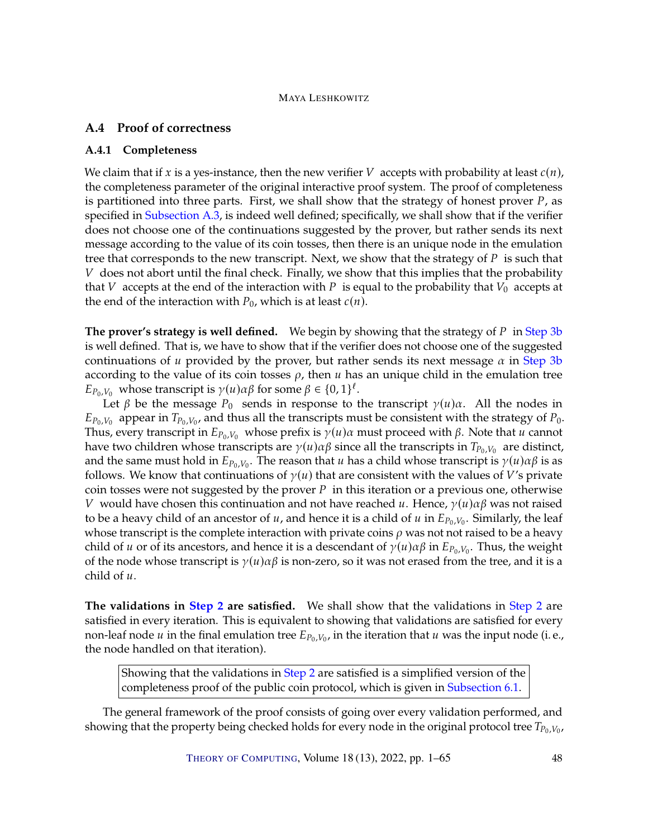# <span id="page-47-0"></span>**A.4 Proof of correctness**

#### <span id="page-47-1"></span>**A.4.1 Completeness**

We claim that if x is a yes-instance, then the new verifier V accepts with probability at least  $c(n)$ , the completeness parameter of the original interactive proof system. The proof of completeness is partitioned into three parts. First, we shall show that the strategy of honest prover  $P$ , as specified in [Subsection](#page-44-0) [A.3,](#page-44-0) is indeed well defined; specifically, we shall show that if the verifier does not choose one of the continuations suggested by the prover, but rather sends its next message according to the value of its coin tosses, then there is an unique node in the emulation tree that corresponds to the new transcript. Next, we show that the strategy of  $P$  is such that  $V$  does not abort until the final check. Finally, we show that this implies that the probability that V accepts at the end of the interaction with P is equal to the probability that  $V_0$  accepts at the end of the interaction with  $P_0$ , which is at least  $c(n)$ .

**The prover's strategy is well defined.** We begin by showing that the strategy of P in [Step](#page-46-2) [3b](#page-46-2) is well defined. That is, we have to show that if the verifier does not choose one of the suggested continuations of u provided by the prover, but rather sends its next message  $\alpha$  in [Step](#page-46-2) [3b](#page-46-2) according to the value of its coin tosses  $\rho$ , then  $u$  has an unique child in the emulation tree  $E_{P_0,V_0}$  whose transcript is  $\gamma(u)\alpha\beta$  for some  $\beta \in \{0,1\}^{\ell}$ .<br>Let  $\beta$  be the message  $P_0$  sonds in response to t

Let  $\beta$  be the message  $P_0$  sends in response to the transcript  $\gamma(u)\alpha$ . All the nodes in  $L_{p_0, V_0}$  appear in  $I_{p_0, V_0}$ , and thus an the transcripts must be consistent with the strategy or  $P_0$ .<br>Thus, every transcript in  $E_{p_0, V_0}$  whose prefix is  $\gamma(u)\alpha\beta$  since all the transcripts in  $T_{p_0, V_0}$  ar appear in  $T_{P_0, V_0}$ , and thus all the transcripts must be consistent with the strategy of  $P_0$ .<br>wery transcript in  $F_{\text{D}}$ , whose prefix is  $v(u)$  must proceed with  $\beta$ . Note that  $u$  cannot have two children whose transcripts are  $\gamma(u)\alpha\beta$  since all the transcripts in  $T_{P_0,V_0}$  are distinct, and the same must hold in  $E_{P_0,V_0}$ . The reason that *u* has a child whose transcript is  $\gamma(u)\alpha\beta$  is as follows. We know that continuations of  $\gamma(u)$  that are consistent with the values of *V's* private follows. We know that continuations of  $\gamma(u)$  that are consistent with the values of V's private coin tosses were not suggested by the prover  $P$  in this iteration or a previous one, otherwise V would have chosen this continuation and not have reached u. Hence,  $\gamma(u)\alpha\beta$  was not raised to be a heavy child of an ancestor of  $u$ , and hence it is a child of  $u$  in  $E_{P_0,V_0}$ . Similarly, the leaf whose transcript is the complete interaction with private coins  $\rho$  was not not raised to be a heavy child of  $u$  or of its ancestors, and hence it is a descendant of  $\gamma(u)\alpha\beta$  in  $E_{P_0,V_0}$ . Thus, the weight of the node whose transcript is  $\gamma(u)\alpha\beta$  is non-zero, so it was not erased from the tree, and it is a of the node whose transcript is  $\gamma(u)\alpha\beta$  is non-zero, so it was not erased from the tree, and it is a child of  $u$ .

**The validations in [Step](#page-45-1) [2](#page-45-1) are satisfied.** We shall show that the validations in [Step](#page-45-1) [2](#page-45-1) are satisfied in every iteration. This is equivalent to showing that validations are satisfied for every non-leaf node  $u$  in the final emulation tree  $E_{P_0,V_0}$ , in the iteration that  $u$  was the input node (i.e., the node handled on that iteration) the node handled on that iteration).

Showing that the validations in [Step](#page-45-1) [2](#page-45-1) are satisfied is a simplified version of the completeness proof of the public coin protocol, which is given in [Subsection](#page-24-1) [6.1.](#page-24-1)

The general framework of the proof consists of going over every validation performed, and showing that the property being checked holds for every node in the original protocol tree  $T_{P_0,V_0}$ ,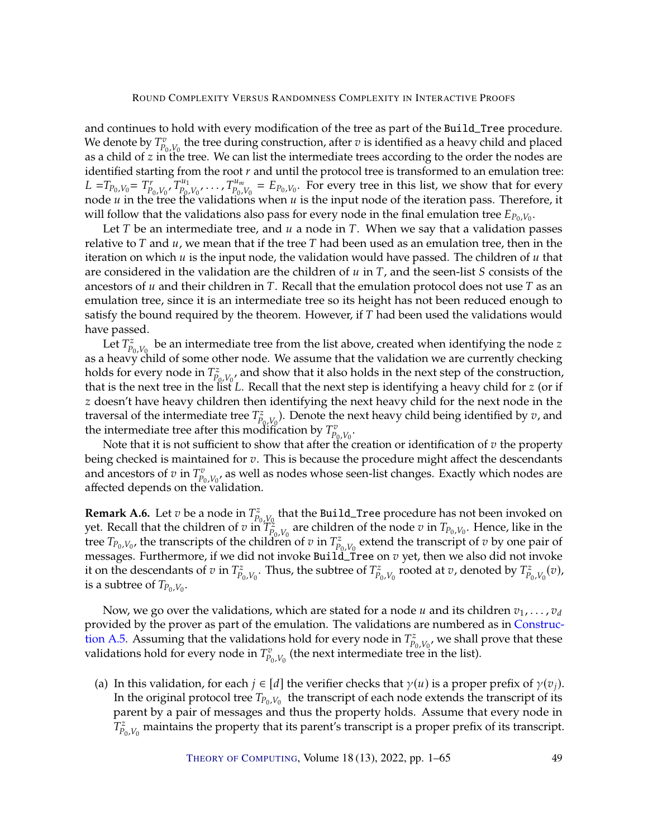and continues to hold with every modification of the tree as part of the Build\_Tree procedure. We denote by  $T_{P_0,V_0}^v$  the tree during construction, after  $v$  is identified as a heavy child and placed<br>as a child of  $z$  in the tree. We can list the intermediate trees according to the order the podes are as a child of  $z$  in the tree. We can list the intermediate trees according to the order the nodes are identified starting from the root  $r$  and until the protocol tree is transformed to an emulation tree: identified starting from the root  $r$  and until the protocol tree is transformed to an emulation tree:  $L = T_{P_0, V_0} = T_{P_0, V_0}^r, T_{P_0, V_0}^{u_1}, \ldots, T_{P_0, V_0}^{u_m} = E_{P_0, V_0}$ . For every tree in this list, we show that for every node u in the tree the validations when u is the input node of the iteration pass. Therefore, i node  $\hat{u}$  in the tree the validations when  $\hat{u}$  is the input node of the iteration pass. Therefore, it will follow that the validations also pass for every node in the final emulation tree  $E_{P_0,V_0}$ .<br>Let T be an intermediate tree, and u a node in T. When we say that a validation p

Let  $T$  be an intermediate tree, and  $u$  a node in  $T$ . When we say that a validation passes relative to  $T$  and  $u$ , we mean that if the tree  $T$  had been used as an emulation tree, then in the iteration on which  $u$  is the input node, the validation would have passed. The children of  $u$  that are considered in the validation are the children of  $u$  in  $T$ , and the seen-list  $S$  consists of the ancestors of  $u$  and their children in T. Recall that the emulation protocol does not use T as an emulation tree, since it is an intermediate tree so its height has not been reduced enough to satisfy the bound required by the theorem. However, if  $T$  had been used the validations would have passed.

Let  $T_{p_0, V_0}^z$  be an intermediate tree from the list above, created when identifying the node z<br>beavy child of some other node. We assume that the validation we are currently checking as a heavy child of some other node. We assume that the validation we are currently checking as a heavy child of some other node. We assume that the validation we are currently checking holds for every node in  $T_{p_0,V_0}^z$ , and show that it also holds in the next step of the construction,<br>that is the next tree in the list L. Recall that the next step is identifying a heavy child for z (or if that is the next tree in the list  $L$ . Recall that the next step is identifying a heavy child for  $z$  (or if  $z$  doesn't have heavy children then identifying the next heavy child for the next node in the z doesn't have heavy children then identifying the next heavy child for the next node in the traversal of the intermediate tree  $T_{P_0,V_0}^z$ . Denote the next heavy child being identified by  $v$ , and the intermediate tree after this modification by  $T^v$ the intermediate tree after this modification by  $T_{p_0, V_0}^v$ .<br>Note that it is not sufficient to show that after the

Note that it is not sufficient to show that after the creation or identification of  $v$  the property<br>as chocked is maintained for z. This is because the procedure might affect the descendants being checked is maintained for  $v$ . This is because the procedure might affect the descendants and ancestors of  $v$  in  $T^v_{P_0, V_0}$ , as well as nodes whose seen-list changes. Exactly which nodes are affected depends on the validation and ancesters or  $\epsilon$  in  $P_{p_0, V_0}$  as wear-

<span id="page-48-1"></span>**Remark A.6.** Let  $v$  be a node in  $T_{p_0, V_0}^z$ <br>wet Recall that the children of  $v$  in  $T^z$ that the Build\_Tree procedure has not been invoked on yet. Recall that the children of  $v$  in  $T_{P_0,V_0}^2$  are children of the node  $v$  in  $T_{P_0,V_0}$ . Hence, like in the transcription of  $T_{P_0,V_0}$  in  $T^2$  extend the transcription  $T$  by one pair of tree  $T_{P_0,V_0}$ , the transcripts of the children of  $v$  in  $T_{P_0,V_0}^z$  extend the transcript of  $v$  by one pair of message. Furthermore if we did not invoke Build Tree on  $v$  yet, then we also did not invoke messages. Furthermore, if we did not invoke Build\_Tree on  $v$  yet, then we also did not invoke<br>it on the descendants of  $v$  in  $T^z$ . Thus, the subtree of  $T^z$ , rooted at  $v$  denoted by  $T^z$ . (v) it on the descendants of  $v$  in  $T_{P_0,V_0}^z$ . Thus, the subtree of  $T_{P_0,V_0}^z$  rooted at  $v$ , denoted by  $T_{P_0,V_0}^z(v)$ , is a subtree of  $T_{P_0,V_0}$ is a subtree of  $T_{P_0,V_0}$ .

Now, we go over the validations, which are stated for a node  $u$  and its children  $v_1, \ldots, v_d$ provided by the prover as part of the emulation. The validations are numbered as in [Construc](#page-45-4)[tion](#page-45-4) [A.5.](#page-45-4) Assuming that the validations hold for every node in  $T_{p_0, V_0}^z$ , we shall prove that these validations hold for every node in  $T^v$  (the poxt intermediate trop in the list) validations hold for every node in  $T_{p_0,V_0}^v$  (the next intermediate tree is (the next intermediate tree in the list).

<span id="page-48-0"></span>(a) In this validation, for each  $j \in [d]$  the verifier checks that  $\gamma(u)$  is a proper prefix of  $\gamma(v_i)$ . In the original protocol tree  $T_{P_0,V_0}$  the transcript of each node extends the transcript of its parent by a pair of messages and thus the property holds. Assume that every node in parent by a pair of messages and thus the property holds. Assume that every node in  $I_{P_0,V_0}$ maintains the property that its parent's transcript is a proper prefix of its transcript.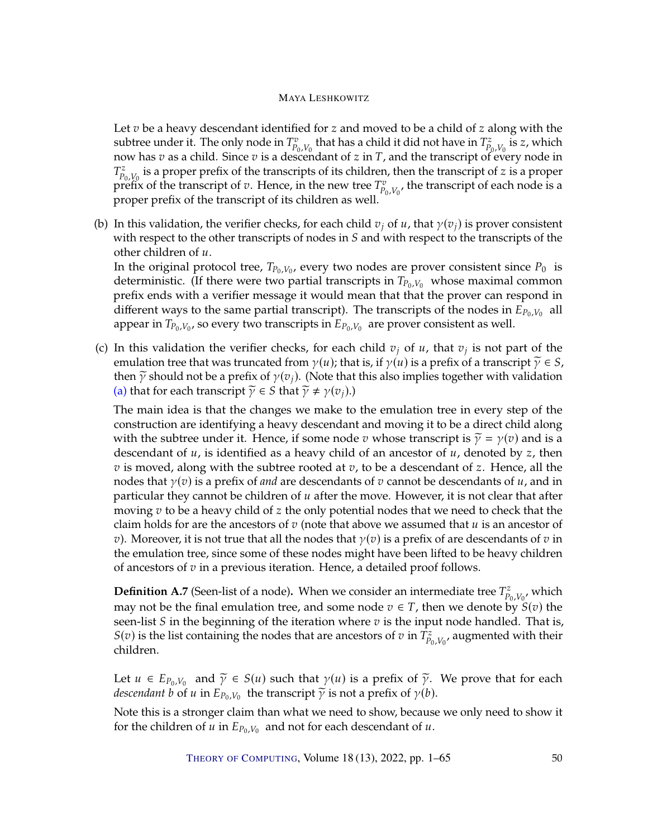Let  $v$  be a heavy descendant identified for  $z$  and moved to be a child of  $z$  along with the subtree under it. The only node in  $T_{p_0, V_0}^v$  that has a child it did not have in  $T_{p_0, V_0}^z$  is z, which now has  $v$  as a child. Since  $v$  is a descendant of  $z$  in  $T$ , and the transcript of every node in  $T^z$  is a proper prefix of the transcripts of its children, then the transcript of  $z$  is a proper  $P_{p_0, V_0}$  is a proper premeter and annually of the transcription of the new tree  $T_{p_0, V_0}^v$ <br>proper prefix of the transcript of its children as well  $\sum_{i=0}^{z} V_{0} V_{0}$  is a proper prefix of the transcripts of its children, then the transcript of z is a proper refix of the transcript of architecture  $T_{0}^{v}$  the transcript of each node is a , the transcript of each node is a proper prefix of the transcript of its children as well.

(b) In this validation, the verifier checks, for each child  $v_j$  of u, that  $\gamma(v_j)$  is prover consistent with respect to the other transcripts of nodes in  $S$  and with respect to the transcripts of the other children of  $u$ .

In the original protocol tree,  $T_{P_0,V_0}$ , every two nodes are prover consistent since  $P_0$  is deterministic. (If there were two partial transcripts in  $T_{\rm B}$ ,  $V_{\rm B}$ , whose maximal common deterministic. (If there were two partial transcripts in  $T_{P_0,V_0}$  whose maximal common prefix ends with a verifier message it would mean that that the prover can respond in different ways to the same partial transcript). The transcripts of the nodes in  $\vec{E}_{P_0,V_0}$  all<br>appear in  $T_{\text{D},V}$ , so every two transcripts in  $F_{\text{D},V}$ , are prover consistent as well appear in  $T_{P_0,V_0}$ , so every two transcripts in  $E_{P_0,V_0}$  are prover consistent as well.

(c) In this validation the verifier checks, for each child  $v_j$  of  $u$ , that  $v_j$  is not part of the emulation tree that was truncated from  $v(u)$ ; that is if  $v(u)$  is a prefix of a transcript  $\tilde{v} \in S$ emulation tree that was truncated from  $\gamma(u)$ ; that is, if  $\gamma(u)$  is a prefix of a transcript  $\widetilde{\gamma} \in S$ , then  $\tilde{\gamma}$  should not be a prefix of  $\gamma(v_i)$ . (Note that this also implies together with validation [\(a\)](#page-48-0) that for each transcript  $\widetilde{\gamma} \in S$  that  $\widetilde{\gamma} \neq \gamma(v_i)$ .)

The main idea is that the changes we make to the emulation tree in every step of the construction are identifying a heavy descendant and moving it to be a direct child along with the subtree under it. Hence, if some node v whose transcript is  $\tilde{\gamma} = \gamma(v)$  and is a descendant of  $u$ , is identified as a heavy child of an ancestor of  $u$ , denoted by  $z$ , then  $v$  is moved, along with the subtree rooted at  $v$ , to be a descendant of  $z$ . Hence, all the nodes that  $\gamma(v)$  is a prefix of *and* are descendants of v cannot be descendants of u, and in particular they cannot be children of  $u$  after the move. However, it is not clear that after moving  $v$  to be a heavy child of  $z$  the only potential nodes that we need to check that the claim holds for are the ancestors of  $v$  (note that above we assumed that  $u$  is an ancestor of v). Moreover, it is not true that all the nodes that  $\gamma(v)$  is a prefix of are descendants of v in the emulation tree, since some of these nodes might have been lifted to be heavy children of ancestors of  $v$  in a previous iteration. Hence, a detailed proof follows.

**Definition A.7** (Seen-list of a node). When we consider an intermediate tree  $T_{P_0,V_0}^z$ , which may not be the final emulation tree, and some node  $v \in T$ , then we denote by  $S(v)$  the<br>soon-list S in the beginning of the iteration where *x* is the input node handled. That is seen-list  $S$  in the beginning of the iteration where  $v$  is the input node handled. That is,  $S(v)$  is the list containing the nodes that are ancestors of  $v$  in  $\overline{T}_{P_0,V_0}^z$ <br>children , augmented with their children.

Let  $u \in E_{P_0, V_0}$  and  $\widetilde{\gamma} \in S(u)$  such that  $\gamma(u)$  is a prefix of  $\widetilde{\gamma}$ . We prove that for each descendant h of u in  $F_{\text{B, V}}$ , the transcript  $\widetilde{\gamma}$  is not a prefix of  $\gamma(h)$ *descendant b* of *u* in  $E_{P_0,V_0}$  the transcript  $\widetilde{\gamma}$  is not a prefix of  $\gamma(b)$ .

Note this is a stronger claim than what we need to show, because we only need to show it for the children of  $\overline{u}$  in  $E_{P_0,V_0}$  and not for each descendant of  $u$ .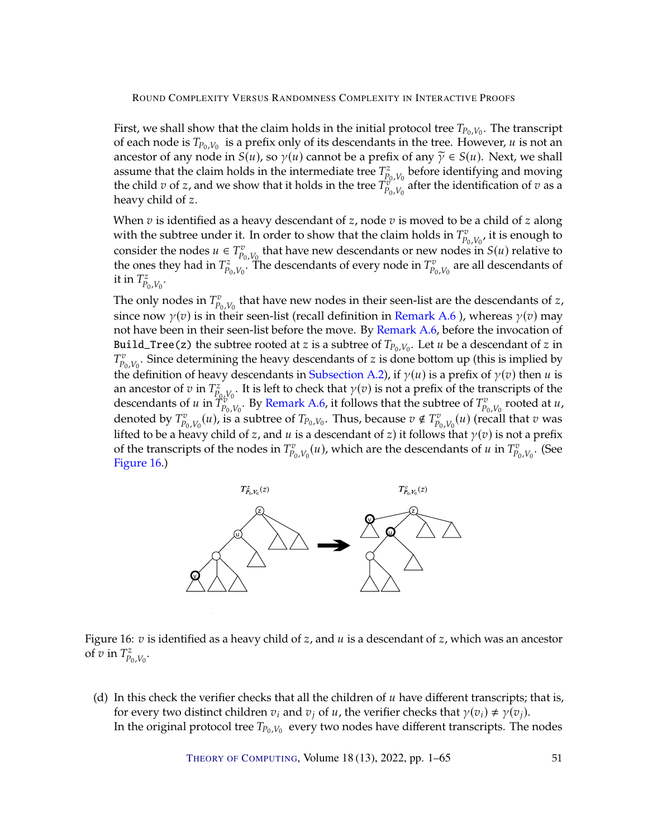First, we shall show that the claim holds in the initial protocol tree  $T_{P_0,V_0}$ . The transcript of each node is  $T_0$ ,  $V_0$  is a profix only of its descendants in the tree. However, *u* is not an of each node is  $T_{P_0,V_0}$  is a prefix only of its descendants in the tree. However, u is not an an ancestor of any pode in  $S(u)$ , so  $\mathcal{Y}(u)$  cannot be a profix of any  $\tilde{\mathcal{Y}} \in S(u)$ . Noxt, we shall ancestor of any node in  $S(u)$ , so  $\gamma(u)$  cannot be a prefix of any  $\widetilde{\gamma} \in S(u)$ . Next, we shall assume that the claim holds in the intermediate tree  $T_{P_0,V_0}^z$ <br>the child *n* of *z* and we show that it holds in the tree  $T^{\sigma}$ before identifying and moving the child  $v$  of  $z$ , and we show that it holds in the tree  $T_{p_0, V_0}^{\overline{v_0, V_0}}$  after the identification of  $v$  as a heavy child of  $z$ heavy child of z.

When  $v$  is identified as a heavy descendant of  $z$ , node  $v$  is moved to be a child of  $z$  along with the subtree under it. In order to show that the claim holds in  $T_{p_0, V_0}^v$ , it is enough to consider the nodes  $u \in T_v^v$ , that have nevy descendents or new nodes in  $S(u)$  relative to consider the nodes  $u \in T_{p_0, V_0}^v$  that have new descendants or new nodes in  $S(u)$  relative to the ones thou had in  $T^z$ . The descendants of every node in  $T^v$  are all descendants of the ones they had in  $T_{P_0,V_0}^z$ . The descendants of every node in  $T_{P_0,V_0}^v$ <br>it in  $T^z$ are all descendants of it in  $T_{P_0,V_0}^z$ .

The only nodes in  $T_{p_0, V_0}^v$  that have new nodes in their seen-list are the descendants of z,<br>since nexy  $u(x)$  is in their seen list (recall definition in Bernark A.C.), whereas  $u(x)$  nexy since now  $\gamma(v)$  is in their seen-list (recall definition in [Remark](#page-48-1) [A.6](#page-48-1) ), whereas  $\gamma(v)$  may<br>not have been in their seen-list before the move. By Remark A.6 before the invection of not have been in their seen-list before the move. By [Remark](#page-48-1) [A.6,](#page-48-1) before the invocation of Build\_Tree(z) the subtree rooted at *z* is a subtree of  $T_{P_0, V_0}$ . Let *u* be a descendant of *z* in  $T_v^v$  Since determining the heavy descendants of *z* is done bottom up (this is implied by  $\Gamma_{p_0, V_0}$ . Since determining the heavy descendants of  $\Delta$  is defined by the  $\Gamma_{\gamma}$  (the  $\Delta$  m m is the definition of heavy descendants in [Subsection](#page-42-0) [A.2\)](#page-42-0), if  $\gamma(u)$  is a prefix of  $\gamma(v)$  then  $u$  is an ancestor of  $\sum_{i=0}^{v} V_{0,i}$ . Since determining the heavy descendants of z is done bottom up (this is implied by  $\sum_{i=0}^{v} \frac{1}{i} \sum_{i=0}^{v} V_{i}$ ) is a prefix of  $\alpha(x)$  than u is an ancestor of  $v$  in  $T_{P_0, V_0}^z$ . It is left to check that  $\gamma(v)$  is not a prefix of the transcripts of the decondants of  $u$  in  $\tilde{T}^v$  . Ry Remark A.6, it follows that the subtree of  $\tilde{T}^v$  reated at  $u$ descendants of u in  $T_{p_0, V_0}^{v_0}$ . By [Remark](#page-48-1) [A.6,](#page-48-1) it follows that the subtree of  $T_{p_0, V_0}^{v_0}$  rooted at u, denoted by  $T_{p_0, V_0}^{\circ}$  (*u*), is a subtree of  $T_{p_0, V_0}$ . Thus, because  $v \notin T_{p_0, V_0}^{\circ}$  (*u*) (recall that *v* was lifted to be a heavy child of z, and u is a descendant of z) it follows that  $\gamma(v)$  is not a prefix of the transcripts of the podes in  $T^v$  (*w*) which are the descendants of *w* in  $T^v$  (See of the transcripts of the nodes in  $T_{P_0,V_0}^v(u)$ , which are the descendants of  $u$  in  $T_{P_0,V_0}^v$ <br>Figure 16. . (See [Figure](#page-50-0) [16.](#page-50-0))



<span id="page-50-0"></span>Figure 16:  $v$  is identified as a heavy child of  $z$ , and  $u$  is a descendant of  $z$ , which was an ancestor of  $\overline{v}$  in  $T^z_{P_0,V_0}$ .

(d) In this check the verifier checks that all the children of  $u$  have different transcripts; that is, for every two distinct children  $v_i$  and  $v_j$  of  $u$ , the verifier checks that  $\gamma(v_i) \neq \gamma(v_j)$ . In the original protocol tree  $T_{P_0,V_0}$  every two nodes have different transcripts. The nodes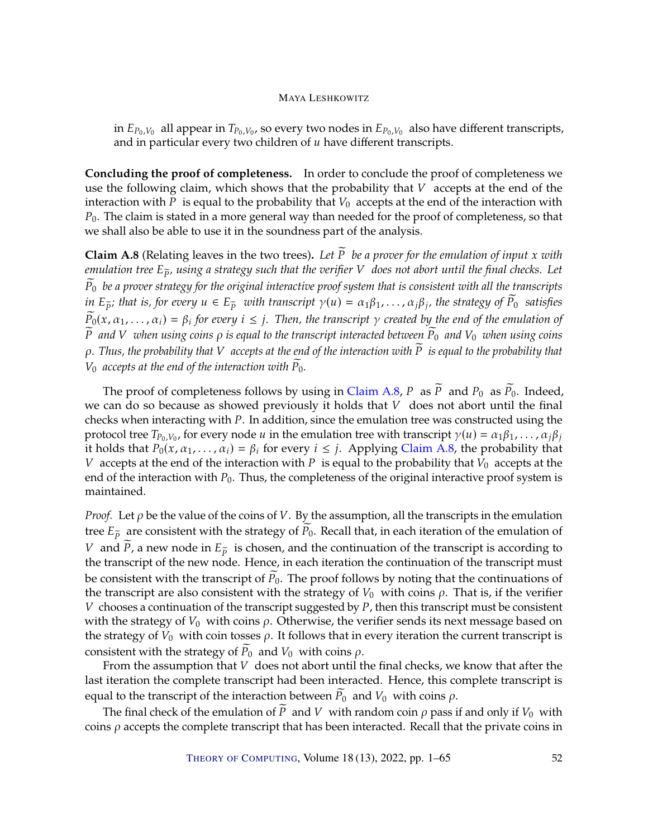in  $E_{P_0,V_0}$  all appear in  $T_{P_0,V_0}$ , so every two nodes in  $E_{P_0,V_0}$  also have different transcripts, and in particular every two children of  $u$  have different transcripts.

**Concluding the proof of completeness.** In order to conclude the proof of completeness we use the following claim, which shows that the probability that  $V$  accepts at the end of the interaction with P is equal to the probability that  $V_0$  accepts at the end of the interaction with  $P_0$ . The claim is stated in a more general way than needed for the proof of completeness, so that we shall also be able to use it in the soundness part of the analysis.

<span id="page-51-0"></span>**Claim A.8** (Relating leaves in the two trees). Let  $\widetilde{P}$  be a prover for the emulation of input x with *emulation tree*  $E_{\tilde{p}}$ *, using a strategy such that the verifier* V *does not abort until the final checks. Let*  $\widetilde{P}_0$  be a prover strategy for the original interactive proof system that is consistent with all the transcripts *in*  $E_{\widetilde{p}}$ ; that is, for every  $u \in E_{\widetilde{p}}$  with transcript  $\gamma(u) = \alpha_1 \beta_1, \ldots, \alpha_j \beta_j$ , the strategy of  $\widetilde{P}_0$  satisfies  $\widetilde{P}_0$  *satisfies*  $\widetilde{P_0}(x, \alpha_1, \ldots, \alpha_i) = \beta_i$  for every  $i \leq j$ . Then, the transcript  $\gamma$  created by the end of the emulation of  $\widetilde{P}$  and V *when using coins*  $\rho$  *is equal to the transcript interacted between*  $\widetilde{P}_0$  *and*  $V_0$  *when using coins*  $\rho$ . Thus, the probability that V accepts at the end of the interaction with  $\tilde{P}$  is equal to the probability that  $V_0$  accepts at the end of the interaction with  $\widetilde{P}_0$ .

The proof of completeness follows by using in [Claim](#page-51-0) [A.8,](#page-51-0) P as  $\widetilde{P}$  and  $P_0$  as  $\widetilde{P}_0$ . Indeed, we can do so because as showed previously it holds that  $V$  does not abort until the final checks when interacting with  $P$ . In addition, since the emulation tree was constructed using the protocol tree  $T_{P_0,V_0}$ , for every node  $u$  in the emulation tree with transcript  $\gamma(u) = \alpha_1 \beta_1, \dots, \alpha_j \beta_j$ <br>it holds that  $P_0(x, \alpha_1, \dots, \alpha_j) = \beta_j$  for every  $i \leq j$ . Applying Claim A 8, the probability that it holds that  $P_0(x, \alpha_1, ..., \alpha_i) = \beta_i$  for every  $i \leq j$ . Applying [Claim](#page-51-0) [A.8,](#page-51-0) the probability that V accepts at the end of the interaction with P is equal to the probability that  $V_0$  accepts at the end of the interaction with  $P_0$ . Thus, the completeness of the original interactive proof system is maintained.

*Proof.* Let  $\rho$  be the value of the coins of  $V$ . By the assumption, all the transcripts in the emulation tree  $E_{\tilde{p}}$  are consistent with the strategy of  $\tilde{P}_0$ . Recall that, in each iteration of the emulation of V and  $\tilde{P}$ , a new node in  $E_{\tilde{p}}$  is chosen, and the continuation of the transcript is according to the transcript of the new node. Hence, in each iteration the continuation of the transcript must be consistent with the transcript of  $P_0$ . The proof follows by noting that the continuations of the transcript are also consistent with the strategy of  $V_0$  with coins  $\rho$ . That is, if the verifier  $V$  chooses a continuation of the transcript suggested by  $P$ , then this transcript must be consistent with the strategy of  $V_0$  with coins  $\rho$ . Otherwise, the verifier sends its next message based on the strategy of  $V_0$  with coin tosses  $\rho$ . It follows that in every iteration the current transcript is consistent with the strategy of  $P_0$  and  $V_0$  with coins  $\rho$ .

From the assumption that  $V$  does not abort until the final checks, we know that after the last iteration the complete transcript had been interacted. Hence, this complete transcript is equal to the transcript of the interaction between  $P_0$  and  $V_0$  with coins  $\rho$ .

The final check of the emulation of  $\widetilde{P}$  and V with random coin  $\rho$  pass if and only if  $V_0$  with coins  $\rho$  accepts the complete transcript that has been interacted. Recall that the private coins in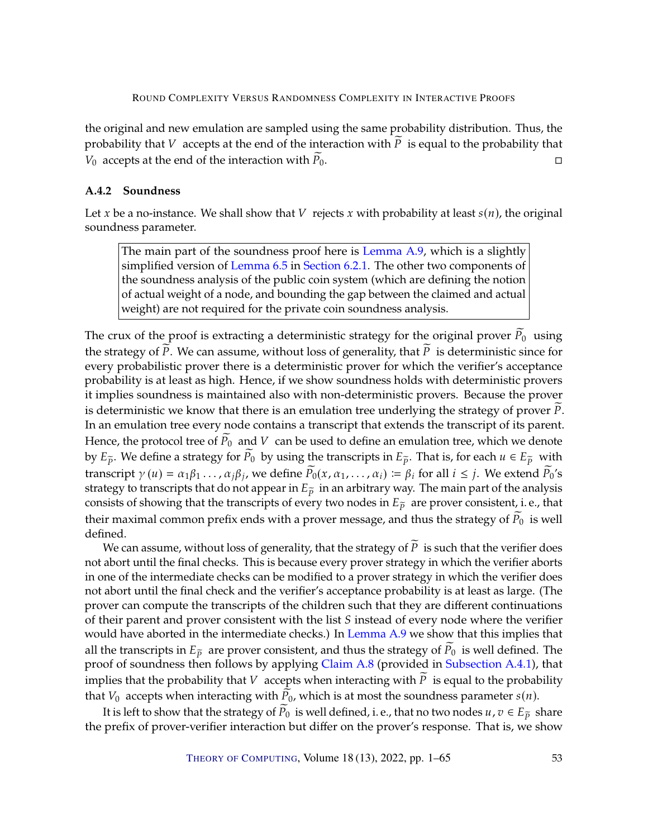the original and new emulation are sampled using the same probability distribution. Thus, the probability that *V* accepts at the end of the interaction with  $\widetilde{P}$  is equal to the probability that *V*<sub>0</sub> accepts at the end of the interaction with  $\widetilde{P}_0$ .  $V_0$  accepts at the end of the interaction with  $\overline{P}_0$ .

# <span id="page-52-0"></span>**A.4.2 Soundness**

Let x be a no-instance. We shall show that V rejects x with probability at least  $s(n)$ , the original soundness parameter.

The main part of the soundness proof here is [Lemma](#page-53-0) [A.9,](#page-53-0) which is a slightly simplified version of [Lemma](#page-33-1) [6.5](#page-33-1) in [Section](#page-31-0) [6.2.1.](#page-31-0) The other two components of the soundness analysis of the public coin system (which are defining the notion of actual weight of a node, and bounding the gap between the claimed and actual weight) are not required for the private coin soundness analysis.

The crux of the proof is extracting a deterministic strategy for the original prover  $P_0$  using the strategy of  $\overline{P}$ . We can assume, without loss of generality, that  $\overline{P}$  is deterministic since for every probabilistic prover there is a deterministic prover for which the verifier's acceptance probability is at least as high. Hence, if we show soundness holds with deterministic provers it implies soundness is maintained also with non-deterministic provers. Because the prover is deterministic we know that there is an emulation tree underlying the strategy of prover  $P$ . In an emulation tree every node contains a transcript that extends the transcript of its parent. Hence, the protocol tree of  $\widetilde{P}_0$  and V can be used to define an emulation tree, which we denote by  $E_{\tilde{p}}$ . We define a strategy for  $\tilde{P}_0$  by using the transcripts in  $E_{\tilde{p}}$ . That is, for each  $u \in E_{\tilde{p}}$  with transcript  $\gamma(u) = \alpha_1 \beta_1 \dots, \alpha_j \beta_j$ , we define  $\widetilde{P}_0(x, \alpha_1, \dots, \alpha_i) \coloneqq \beta_i$  for all  $i \leq j$ . We extend  $\widetilde{P}_0$ 's<br>strategy to transcripts that do not appear in  $E_{\widetilde{P}_0}$  in an arbitrary way. The main part of the strategy to transcripts that do not appear in  $E_{\tilde{p}}$  in an arbitrary way. The main part of the analysis consists of showing that the transcripts of every two nodes in  $E_{\tilde{p}}$  are prover consistent, i.e., that their maximal common prefix ends with a prover message, and thus the strategy of  $\widetilde{P}_0$  is well defined.

We can assume, without loss of generality, that the strategy of  $\widetilde{P}$  is such that the verifier does not abort until the final checks. This is because every prover strategy in which the verifier aborts in one of the intermediate checks can be modified to a prover strategy in which the verifier does not abort until the final check and the verifier's acceptance probability is at least as large. (The prover can compute the transcripts of the children such that they are different continuations of their parent and prover consistent with the list  $S$  instead of every node where the verifier would have aborted in the intermediate checks.) In [Lemma](#page-53-0) [A.9](#page-53-0) we show that this implies that all the transcripts in  $E_{\tilde{p}}$  are prover consistent, and thus the strategy of  $\tilde{P}_0$  is well defined. The proof of soundness then follows by applying [Claim](#page-51-0) [A.8](#page-51-0) (provided in [Subsection](#page-47-1) [A.4.1\)](#page-47-1), that implies that the probability that  $V$  accepts when interacting with  $\widetilde{P}$  is equal to the probability that  $V_0$  accepts when interacting with  $P_0$ , which is at most the soundness parameter  $s(n)$ .

It is left to show that the strategy of  $P_0$  is well defined, i.e., that no two nodes  $u, v \in E_{\tilde{p}}$  share the prefix of prover-verifier interaction but differ on the prover's response. That is, we show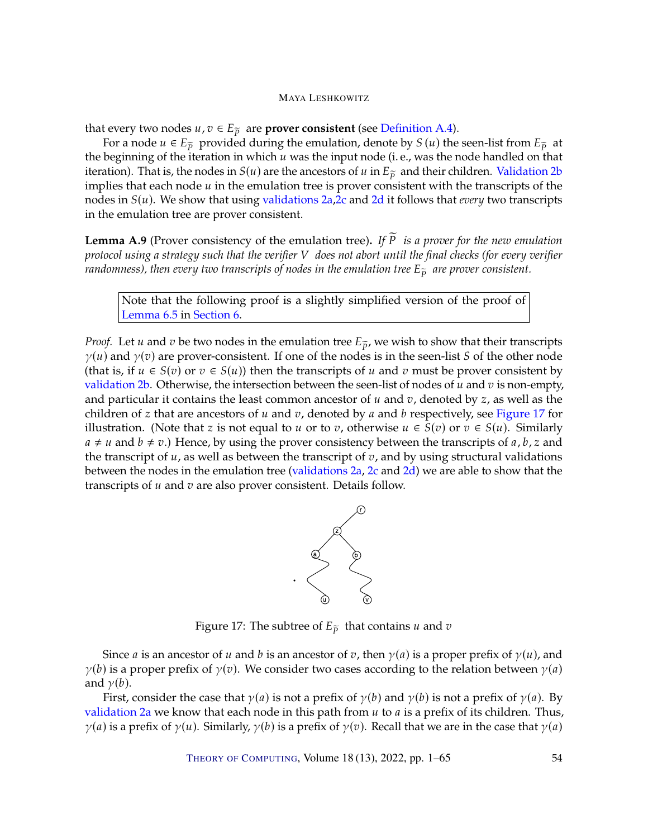that every two nodes  $u, v \in E_{\tilde{p}}$  are **prover consistent** (see [Definition](#page-44-2) [A.4\)](#page-44-2).

For a node  $u \in E_{\tilde{p}}$  provided during the emulation, denote by  $S(u)$  the seen-list from  $E_{\tilde{p}}$  at the beginning of the iteration in which  $u$  was the input node (i.e., was the node handled on that iteration). That is, the nodes in  $S(u)$  are the ancestors of u in  $E_{\tilde{p}}$  and their children. [Validation](#page-45-5) [2b](#page-45-5) implies that each node  $u$  in the emulation tree is prover consistent with the transcripts of the nodes in  $S(u)$ . We show that using [validations](#page-45-6) [2a,](#page-45-6)[2c](#page-46-3) and [2d](#page-46-4) it follows that *every* two transcripts in the emulation tree are prover consistent.

<span id="page-53-0"></span>**Lemma A.9** (Prover consistency of the emulation tree). If  $\widetilde{P}$  *is a prover for the new emulation protocol using a strategy such that the verifier* 𝑉 *does not abort until the final checks (for every verifier randomness), then every two transcripts of nodes in the emulation tree*  $E_{\tilde{p}}$  *are prover consistent.* 

Note that the following proof is a slightly simplified version of the proof of [Lemma](#page-33-1) [6.5](#page-33-1) in [Section](#page-24-0) [6.](#page-24-0)

*Proof.* Let *u* and *v* be two nodes in the emulation tree  $E_{\tilde{p}}$ , we wish to show that their transcripts  $\gamma(u)$  and  $\gamma(v)$  are prover-consistent. If one of the nodes is in the seen-list S of the other node (that is, if  $u \in S(v)$  or  $v \in S(u)$ ) then the transcripts of u and v must be prover consistent by [validation](#page-45-5) [2b.](#page-45-5) Otherwise, the intersection between the seen-list of nodes of  $u$  and  $v$  is non-empty, and particular it contains the least common ancestor of  $u$  and  $v$ , denoted by  $z$ , as well as the children of z that are ancestors of  $u$  and  $v$ , denoted by  $a$  and  $b$  respectively, see [Figure](#page-53-1) [17](#page-53-1) for illustration. (Note that z is not equal to u or to v, otherwise  $u \in S(v)$  or  $v \in S(u)$ . Similarly  $a \neq u$  and  $b \neq v$ .) Hence, by using the prover consistency between the transcripts of a, b, z and the transcript of  $u$ , as well as between the transcript of  $v$ , and by using structural validations between the nodes in the emulation tree [\(validations](#page-45-6) [2a,](#page-45-6) [2c](#page-46-3) and [2d\)](#page-46-4) we are able to show that the transcripts of  $u$  and  $v$  are also prover consistent. Details follow.



<span id="page-53-1"></span>Figure 17: The subtree of  $E_{\tilde{p}}$  that contains  $u$  and  $v$ 

Since *a* is an ancestor of *u* and *b* is an ancestor of *v*, then  $\gamma(a)$  is a proper prefix of  $\gamma(u)$ , and  $\gamma(b)$  is a proper prefix of  $\gamma(v)$ . We consider two cases according to the relation between  $\gamma(a)$ and  $\gamma(b)$ .

First, consider the case that  $\gamma(a)$  is not a prefix of  $\gamma(b)$  and  $\gamma(b)$  is not a prefix of  $\gamma(a)$ . By [validation](#page-45-6) [2a](#page-45-6) we know that each node in this path from  $u$  to  $a$  is a prefix of its children. Thus,  $\gamma(a)$  is a prefix of  $\gamma(u)$ . Similarly,  $\gamma(b)$  is a prefix of  $\gamma(v)$ . Recall that we are in the case that  $\gamma(a)$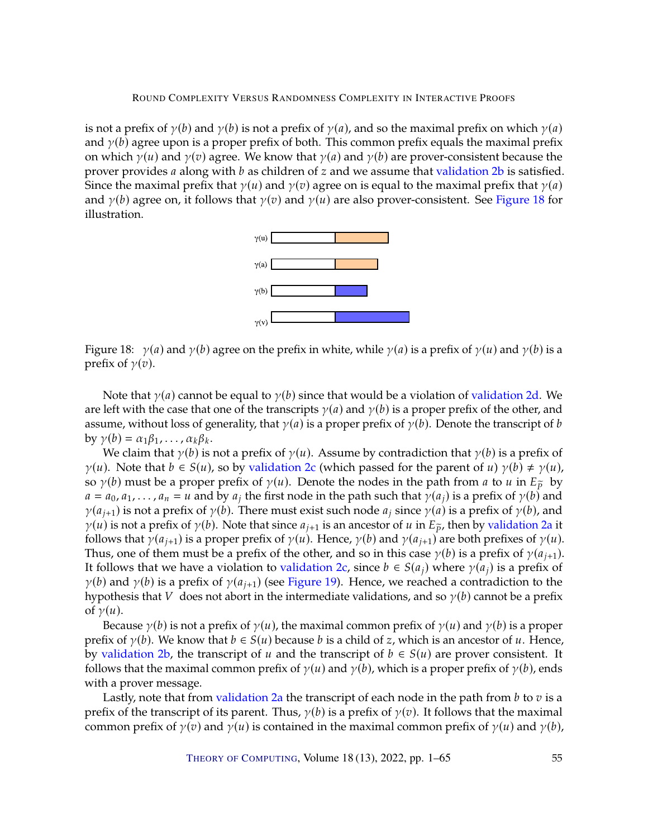is not a prefix of  $\gamma(b)$  and  $\gamma(b)$  is not a prefix of  $\gamma(a)$ , and so the maximal prefix on which  $\gamma(a)$ and  $\gamma(b)$  agree upon is a proper prefix of both. This common prefix equals the maximal prefix on which  $\gamma(u)$  and  $\gamma(v)$  agree. We know that  $\gamma(a)$  and  $\gamma(b)$  are prover-consistent because the prover provides  $a$  along with  $b$  as children of  $z$  and we assume that [validation](#page-45-5)  $2b$  is satisfied. Since the maximal prefix that  $\gamma(u)$  and  $\gamma(v)$  agree on is equal to the maximal prefix that  $\gamma(a)$ and  $\gamma(b)$  agree on, it follows that  $\gamma(v)$  and  $\gamma(u)$  are also prover-consistent. See [Figure](#page-54-0) [18](#page-54-0) for illustration.



<span id="page-54-0"></span>Figure 18:  $\gamma(a)$  and  $\gamma(b)$  agree on the prefix in white, while  $\gamma(a)$  is a prefix of  $\gamma(u)$  and  $\gamma(b)$  is a prefix of  $\gamma(v)$ .

Note that  $\gamma(a)$  cannot be equal to  $\gamma(b)$  since that would be a violation of [validation](#page-46-4) [2d.](#page-46-4) We are left with the case that one of the transcripts  $\gamma(a)$  and  $\gamma(b)$  is a proper prefix of the other, and assume, without loss of generality, that  $\gamma(a)$  is a proper prefix of  $\gamma(b)$ . Denote the transcript of b by  $\gamma(b) = \alpha_1 \beta_1, \ldots, \alpha_k \beta_k$ .

We claim that  $\gamma(b)$  is not a prefix of  $\gamma(u)$ . Assume by contradiction that  $\gamma(b)$  is a prefix of  $\gamma(u)$ . Note that  $b \in S(u)$ , so by [validation](#page-46-3) [2c](#page-46-3) (which passed for the parent of  $u$ )  $\gamma(b) \neq \gamma(u)$ , so  $\gamma(b)$  must be a proper prefix of  $\gamma(u)$ . Denote the nodes in the path from *a* to *u* in  $E_{\tilde{p}}$  by  $a = a_0, a_1, \ldots, a_n = u$  and by  $a_j$  the first node in the path such that  $\gamma(a_j)$  is a prefix of  $\gamma(b)$  and  $\gamma(a_{i+1})$  is not a prefix of  $\gamma(b)$ . There must exist such node  $a_i$  since  $\gamma(a)$  is a prefix of  $\gamma(b)$ , and  $\gamma(u)$  is not a prefix of  $\gamma(b)$ . Note that since  $a_{i+1}$  is an ancestor of u in  $E_{\tilde{p}}$ , then by [validation](#page-45-6) [2a](#page-45-6) it follows that  $\gamma(a_{i+1})$  is a proper prefix of  $\gamma(u)$ . Hence,  $\gamma(b)$  and  $\gamma(a_{i+1})$  are both prefixes of  $\gamma(u)$ . Thus, one of them must be a prefix of the other, and so in this case  $\gamma(b)$  is a prefix of  $\gamma(a_{i+1})$ . It follows that we have a violation to [validation](#page-46-3) [2c,](#page-46-3) since *b* ∈  $S(a_i)$  where  $\gamma(a_i)$  is a prefix of  $\gamma(b)$  and  $\gamma(b)$  is a prefix of  $\gamma(a_{i+1})$  (see [Figure](#page-55-2) [19\)](#page-55-2). Hence, we reached a contradiction to the hypothesis that V does not abort in the intermediate validations, and so  $\gamma(b)$  cannot be a prefix of  $\gamma(u)$ .

Because  $\gamma(b)$  is not a prefix of  $\gamma(u)$ , the maximal common prefix of  $\gamma(u)$  and  $\gamma(b)$  is a proper prefix of  $\gamma(b)$ . We know that  $b \in S(u)$  because b is a child of z, which is an ancestor of u. Hence, by [validation](#page-45-5) [2b,](#page-45-5) the transcript of u and the transcript of  $b \in S(u)$  are prover consistent. It follows that the maximal common prefix of  $\gamma(u)$  and  $\gamma(b)$ , which is a proper prefix of  $\gamma(b)$ , ends with a prover message.

Lastly, note that from [validation](#page-45-6) [2a](#page-45-6) the transcript of each node in the path from  $b$  to  $v$  is a prefix of the transcript of its parent. Thus,  $\gamma(b)$  is a prefix of  $\gamma(v)$ . It follows that the maximal common prefix of  $\gamma(v)$  and  $\gamma(u)$  is contained in the maximal common prefix of  $\gamma(u)$  and  $\gamma(b)$ ,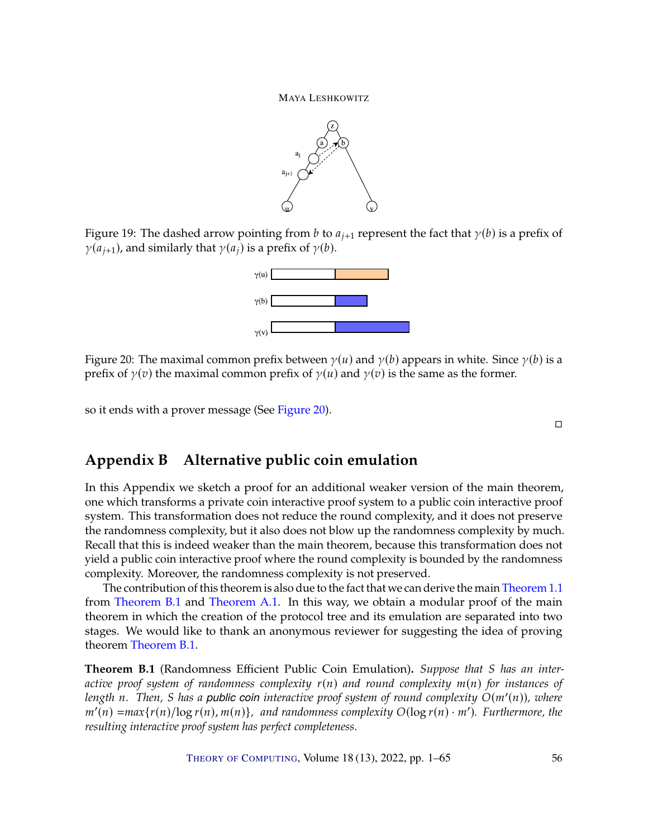

<span id="page-55-2"></span>Figure 19: The dashed arrow pointing from b to  $a_{i+1}$  represent the fact that  $\gamma(b)$  is a prefix of  $\gamma(a_{i+1})$ , and similarly that  $\gamma(a_i)$  is a prefix of  $\gamma(b)$ .



<span id="page-55-3"></span>Figure 20: The maximal common prefix between  $\gamma(u)$  and  $\gamma(b)$  appears in white. Since  $\gamma(b)$  is a prefix of  $\gamma(v)$  the maximal common prefix of  $\gamma(u)$  and  $\gamma(v)$  is the same as the former.

so it ends with a prover message (See [Figure](#page-55-3) [20\)](#page-55-3).

 $\Box$ 

# <span id="page-55-0"></span>**Appendix B Alternative public coin emulation**

In this Appendix we sketch a proof for an additional weaker version of the main theorem, one which transforms a private coin interactive proof system to a public coin interactive proof system. This transformation does not reduce the round complexity, and it does not preserve the randomness complexity, but it also does not blow up the randomness complexity by much. Recall that this is indeed weaker than the main theorem, because this transformation does not yield a public coin interactive proof where the round complexity is bounded by the randomness complexity. Moreover, the randomness complexity is not preserved.

The contribution of this theorem is also due to the fact that we can derive the main [Theorem](#page-4-2) [1.1](#page-4-2) from [Theorem](#page-55-1) [B.1](#page-55-1) and [Theorem](#page-41-2) [A.1.](#page-41-2) In this way, we obtain a modular proof of the main theorem in which the creation of the protocol tree and its emulation are separated into two stages. We would like to thank an anonymous reviewer for suggesting the idea of proving theorem [Theorem](#page-55-1) [B.1.](#page-55-1)

<span id="page-55-1"></span>**Theorem B.1** (Randomness Efficient Public Coin Emulation). Suppose that S has an inter*active proof system of randomness complexity*  $r(n)$  *and round complexity*  $m(n)$  *for instances of length* n. Then, *S* has a *public coin interactive proof system of round complexity*  $O(m'(n))$ , where  $m'(n)$  *–max{x(n)*/log *x(n) m(n))*, and randomness complexity  $O(\log r(n)$ *, m')*. Furthermore, the  $m'(n) = max\{r(n)/log r(n), m(n)\}\$ , and randomness complexity  $O(log r(n) \cdot m')$ . Furthermore, the *resulting interactive proof system has perfect completeness.*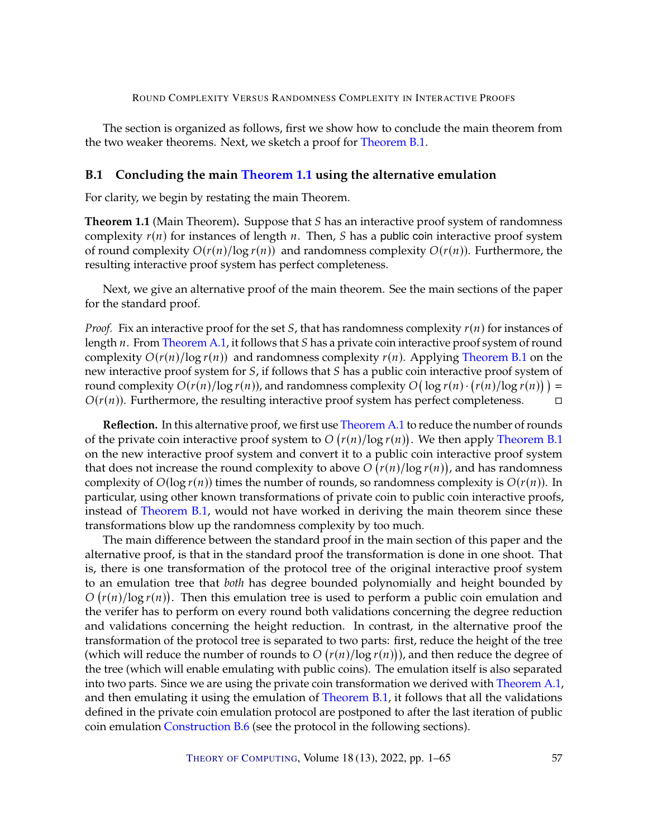The section is organized as follows, first we show how to conclude the main theorem from the two weaker theorems. Next, we sketch a proof for [Theorem](#page-55-1) [B.1.](#page-55-1)

### <span id="page-56-0"></span>**B.1 Concluding the main [Theorem](#page-4-2) [1.1](#page-4-2) using the alternative emulation**

For clarity, we begin by restating the main Theorem.

**Theorem 1.1** (Main Theorem). Suppose that S has an interactive proof system of randomness complexity  $r(n)$  for instances of length n. Then, S has a public coin interactive proof system of round complexity  $O(r(n)/\log r(n))$  and randomness complexity  $O(r(n))$ . Furthermore, the resulting interactive proof system has perfect completeness.

Next, we give an alternative proof of the main theorem. See the main sections of the paper for the standard proof.

*Proof.* Fix an interactive proof for the set S, that has randomness complexity  $r(n)$  for instances of length  $n$ . From [Theorem](#page-41-2) [A.1,](#page-41-2) it follows that  $S$  has a private coin interactive proof system of round complexity  $O(r(n)/\log r(n))$  and randomness complexity  $r(n)$ . Applying [Theorem](#page-55-1) [B.1](#page-55-1) on the new interactive proof system for S, if follows that S has a public coin interactive proof system of round complexity  $O(r(n)/\log r(n))$ , and randomness complexity  $O(\log r(n) \cdot (r(n)/\log r(n))) =$ <br> $O(r(n))$ . Eurthermore, the resulting interactive proof system has perfect completeness.  $O(r(n))$ . Furthermore, the resulting interactive proof system has perfect completeness.  $\square$ 

**Reflection.** In this alternative proof, we first use [Theorem](#page-41-2) [A.1](#page-41-2) to reduce the number of rounds of the private coin interactive proof system to  $O(r(n)/\log r(n))$ . We then apply [Theorem](#page-55-1) [B.1](#page-55-1) on the pow interactive proof system and convert it to a public coin interactive proof system. on the new interactive proof system and convert it to a public coin interactive proof system that does not increase the round complexity to above  $O(r(n)/\log r(n))$ , and has randomness complexity of  $O(\log r(n))$  times the number of rounds, so randomness complexity is  $O(r(n))$ . In particular, using other known transformations of private coin to public coin interactive proofs, instead of [Theorem](#page-55-1) [B.1,](#page-55-1) would not have worked in deriving the main theorem since these transformations blow up the randomness complexity by too much.

The main difference between the standard proof in the main section of this paper and the alternative proof, is that in the standard proof the transformation is done in one shoot. That is, there is one transformation of the protocol tree of the original interactive proof system to an emulation tree that *both* has degree bounded polynomially and height bounded by the verifer has to perform on every round both validations concerning the degree reduction  $(r(n)/\log r(n))$ . Then this emulation tree is used to perform a public coin emulation and and validations concerning the height reduction. In contrast, in the alternative proof the transformation of the protocol tree is separated to two parts: first, reduce the height of the tree (which will reduce the number of rounds to  $O(r(n)/\log r(n))$ ), and then reduce the degree of<br>the tree (which will enable emulating with public coins). The emulation itself is also separated the tree (which will enable emulating with public coins). The emulation itself is also separated into two parts. Since we are using the private coin transformation we derived with [Theorem](#page-41-2) [A.1,](#page-41-2) and then emulating it using the emulation of [Theorem](#page-55-1) [B.1,](#page-55-1) it follows that all the validations defined in the private coin emulation protocol are postponed to after the last iteration of public coin emulation [Construction](#page-61-0) [B.6](#page-61-0) (see the protocol in the following sections).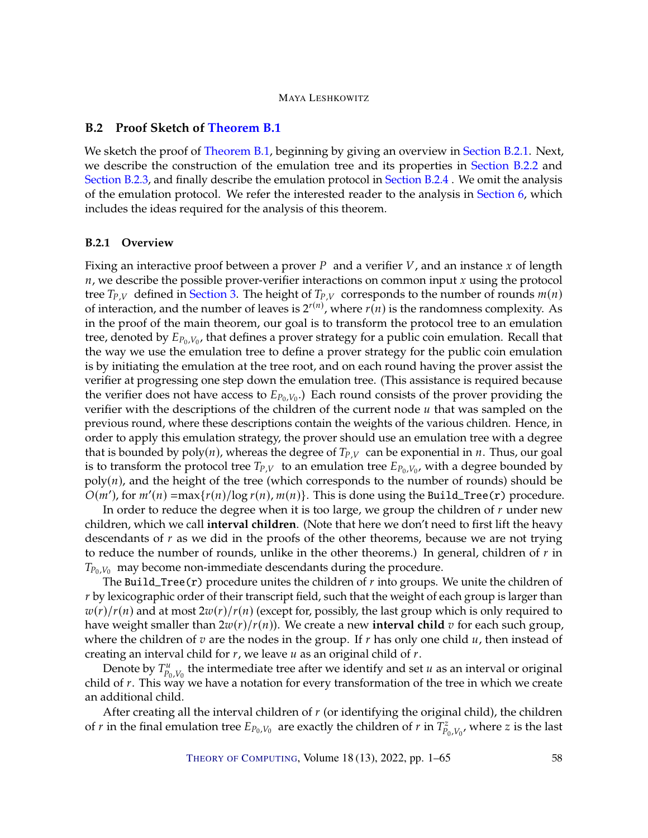# <span id="page-57-0"></span>**B.2 Proof Sketch of [Theorem](#page-55-1) [B.1](#page-55-1)**

We sketch the proof of [Theorem](#page-55-1) [B.1,](#page-55-1) beginning by giving an overview in [Section](#page-57-1) [B.2.1.](#page-57-1) Next, we describe the construction of the emulation tree and its properties in [Section](#page-58-0) [B.2.2](#page-58-0) and [Section](#page-59-0) [B.2.3,](#page-59-0) and finally describe the emulation protocol in [Section](#page-60-0) [B.2.4](#page-60-0) . We omit the analysis of the emulation protocol. We refer the interested reader to the analysis in [Section](#page-24-0) [6,](#page-24-0) which includes the ideas required for the analysis of this theorem.

### <span id="page-57-1"></span>**B.2.1 Overview**

Fixing an interactive proof between a prover P and a verifier  $V$ , and an instance x of length  $n$ , we describe the possible prover-verifier interactions on common input  $x$  using the protocol tree  $T_{P,V}$  defined in [Section](#page-10-0) [3.](#page-10-0) The height of  $T_{P,V}$  corresponds to the number of rounds  $m(n)$ of interaction, and the number of leaves is  $2^{r(n)}$ , where  $r(n)$  is the randomness complexity. As in the proof of the main theorem, our goal is to transform the protocol tree to an emulation tree, denoted by  $E_{P_0,V_0}$ , that defines a prover strategy for a public coin emulation. Recall that the way we use the emulation tree to define a prover strategy for the public coin emulation the way we use the emulation tree to define a prover strategy for the public coin emulation is by initiating the emulation at the tree root, and on each round having the prover assist the verifier at progressing one step down the emulation tree. (This assistance is required because the verifier does not have access to  $E_{P_0,V_0}$ .) Each round consists of the prover providing the verifier with the descriptions of the children of the current node *u* that was sampled on the verifier with the descriptions of the children of the current node  $u$  that was sampled on the previous round, where these descriptions contain the weights of the various children. Hence, in order to apply this emulation strategy, the prover should use an emulation tree with a degree that is bounded by  $poly(n)$ , whereas the degree of  $T_{P,V}$  can be exponential in *n*. Thus, our goal is to transform the protocol tree  $T_{P,V}$  to an emulation tree  $E_{P_0,V_0}$ , with a degree bounded by  $P_0|_{V_0}$ , and the height of the tree (which corresponds to the number of rounds) should be  $poly(n)$ , and the height of the tree (which corresponds to the number of rounds) should be  $O(m')$ , for  $m'(n) = \max\{r(n) / \log r(n), m(n)\}\$ . This is done using the Build\_Tree(r) procedure.

In order to reduce the degree when it is too large, we group the children of  $r$  under new children, which we call **interval children**. (Note that here we don't need to first lift the heavy descendants of  $r$  as we did in the proofs of the other theorems, because we are not trying to reduce the number of rounds, unlike in the other theorems.) In general, children of  $r$  in  $T_{P_0,V_0}$  may become non-immediate descendants during the procedure.

The Build\_Tree(r) procedure unites the children of  $r$  into groups. We unite the children of  $r$  by lexicographic order of their transcript field, such that the weight of each group is larger than  $w(r)/r(n)$  and at most  $2w(r)/r(n)$  (except for, possibly, the last group which is only required to have weight smaller than  $2w(r)/r(n)$ ). We create a new **interval child**  $v$  for each such group, where the children of  $v$  are the nodes in the group. If  $r$  has only one child  $u$ , then instead of creating an interval child for  $r$ , we leave  $u$  as an original child of  $r$ .

Denote by  $T_{p_0, V_0}^u$  the intermediate tree after we identify and set  $u$  as an interval or original d of  $r$ . This way we have a potation for every transformation of the tree in which we create before by  $P_{p_0, V_0}$  are intermediate tree three we recently and set *u* as an interval of original child of r. This way we have a notation for every transformation of the tree in which we create an additional child.

After creating all the interval children of  $r$  (or identifying the original child), the children of *r* in the final emulation tree  $E_{P_0,V_0}$  are exactly the children of *r* in  $T_{P_0,V_0}^z$ , where *z* is the last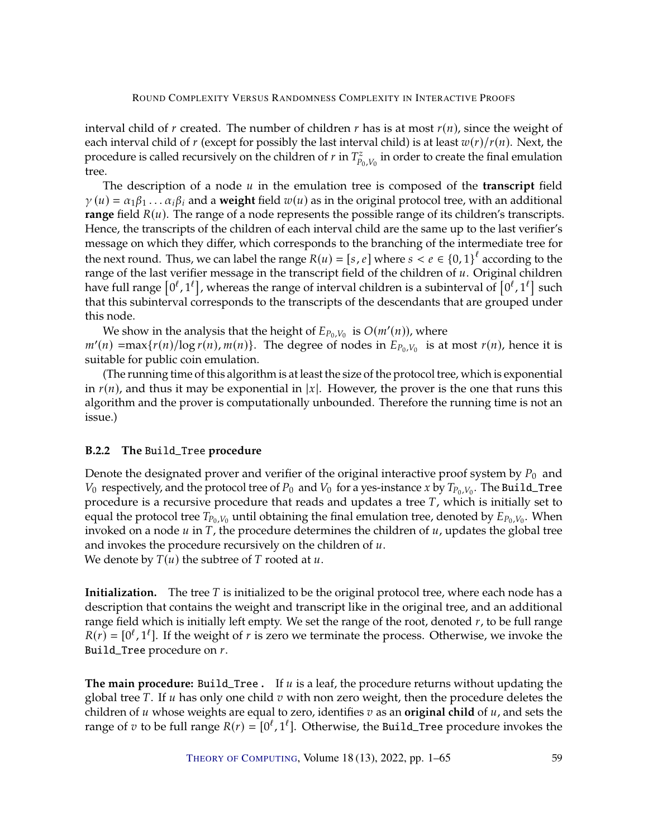interval child of  $r$  created. The number of children  $r$  has is at most  $r(n)$ , since the weight of each interval child of r (except for possibly the last interval child) is at least  $w(r)/r(n)$ . Next, the procedure is called recursively on the children of  $r$  in  $T^z_{P_0,V_0}$ <br>tree in order to create the final emulation tree.

The description of a node  $u$  in the emulation tree is composed of the **transcript** field  $\gamma(u) = \alpha_1 \beta_1 \dots \alpha_i \beta_i$  and a weight field  $w(u)$  as in the original protocol tree, with an additional **range** field  $R(u)$ . The range of a node represents the possible range of its children's transcripts. Hence, the transcripts of the children of each interval child are the same up to the last verifier's message on which they differ, which corresponds to the branching of the intermediate tree for the next round. Thus, we can label the range  $R(u) = [s, e]$  where  $s < e \in \{0, 1\}^{\ell}$  according to the range of the last verifier message in the transcript field of the children of  $u$ . Original children range of the last verifier message in the transcript field of the children of  $u$ . Original children have full range  $[0^{\ell}, 1^{\ell}]$ , whereas the range of interval children is a subinterval of  $[0^{\ell}, 1^{\ell}]$  such<br>that this subinterval corresponds to the transcripts of the descendants that are grouped under that this subinterval corresponds to the transcripts of the descendants that are grouped under this node.

We show in the analysis that the height of  $E_{P_0,V_0}$  is  $O(m'(n))$ , where  $m'(n) = \max\{r(n)/\log r(n), m(n)\}\$ . The degree of nodes in  $E_{P_0,V_0}$  is at most  $r(n)$ , hence it is suitable for public coin emulation suitable for public coin emulation.

(The running time of this algorithm is at least the size of the protocol tree, which is exponential in  $r(n)$ , and thus it may be exponential in |x|. However, the prover is the one that runs this algorithm and the prover is computationally unbounded. Therefore the running time is not an issue.)

# <span id="page-58-0"></span>**B.2.2 The** Build\_Tree **procedure**

Denote the designated prover and verifier of the original interactive proof system by  $P_0$  and  $V_0$  respectively, and the protocol tree of  $P_0$  and  $V_0$  for a yes-instance x by  $T_{P_0,V_0}$ . The Build\_Tree procedure is a recursive procedure that reads and updates a tree  $T$ , which is initially set to equal the protocol tree  $T_{P_0,V_0}$  until obtaining the final emulation tree, denoted by  $E_{P_0,V_0}$ . When<br>invoked on a node  $u$  in  $T$  the procedure determines the children of  $u$  undates the global tree invoked on a node  $u$  in  $T$ , the procedure determines the children of  $u$ , updates the global tree and invokes the procedure recursively on the children of  $u$ . We denote by  $T(u)$  the subtree of T rooted at  $u$ .

**Initialization.** The tree T is initialized to be the original protocol tree, where each node has a description that contains the weight and transcript like in the original tree, and an additional range field which is initially left empty. We set the range of the root, denoted  $r$ , to be full range  $R(r) = [0^{\ell}, 1^{\ell}]$ . If the weight of *r* is zero we terminate the process. Otherwise, we invoke the Build\_Tree procedure on  $r$ .

**The main procedure:** Build\_Tree **.** If u is a leaf, the procedure returns without updating the global tree  $T$ . If  $u$  has only one child  $v$  with non zero weight, then the procedure deletes the children of  $u$  whose weights are equal to zero, identifies  $v$  as an **original child** of  $u$ , and sets the range of  $v$  to be full range  $R(r) = [0^{\ell}, 1^{\ell}]$ . Otherwise, the Build\_Tree procedure invokes the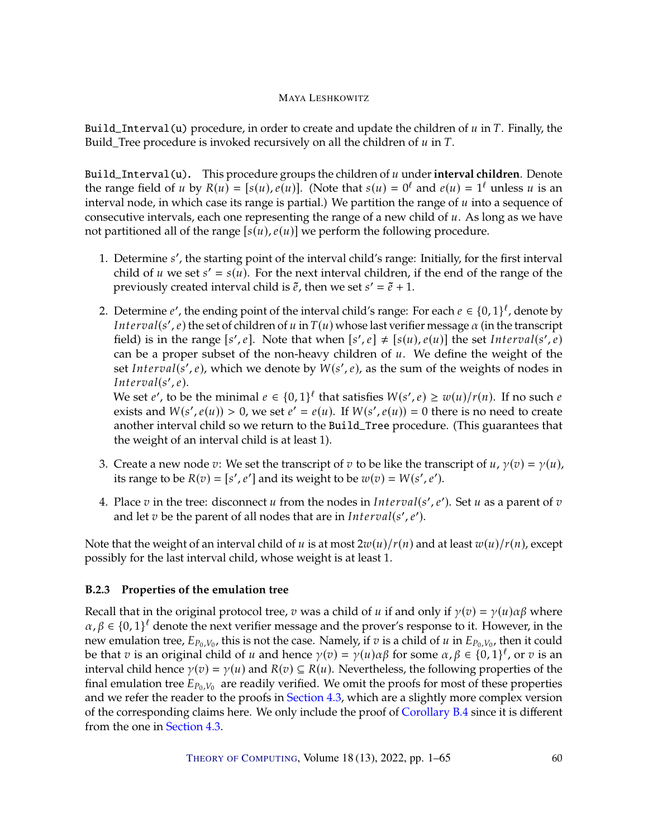Build\_Interval(u) procedure, in order to create and update the children of  $u$  in  $T$ . Finally, the Build\_Tree procedure is invoked recursively on all the children of  $u$  in  $T$ .

Build\_Interval(u). This procedure groups the children of u under interval children. Denote the range field of u by  $R(u) = [s(u), e(u)]$ . (Note that  $s(u) = 0^{\ell}$  and  $e(u) = 1^{\ell}$  unless u is an interval pode in which case its range is partial.) We partition the range of u into a sequence of interval node, in which case its range is partial.) We partition the range of  $u$  into a sequence of consecutive intervals, each one representing the range of a new child of  $u$ . As long as we have not partitioned all of the range  $[s(u), e(u)]$  we perform the following procedure.

- 1. Determine *s'*, the starting point of the interval child's range: Initially, for the first interval child of  $u$  we set  $s' = s(u)$ . For the payt interval children, if the end of the range of the child of u we set  $s' = s(u)$ . For the next interval children, if the end of the range of the previously created interval child is  $\tilde{e}$  then we set  $s' = \tilde{e} + 1$ . previously created interval child is  $\tilde{e}$ , then we set  $s' = \tilde{e} + 1$ .
- 2. Determine  $e'$ , the ending point of the interval child's range: For each  $e \in \{0,1\}^{\ell}$ , denote by<br>*Interval(s', e*) the set of children of u in  $T(u)$  whose last verifier message  $\alpha$  (in the transcription Interval(s', e) the set of children of u in  $T(u)$  whose last verifier message  $\alpha$  (in the transcript<br>field) is in the range  $[s'_\alpha e]$ . Note that when  $[s'_\alpha e] + [s(u)_\alpha(u)]$  the set Interval(s', e) field) is in the range [s', e]. Note that when  $[s', e] \neq [s(u), e(u)]$  the set *Interval*(s', e) can be a proper subset of the non-heavy children of  $u$ . We define the weight of the set Interval(s', e), which we denote by  $W(s', e)$ , as the sum of the weights of nodes in<br>Interval(s', e) Interval(s', e).<br>We set e' to be

We set *e'*, to be the minimal  $e \in \{0,1\}^{\ell}$  that satisfies  $W(s', e) \geq w(u)/r(n)$ . If no such *e* exists and  $W(s', e(u)) > 0$ , we set  $e' = e(u)$ . If  $W(s', e(u)) = 0$  there is no need to create exists and  $W(s', e(u)) > 0$ , we set  $e' = e(u)$ . If  $W(s', e(u)) = 0$  there is no need to create another interval child so we return to the Build\_Tree procedure. (This guarantees that the weight of an interval child is at least 1).

- 3. Create a new node  $v$ : We set the transcript of  $v$  to be like the transcript of  $u$ ,  $\gamma(v) = \gamma(u)$ , its range to be  $R(v) = [s', e']$  and its weight to be  $w(v) = W(s', e')$ .
- 4. Place  $v$  in the tree: disconnect  $u$  from the nodes in  $Interval(s', e')$ . Set  $u$  as a parent of  $v$  and let  $v$  be the parent of all podes that are in  $Interval(s', e')$ . and let  $v$  be the parent of all nodes that are in  $Interval(s', e').$

Note that the weight of an interval child of u is at most  $2w(u)/r(n)$  and at least  $w(u)/r(n)$ , except possibly for the last interval child, whose weight is at least 1.

# <span id="page-59-0"></span>**B.2.3 Properties of the emulation tree**

Recall that in the original protocol tree, v was a child of u if and only if  $\gamma(v) = \gamma(u)\alpha\beta$  where  $\alpha, \beta \in \{0, 1\}^{\ell}$  denote the next verifier message and the prover's response to it. However, in the next verifier message and the prover's response to it. However, in the new emulation tree,  $E_{P_0,V_0}$ , this is not the case. Namely, if  $v$  is a child of  $u$  in  $E_{P_0,V_0}$ , then it could<br>be that z is an original child of  $u$  and hence  $v(x) = v(u) \alpha \beta$  for some  $\alpha, \beta \in \{0, 1\}^{\ell}$  or z is an be that  $v$  is an original child of  $u$  and hence  $\gamma(v) = \gamma(u)\alpha\beta$  for some  $\alpha, \beta \in \{0, 1\}^{\ell}$ , or  $v$  is an interval child hence  $\gamma(v) = \gamma(u)$  and  $R(v) \subset R(u)$ . Nevertheless the following properties of the interval child hence  $\gamma(v) = \gamma(u)$  and  $R(v) \subseteq R(u)$ . Nevertheless, the following properties of the final emulation tree  $E_{P_0,V_0}$  are readily verified. We omit the proofs for most of these properties and we refer the reader to the proofs in Section 4.3, which are a slightly more complex version and we refer the reader to the proofs in [Section](#page-17-0) [4.3,](#page-17-0) which are a slightly more complex version of the corresponding claims here. We only include the proof of [Corollary](#page-60-1) [B.4](#page-60-1) since it is different from the one in [Section](#page-17-0) [4.3.](#page-17-0)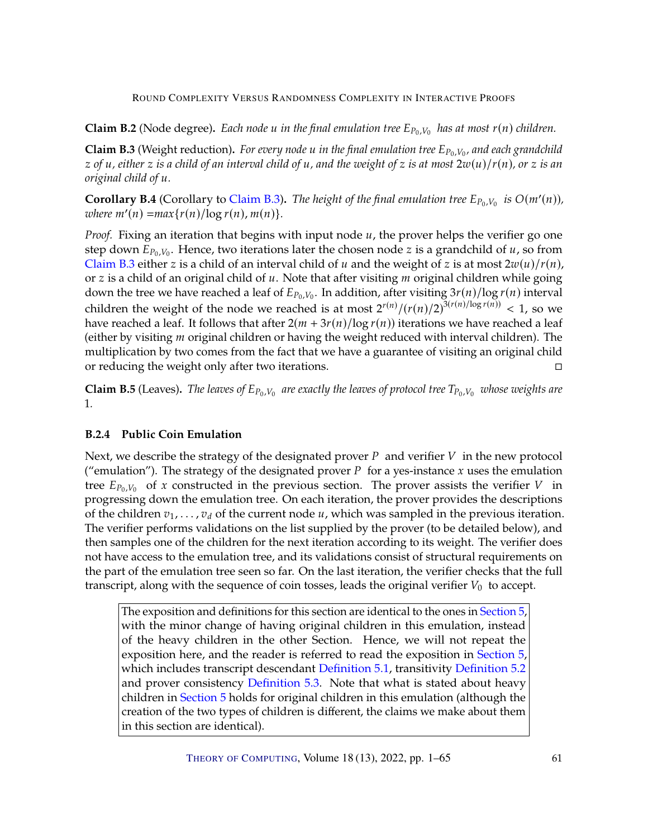**Claim B.2** (Node degree). Each node u in the final emulation tree  $E_{P_0,V_0}$  has at most  $r(n)$  children.

<span id="page-60-2"></span>**Claim B.3** (Weight reduction). *For every node u in the final emulation tree*  $E_{P_0,V_0}$ , and each grandchild<br>z of u, either z is a child of an interval child of u, and the vergiant of z is at most  $2m(u)/r(u)$ , or z is an  $z$  of  $u$ , either  $z$  is a child of an interval child of  $u$ , and the weight of  $z$  is at most  $2w(u)/r(n)$ , or  $z$  is an *original child of u.* 

<span id="page-60-1"></span>**Corollary B.4** (Corollary to [Claim](#page-60-2) [B.3\)](#page-60-2). The height of the final emulation tree  $E_{P_0,V_0}$  is  $O(m'(n))$ ,<br>*zuhere*  $m'(n)$   $-max(x(n))$  log  $r(n)$ ,  $m(n)$  $where m'(n) = max{r(n)/log r(n), m(n)}.$ 

*Proof.* Fixing an iteration that begins with input node  $u$ , the prover helps the verifier go one step down  $E_{P_0,V_0}$ . Hence, two iterations later the chosen node *z* is a grandchild of *u*, so from [Claim](#page-60-2) [B.3](#page-60-2) either z is a child of an interval child of u and the weight of z is at most  $2w(u)/r(n)$ , or  $z$  is a child of an original child of  $u$ . Note that after visiting  $m$  original children while going down the tree we have reached a leaf of  $E_{P_0,V_0}$ . In addition, after visiting  $3r(n)/\log r(n)$  interval children the weight of the node we reached is at most  $2^{r(n)}/(r(n)/2)^{3(r(n)/\log r(n))} < 1$ , so we have reached a leaf. It follows that after  $2(m + 3r(n)/\log r(n))$  iterations we have reached a leaf (either by visiting  *original children or having the weight reduced with interval children). The* multiplication by two comes from the fact that we have a guarantee of visiting an original child or reducing the weight only after two iterations.

**Claim B.5** (Leaves). *The leaves of*  $E_{P_0,V_0}$  are exactly the leaves of protocol tree  $T_{P_0,V_0}$  whose weights are 1*.*

# <span id="page-60-0"></span>**B.2.4 Public Coin Emulation**

Next, we describe the strategy of the designated prover  $P$  and verifier  $V$  in the new protocol ("emulation"). The strategy of the designated prover  $P$  for a yes-instance  $x$  uses the emulation tree  $E_{P_0,V_0}$  of x constructed in the previous section. The prover assists the verifier V in progressing down the emulation tree. On each iteration, the prover provides the descriptions of the children  $v_1, \ldots, v_d$  of the current node  $u$ , which was sampled in the previous iteration. The verifier performs validations on the list supplied by the prover (to be detailed below), and then samples one of the children for the next iteration according to its weight. The verifier does not have access to the emulation tree, and its validations consist of structural requirements on the part of the emulation tree seen so far. On the last iteration, the verifier checks that the full transcript, along with the sequence of coin tosses, leads the original verifier  $V_0$  to accept.

The exposition and definitions for this section are identical to the ones in [Section](#page-18-0) [5,](#page-18-0) with the minor change of having original children in this emulation, instead of the heavy children in the other Section. Hence, we will not repeat the exposition here, and the reader is referred to read the exposition in [Section](#page-18-0) [5,](#page-18-0) which includes transcript descendant [Definition](#page-19-4) [5.1,](#page-19-3) transitivity Definition [5.2](#page-19-4) and prover consistency [Definition](#page-20-0) [5.3.](#page-20-0) Note that what is stated about heavy children in [Section](#page-18-0) [5](#page-18-0) holds for original children in this emulation (although the creation of the two types of children is different, the claims we make about them in this section are identical).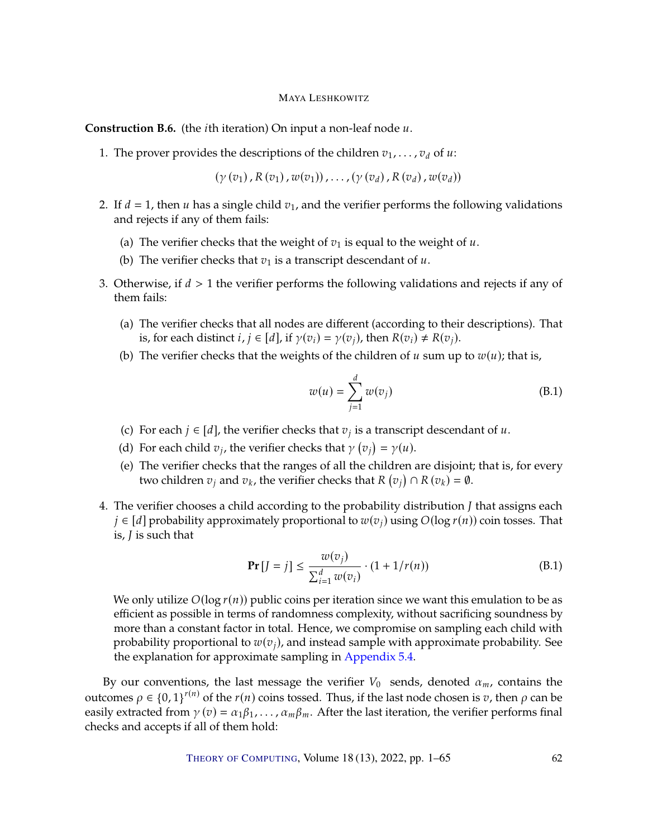<span id="page-61-0"></span>**Construction B.6.** (the *i*th iteration) On input a non-leaf node  $u$ .

1. The prover provides the descriptions of the children  $v_1, \ldots, v_d$  of  $u$ :

 $(\gamma(v_1), R(v_1), w(v_1)), \ldots, (\gamma(v_d), R(v_d), w(v_d))$ 

- 2. If  $d = 1$ , then u has a single child  $v_1$ , and the verifier performs the following validations and rejects if any of them fails:
	- (a) The verifier checks that the weight of  $v_1$  is equal to the weight of u.
	- (b) The verifier checks that  $v_1$  is a transcript descendant of  $u$ .
- 3. Otherwise, if  $d > 1$  the verifier performs the following validations and rejects if any of them fails:
	- (a) The verifier checks that all nodes are different (according to their descriptions). That is, for each distinct  $i, j \in [d]$ , if  $\gamma(v_i) = \gamma(v_i)$ , then  $R(v_i) \neq R(v_i)$ .
	- (b) The verifier checks that the weights of the children of  $u$  sum up to  $w(u)$ ; that is,

$$
w(u) = \sum_{j=1}^{d} w(v_j)
$$
 (B.1)

- (c) For each  $j \in [d]$ , the verifier checks that  $v_j$  is a transcript descendant of  $u$ .
- (d) For each child  $v_j$ , the verifier checks that  $\gamma(v_j) = \gamma(u)$ .
- (e) The verifier checks that the ranges of all the children are disjoint; that is, for every two children  $v_j$  and  $v_k$ , the verifier checks that R (  $\frac{1}{\sqrt{2}}$  $( \bigcap R(v_k) = \emptyset.$
- 4. The verifier chooses a child according to the probability distribution  $\overline{J}$  that assigns each  $j \in [d]$  probability approximately proportional to  $w(v_j)$  using  $O(\log r(n))$  coin tosses. That is,  $J$  is such that

$$
\Pr\left[J=j\right] \le \frac{w(v_j)}{\sum_{i=1}^d w(v_i)} \cdot (1 + 1/r(n)) \tag{B.1}
$$

We only utilize  $O(\log r(n))$  public coins per iteration since we want this emulation to be as efficient as possible in terms of randomness complexity, without sacrificing soundness by more than a constant factor in total. Hence, we compromise on sampling each child with probability proportional to  $w(v_i)$ , and instead sample with approximate probability. See the explanation for approximate sampling in [Appendix](#page-23-1) [5.4.](#page-23-1)

By our conventions, the last message the verifier  $V_0$  sends, denoted  $\alpha_m$ , contains the outcomes  $ρ ∈ {0, 1}^{r(n)}$  of the  $r(n)$  coins tossed. Thus, if the last node chosen is *v*, then *ρ* can be easily extracted from  $\gamma(v) = \alpha_1 \beta_1, \dots, \alpha_m \beta_m$ . After the last iteration, the verifier performs final checks and accepts if all of them hold: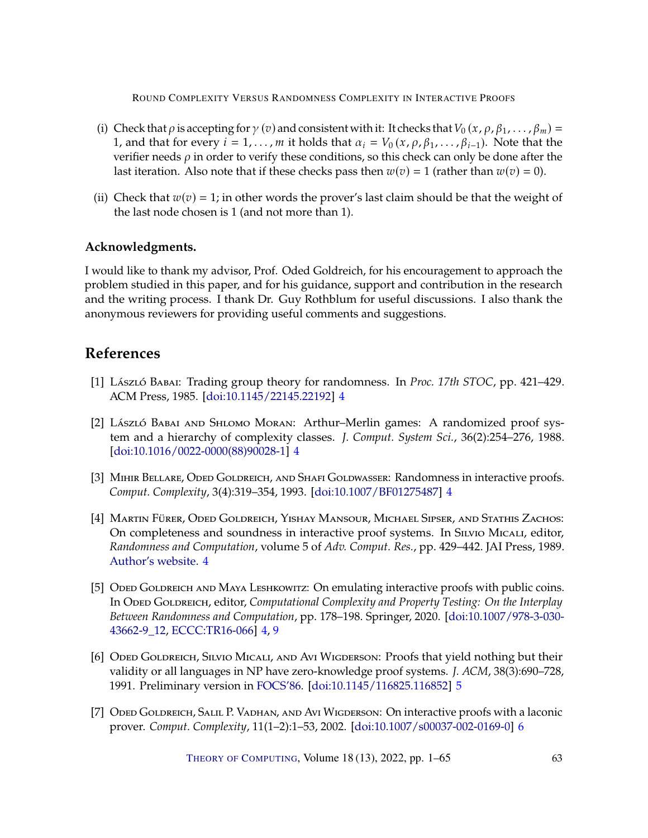- (i) Check that  $\rho$  is accepting for  $\gamma$  (v) and consistent with it: It checks that  $V_0(x, \rho, \beta_1, \ldots, \beta_m)$  = 1, and that for every  $i = 1, \ldots, m$  it holds that  $\alpha_i = V_0(x, \rho, \beta_1, \ldots, \beta_{i-1})$ . Note that the verifier needs  $\rho$  in order to verify these conditions, so this check can only be done after the last iteration. Also note that if these checks pass then  $w(v) = 1$  (rather than  $w(v) = 0$ ).
- (ii) Check that  $w(v) = 1$ ; in other words the prover's last claim should be that the weight of the last node chosen is 1 (and not more than 1).

# **Acknowledgments.**

I would like to thank my advisor, Prof. Oded Goldreich, for his encouragement to approach the problem studied in this paper, and for his guidance, support and contribution in the research and the writing process. I thank Dr. Guy Rothblum for useful discussions. I also thank the anonymous reviewers for providing useful comments and suggestions.

# **References**

- <span id="page-62-0"></span>[1] László Babai: Trading group theory for randomness. In *Proc. 17th STOC*, pp. 421–429. ACM Press, 1985. [\[doi:10.1145/22145.22192\]](http://dx.doi.org/10.1145/22145.22192) [4](#page-3-1)
- <span id="page-62-1"></span>[2] László Babai and Shlomo Moran: Arthur–Merlin games: A randomized proof system and a hierarchy of complexity classes. *J. Comput. System Sci.*, 36(2):254–276, 1988. [\[doi:10.1016/0022-0000\(88\)90028-1\]](http://dx.doi.org/10.1016/0022-0000(88)90028-1) [4](#page-3-1)
- <span id="page-62-2"></span>[3] MIHIR BELLARE, ODED GOLDREICH, AND SHAFI GOLDWASSER: Randomness in interactive proofs. *Comput. Complexity*, 3(4):319–354, 1993. [\[doi:10.1007/BF01275487\]](http://dx.doi.org/10.1007/BF01275487) [4](#page-3-1)
- <span id="page-62-4"></span>[4] Martin Fürer, Oded Goldreich, Yishay Mansour, Michael Sipser, and Stathis Zachos: On completeness and soundness in interactive proof systems. In Silvio Micali, editor, *Randomness and Computation*, volume 5 of *Adv. Comput. Res.*, pp. 429–442. JAI Press, 1989. [Author's website.](https://www.wisdom.weizmann.ac.il/~oded/PSX/fgmsz.pdf) [4](#page-3-1)
- <span id="page-62-3"></span>[5] ODED GOLDREICH AND MAYA LESHKOWITZ: On emulating interactive proofs with public coins. In Oded Goldreich, editor, *Computational Complexity and Property Testing: On the Interplay Between Randomness and Computation*, pp. 178–198. Springer, 2020. [\[doi:10.1007/978-3-030-](http://dx.doi.org/10.1007/978-3-030-43662-9_12) [43662-9\\_12,](http://dx.doi.org/10.1007/978-3-030-43662-9_12) [ECCC:TR16-066\]](https://eccc.weizmann.ac.il/report/2016/066) [4,](#page-3-1) [9](#page-8-1)
- <span id="page-62-5"></span>[6] ODED GOLDREICH, SILVIO MICALI, AND AVI WIGDERSON: Proofs that yield nothing but their validity or all languages in NP have zero-knowledge proof systems. *J. ACM*, 38(3):690–728, 1991. Preliminary version in [FOCS'86.](https://doi.org/10.1109/SFCS.1986.47) [\[doi:10.1145/116825.116852\]](http://dx.doi.org/10.1145/116825.116852) [5](#page-4-3)
- <span id="page-62-6"></span>[7] Oded Goldreich, Salil P. Vadhan, and Avi Wigderson: On interactive proofs with a laconic prover. *Comput. Complexity*, 11(1–2):1–53, 2002. [\[doi:10.1007/s00037-002-0169-0\]](http://dx.doi.org/10.1007/s00037-002-0169-0) [6](#page-5-2)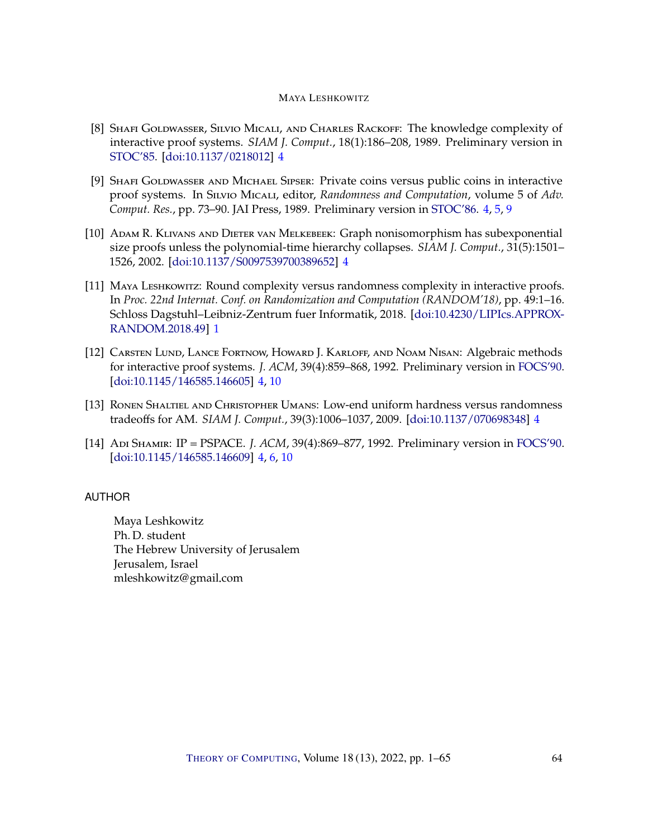- <span id="page-63-2"></span>[8] SHAFI GOLDWASSER, SILVIO MICALI, AND CHARLES RACKOFF: The knowledge complexity of interactive proof systems. *SIAM J. Comput.*, 18(1):186–208, 1989. Preliminary version in [STOC'85.](https://doi.org/10.1145/22145.22178) [\[doi:10.1137/0218012\]](http://dx.doi.org/10.1137/0218012) [4](#page-3-1)
- <span id="page-63-5"></span>[9] SHAFI GOLDWASSER AND MICHAEL SIPSER: Private coins versus public coins in interactive proof systems. In Silvio Micali, editor, *Randomness and Computation*, volume 5 of *Adv. Comput. Res.*, pp. 73–90. JAI Press, 1989. Preliminary version in [STOC'86.](https://doi.org/10.1145/12130.12137) [4,](#page-3-1) [5,](#page-4-3) [9](#page-8-1)
- <span id="page-63-6"></span>[10] Adam R. Klivans and Dieter van Melkebeek: Graph nonisomorphism has subexponential size proofs unless the polynomial-time hierarchy collapses. *SIAM J. Comput.*, 31(5):1501– 1526, 2002. [\[doi:10.1137/S0097539700389652\]](http://dx.doi.org/10.1137/S0097539700389652) [4](#page-3-1)
- <span id="page-63-1"></span>[11] Maya Leshkowitz: Round complexity versus randomness complexity in interactive proofs. In *Proc. 22nd Internat. Conf. on Randomization and Computation (RANDOM'18)*, pp. 49:1–16. Schloss Dagstuhl–Leibniz-Zentrum fuer Informatik, 2018. [\[doi:10.4230/LIPIcs.APPROX-](http://dx.doi.org/10.4230/LIPIcs.APPROX-RANDOM.2018.49)[RANDOM.2018.49\]](http://dx.doi.org/10.4230/LIPIcs.APPROX-RANDOM.2018.49) [1](#page-0-0)
- <span id="page-63-3"></span>[12] CARSTEN LUND, LANCE FORTNOW, HOWARD J. KARLOFF, AND NOAM NISAN: Algebraic methods for interactive proof systems. *J. ACM*, 39(4):859–868, 1992. Preliminary version in [FOCS'90.](http://doi.org/10.1109/FSCS.1990.89518) [\[doi:10.1145/146585.146605\]](http://dx.doi.org/10.1145/146585.146605) [4,](#page-3-1) [10](#page-9-2)
- <span id="page-63-7"></span>[13] Ronen Shaltiel and Christopher Umans: Low-end uniform hardness versus randomness tradeoffs for AM. *SIAM J. Comput.*, 39(3):1006–1037, 2009. [\[doi:10.1137/070698348\]](http://dx.doi.org/10.1137/070698348) [4](#page-3-1)
- <span id="page-63-4"></span>[14] Adi Shamir: IP = PSPACE. *J. ACM*, 39(4):869–877, 1992. Preliminary version in [FOCS'90.](https://doi.org/10.1109/FSCS.1990.89519) [\[doi:10.1145/146585.146609\]](http://dx.doi.org/10.1145/146585.146609) [4,](#page-3-1) [6,](#page-5-2) [10](#page-9-2)

# <span id="page-63-0"></span>**AUTHOR**

Maya Leshkowitz Ph. D. student The Hebrew University of Jerusalem Jerusalem, Israel mleshkowitz gmail com